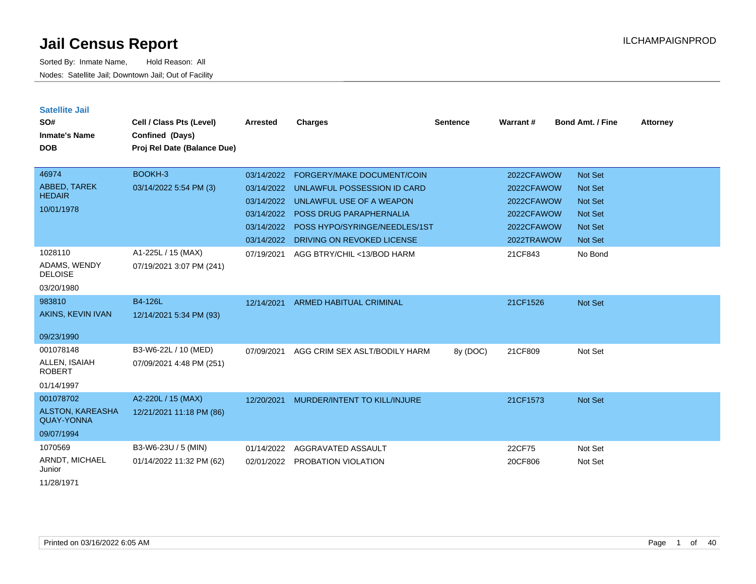Sorted By: Inmate Name, Hold Reason: All Nodes: Satellite Jail; Downtown Jail; Out of Facility

| <b>Satellite Jail</b><br>SO#<br><b>Inmate's Name</b><br><b>DOB</b> | Cell / Class Pts (Level)<br>Confined (Days)<br>Proj Rel Date (Balance Due) | <b>Arrested</b> | Charges                                  | <b>Sentence</b> | Warrant#   | <b>Bond Amt. / Fine</b> | <b>Attorney</b> |
|--------------------------------------------------------------------|----------------------------------------------------------------------------|-----------------|------------------------------------------|-----------------|------------|-------------------------|-----------------|
| 46974                                                              | BOOKH-3                                                                    | 03/14/2022      | <b>FORGERY/MAKE DOCUMENT/COIN</b>        |                 | 2022CFAWOW | Not Set                 |                 |
| ABBED, TAREK<br><b>HEDAIR</b>                                      | 03/14/2022 5:54 PM (3)                                                     | 03/14/2022      | UNLAWFUL POSSESSION ID CARD              |                 | 2022CFAWOW | <b>Not Set</b>          |                 |
| 10/01/1978                                                         |                                                                            | 03/14/2022      | UNLAWFUL USE OF A WEAPON                 |                 | 2022CFAWOW | <b>Not Set</b>          |                 |
|                                                                    |                                                                            | 03/14/2022      | <b>POSS DRUG PARAPHERNALIA</b>           |                 | 2022CFAWOW | <b>Not Set</b>          |                 |
|                                                                    |                                                                            |                 | 03/14/2022 POSS HYPO/SYRINGE/NEEDLES/1ST |                 | 2022CFAWOW | <b>Not Set</b>          |                 |
|                                                                    |                                                                            | 03/14/2022      | DRIVING ON REVOKED LICENSE               |                 | 2022TRAWOW | <b>Not Set</b>          |                 |
| 1028110                                                            | A1-225L / 15 (MAX)                                                         | 07/19/2021      | AGG BTRY/CHIL <13/BOD HARM               |                 | 21CF843    | No Bond                 |                 |
| ADAMS, WENDY<br><b>DELOISE</b>                                     | 07/19/2021 3:07 PM (241)                                                   |                 |                                          |                 |            |                         |                 |
| 03/20/1980                                                         |                                                                            |                 |                                          |                 |            |                         |                 |
| 983810                                                             | <b>B4-126L</b>                                                             | 12/14/2021      | <b>ARMED HABITUAL CRIMINAL</b>           |                 | 21CF1526   | Not Set                 |                 |
| AKINS, KEVIN IVAN                                                  | 12/14/2021 5:34 PM (93)                                                    |                 |                                          |                 |            |                         |                 |
| 09/23/1990                                                         |                                                                            |                 |                                          |                 |            |                         |                 |
| 001078148                                                          | B3-W6-22L / 10 (MED)                                                       | 07/09/2021      | AGG CRIM SEX ASLT/BODILY HARM            | 8y (DOC)        | 21CF809    | Not Set                 |                 |
| ALLEN, ISAIAH<br><b>ROBERT</b>                                     | 07/09/2021 4:48 PM (251)                                                   |                 |                                          |                 |            |                         |                 |
| 01/14/1997                                                         |                                                                            |                 |                                          |                 |            |                         |                 |
| 001078702                                                          | A2-220L / 15 (MAX)                                                         | 12/20/2021      | MURDER/INTENT TO KILL/INJURE             |                 | 21CF1573   | <b>Not Set</b>          |                 |
| ALSTON, KAREASHA<br><b>QUAY-YONNA</b>                              | 12/21/2021 11:18 PM (86)                                                   |                 |                                          |                 |            |                         |                 |
| 09/07/1994                                                         |                                                                            |                 |                                          |                 |            |                         |                 |
| 1070569                                                            | B3-W6-23U / 5 (MIN)                                                        | 01/14/2022      | AGGRAVATED ASSAULT                       |                 | 22CF75     | Not Set                 |                 |
| ARNDT, MICHAEL<br>Junior                                           | 01/14/2022 11:32 PM (62)                                                   | 02/01/2022      | PROBATION VIOLATION                      |                 | 20CF806    | Not Set                 |                 |
|                                                                    |                                                                            |                 |                                          |                 |            |                         |                 |

11/28/1971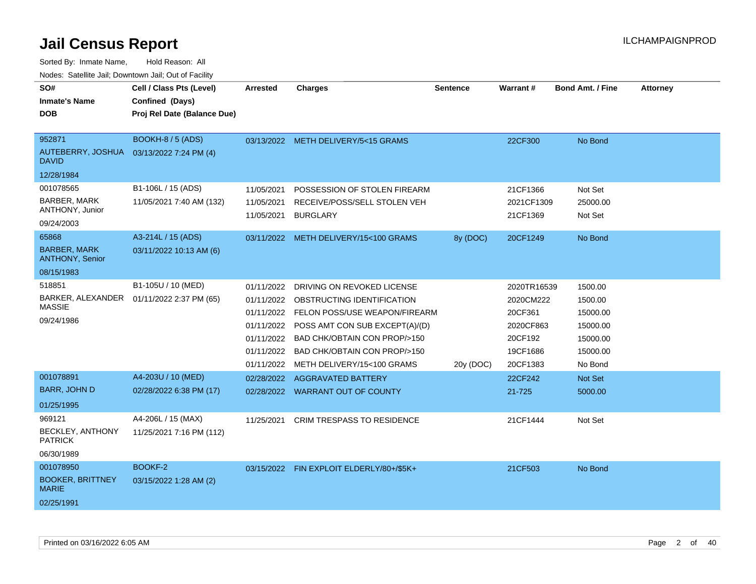| SO#                                                      | Cell / Class Pts (Level)    | <b>Arrested</b>          | <b>Charges</b>                                  | <b>Sentence</b> | Warrant#               | <b>Bond Amt. / Fine</b> | <b>Attorney</b> |
|----------------------------------------------------------|-----------------------------|--------------------------|-------------------------------------------------|-----------------|------------------------|-------------------------|-----------------|
| <b>Inmate's Name</b>                                     | Confined (Days)             |                          |                                                 |                 |                        |                         |                 |
| <b>DOB</b>                                               | Proj Rel Date (Balance Due) |                          |                                                 |                 |                        |                         |                 |
|                                                          |                             |                          |                                                 |                 |                        |                         |                 |
| 952871                                                   | BOOKH-8 / 5 (ADS)           |                          | 03/13/2022 METH DELIVERY/5<15 GRAMS             |                 | 22CF300                | No Bond                 |                 |
| AUTEBERRY, JOSHUA 03/13/2022 7:24 PM (4)<br><b>DAVID</b> |                             |                          |                                                 |                 |                        |                         |                 |
| 12/28/1984                                               |                             |                          |                                                 |                 |                        |                         |                 |
| 001078565                                                | B1-106L / 15 (ADS)          | 11/05/2021               | POSSESSION OF STOLEN FIREARM                    |                 | 21CF1366               | Not Set                 |                 |
| BARBER, MARK<br>ANTHONY, Junior                          | 11/05/2021 7:40 AM (132)    | 11/05/2021<br>11/05/2021 | RECEIVE/POSS/SELL STOLEN VEH<br><b>BURGLARY</b> |                 | 2021CF1309<br>21CF1369 | 25000.00<br>Not Set     |                 |
| 09/24/2003                                               |                             |                          |                                                 |                 |                        |                         |                 |
| 65868                                                    | A3-214L / 15 (ADS)          | 03/11/2022               | METH DELIVERY/15<100 GRAMS                      | 8y (DOC)        | 20CF1249               | No Bond                 |                 |
| <b>BARBER, MARK</b><br><b>ANTHONY, Senior</b>            | 03/11/2022 10:13 AM (6)     |                          |                                                 |                 |                        |                         |                 |
| 08/15/1983                                               |                             |                          |                                                 |                 |                        |                         |                 |
| 518851                                                   | B1-105U / 10 (MED)          | 01/11/2022               | DRIVING ON REVOKED LICENSE                      |                 | 2020TR16539            | 1500.00                 |                 |
| BARKER, ALEXANDER  01/11/2022 2:37 PM (65)               |                             |                          | 01/11/2022 OBSTRUCTING IDENTIFICATION           |                 | 2020CM222              | 1500.00                 |                 |
| <b>MASSIE</b>                                            |                             | 01/11/2022               | FELON POSS/USE WEAPON/FIREARM                   |                 | 20CF361                | 15000.00                |                 |
| 09/24/1986                                               |                             | 01/11/2022               | POSS AMT CON SUB EXCEPT(A)/(D)                  |                 | 2020CF863              | 15000.00                |                 |
|                                                          |                             | 01/11/2022               | BAD CHK/OBTAIN CON PROP/>150                    |                 | 20CF192                | 15000.00                |                 |
|                                                          |                             | 01/11/2022               | BAD CHK/OBTAIN CON PROP/>150                    |                 | 19CF1686               | 15000.00                |                 |
|                                                          |                             | 01/11/2022               | METH DELIVERY/15<100 GRAMS                      | 20y (DOC)       | 20CF1383               | No Bond                 |                 |
| 001078891                                                | A4-203U / 10 (MED)          | 02/28/2022               | <b>AGGRAVATED BATTERY</b>                       |                 | 22CF242                | <b>Not Set</b>          |                 |
| <b>BARR, JOHN D</b>                                      | 02/28/2022 6:38 PM (17)     |                          | 02/28/2022 WARRANT OUT OF COUNTY                |                 | 21-725                 | 5000.00                 |                 |
| 01/25/1995                                               |                             |                          |                                                 |                 |                        |                         |                 |
| 969121                                                   | A4-206L / 15 (MAX)          | 11/25/2021               | <b>CRIM TRESPASS TO RESIDENCE</b>               |                 | 21CF1444               | Not Set                 |                 |
| BECKLEY, ANTHONY<br><b>PATRICK</b>                       | 11/25/2021 7:16 PM (112)    |                          |                                                 |                 |                        |                         |                 |
| 06/30/1989                                               |                             |                          |                                                 |                 |                        |                         |                 |
| 001078950                                                | BOOKF-2                     |                          | 03/15/2022 FIN EXPLOIT ELDERLY/80+/\$5K+        |                 | 21CF503                | No Bond                 |                 |
| <b>BOOKER, BRITTNEY</b><br><b>MARIE</b>                  | 03/15/2022 1:28 AM (2)      |                          |                                                 |                 |                        |                         |                 |
| 02/25/1991                                               |                             |                          |                                                 |                 |                        |                         |                 |
|                                                          |                             |                          |                                                 |                 |                        |                         |                 |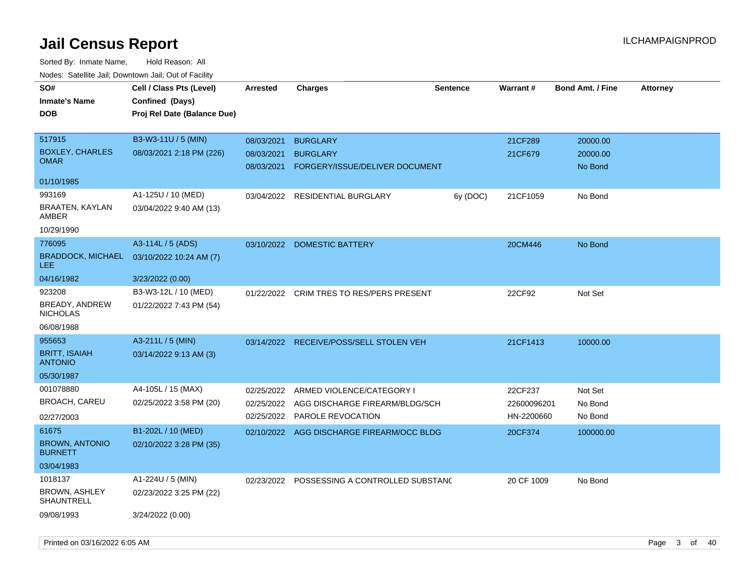| SO#<br><b>Inmate's Name</b><br><b>DOB</b>                      | Cell / Class Pts (Level)<br>Confined (Days)<br>Proj Rel Date (Balance Due) | <b>Arrested</b>                        | <b>Charges</b>                                                       | <b>Sentence</b> | <b>Warrant#</b>           | <b>Bond Amt. / Fine</b>         | <b>Attorney</b> |
|----------------------------------------------------------------|----------------------------------------------------------------------------|----------------------------------------|----------------------------------------------------------------------|-----------------|---------------------------|---------------------------------|-----------------|
| 517915<br><b>BOXLEY, CHARLES</b><br><b>OMAR</b>                | B3-W3-11U / 5 (MIN)<br>08/03/2021 2:18 PM (226)                            | 08/03/2021<br>08/03/2021<br>08/03/2021 | <b>BURGLARY</b><br><b>BURGLARY</b><br>FORGERY/ISSUE/DELIVER DOCUMENT |                 | 21CF289<br>21CF679        | 20000.00<br>20000.00<br>No Bond |                 |
| 01/10/1985                                                     |                                                                            |                                        |                                                                      |                 |                           |                                 |                 |
| 993169<br>BRAATEN, KAYLAN<br>AMBER                             | A1-125U / 10 (MED)<br>03/04/2022 9:40 AM (13)                              | 03/04/2022                             | <b>RESIDENTIAL BURGLARY</b>                                          | 6y (DOC)        | 21CF1059                  | No Bond                         |                 |
| 10/29/1990                                                     |                                                                            |                                        |                                                                      |                 |                           |                                 |                 |
| 776095<br><b>BRADDOCK, MICHAEL</b><br>LEE                      | A3-114L / 5 (ADS)<br>03/10/2022 10:24 AM (7)                               | 03/10/2022                             | <b>DOMESTIC BATTERY</b>                                              |                 | 20CM446                   | No Bond                         |                 |
| 04/16/1982                                                     | 3/23/2022 (0.00)                                                           |                                        |                                                                      |                 |                           |                                 |                 |
| 923208<br><b>BREADY, ANDREW</b><br><b>NICHOLAS</b>             | B3-W3-12L / 10 (MED)<br>01/22/2022 7:43 PM (54)                            | 01/22/2022                             | CRIM TRES TO RES/PERS PRESENT                                        |                 | 22CF92                    | Not Set                         |                 |
| 06/08/1988                                                     |                                                                            |                                        |                                                                      |                 |                           |                                 |                 |
| 955653<br><b>BRITT, ISAIAH</b><br><b>ANTONIO</b><br>05/30/1987 | A3-211L / 5 (MIN)<br>03/14/2022 9:13 AM (3)                                | 03/14/2022                             | RECEIVE/POSS/SELL STOLEN VEH                                         |                 | 21CF1413                  | 10000.00                        |                 |
| 001078880                                                      | A4-105L / 15 (MAX)                                                         | 02/25/2022                             | ARMED VIOLENCE/CATEGORY I                                            |                 | 22CF237                   | Not Set                         |                 |
| <b>BROACH, CAREU</b><br>02/27/2003                             | 02/25/2022 3:58 PM (20)                                                    | 02/25/2022<br>02/25/2022               | AGG DISCHARGE FIREARM/BLDG/SCH<br>PAROLE REVOCATION                  |                 | 22600096201<br>HN-2200660 | No Bond<br>No Bond              |                 |
| 61675<br><b>BROWN, ANTONIO</b><br><b>BURNETT</b>               | B1-202L / 10 (MED)<br>02/10/2022 3:28 PM (35)                              |                                        | 02/10/2022 AGG DISCHARGE FIREARM/OCC BLDG                            |                 | 20CF374                   | 100000.00                       |                 |
| 03/04/1983                                                     |                                                                            |                                        |                                                                      |                 |                           |                                 |                 |
| 1018137<br><b>BROWN, ASHLEY</b><br><b>SHAUNTRELL</b>           | A1-224U / 5 (MIN)<br>02/23/2022 3:25 PM (22)                               | 02/23/2022                             | POSSESSING A CONTROLLED SUBSTANC                                     |                 | 20 CF 1009                | No Bond                         |                 |
| 09/08/1993                                                     | 3/24/2022 (0.00)                                                           |                                        |                                                                      |                 |                           |                                 |                 |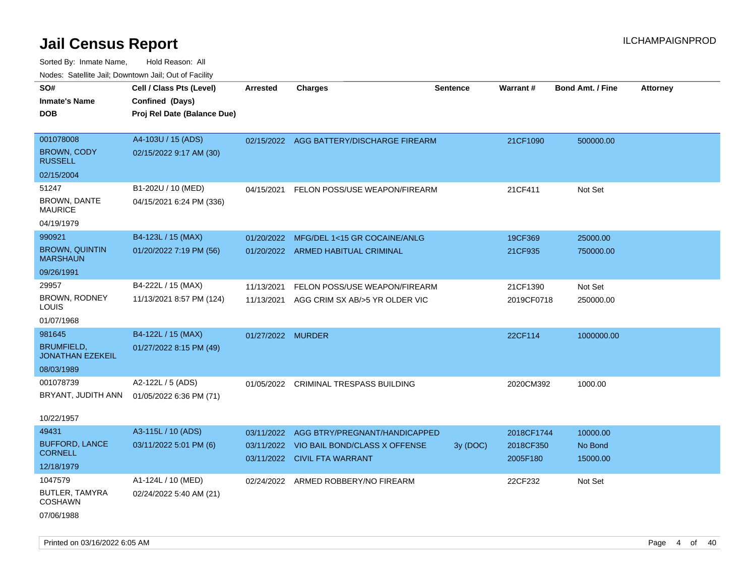| rouco. Calcinic Jan, Downtown Jan, Out of Facility |                             |                   |                                          |                 |                 |                         |                 |
|----------------------------------------------------|-----------------------------|-------------------|------------------------------------------|-----------------|-----------------|-------------------------|-----------------|
| SO#                                                | Cell / Class Pts (Level)    | <b>Arrested</b>   | <b>Charges</b>                           | <b>Sentence</b> | <b>Warrant#</b> | <b>Bond Amt. / Fine</b> | <b>Attorney</b> |
| Inmate's Name                                      | Confined (Days)             |                   |                                          |                 |                 |                         |                 |
| DOB                                                | Proj Rel Date (Balance Due) |                   |                                          |                 |                 |                         |                 |
|                                                    |                             |                   |                                          |                 |                 |                         |                 |
| 001078008                                          | A4-103U / 15 (ADS)          |                   | 02/15/2022 AGG BATTERY/DISCHARGE FIREARM |                 | 21CF1090        | 500000.00               |                 |
| <b>BROWN, CODY</b><br><b>RUSSELL</b>               | 02/15/2022 9:17 AM (30)     |                   |                                          |                 |                 |                         |                 |
| 02/15/2004                                         |                             |                   |                                          |                 |                 |                         |                 |
| 51247                                              | B1-202U / 10 (MED)          | 04/15/2021        | FELON POSS/USE WEAPON/FIREARM            |                 | 21CF411         | Not Set                 |                 |
| <b>BROWN, DANTE</b><br><b>MAURICE</b>              | 04/15/2021 6:24 PM (336)    |                   |                                          |                 |                 |                         |                 |
| 04/19/1979                                         |                             |                   |                                          |                 |                 |                         |                 |
| 990921                                             | B4-123L / 15 (MAX)          | 01/20/2022        | MFG/DEL 1<15 GR COCAINE/ANLG             |                 | 19CF369         | 25000.00                |                 |
| <b>BROWN, QUINTIN</b><br>MARSHAUN                  | 01/20/2022 7:19 PM (56)     |                   | 01/20/2022 ARMED HABITUAL CRIMINAL       |                 | 21CF935         | 750000.00               |                 |
| 09/26/1991                                         |                             |                   |                                          |                 |                 |                         |                 |
| 29957                                              | B4-222L / 15 (MAX)          | 11/13/2021        | FELON POSS/USE WEAPON/FIREARM            |                 | 21CF1390        | Not Set                 |                 |
| <b>BROWN, RODNEY</b><br>LOUIS                      | 11/13/2021 8:57 PM (124)    | 11/13/2021        | AGG CRIM SX AB/>5 YR OLDER VIC           |                 | 2019CF0718      | 250000.00               |                 |
| 01/07/1968                                         |                             |                   |                                          |                 |                 |                         |                 |
| 981645                                             | B4-122L / 15 (MAX)          | 01/27/2022 MURDER |                                          |                 | 22CF114         | 1000000.00              |                 |
| <b>BRUMFIELD,</b><br><b>JONATHAN EZEKEIL</b>       | 01/27/2022 8:15 PM (49)     |                   |                                          |                 |                 |                         |                 |
| 08/03/1989                                         |                             |                   |                                          |                 |                 |                         |                 |
| 001078739                                          | A2-122L / 5 (ADS)           | 01/05/2022        | CRIMINAL TRESPASS BUILDING               |                 | 2020CM392       | 1000.00                 |                 |
| BRYANT, JUDITH ANN                                 | 01/05/2022 6:36 PM (71)     |                   |                                          |                 |                 |                         |                 |
|                                                    |                             |                   |                                          |                 |                 |                         |                 |
| 10/22/1957                                         |                             |                   |                                          |                 |                 |                         |                 |
| 49431                                              | A3-115L / 10 (ADS)          | 03/11/2022        | AGG BTRY/PREGNANT/HANDICAPPED            |                 | 2018CF1744      | 10000.00                |                 |
| <b>BUFFORD, LANCE</b><br>CORNELL                   | 03/11/2022 5:01 PM (6)      | 03/11/2022        | VIO BAIL BOND/CLASS X OFFENSE            | 3y (DOC)        | 2018CF350       | No Bond                 |                 |
| 12/18/1979                                         |                             |                   | 03/11/2022 CIVIL FTA WARRANT             |                 | 2005F180        | 15000.00                |                 |
| 1047579                                            | A1-124L / 10 (MED)          |                   |                                          |                 |                 |                         |                 |
| <b>BUTLER, TAMYRA</b>                              |                             |                   | 02/24/2022 ARMED ROBBERY/NO FIREARM      |                 | 22CF232         | Not Set                 |                 |
| COSHAWN                                            | 02/24/2022 5:40 AM (21)     |                   |                                          |                 |                 |                         |                 |
| 07/06/1988                                         |                             |                   |                                          |                 |                 |                         |                 |
|                                                    |                             |                   |                                          |                 |                 |                         |                 |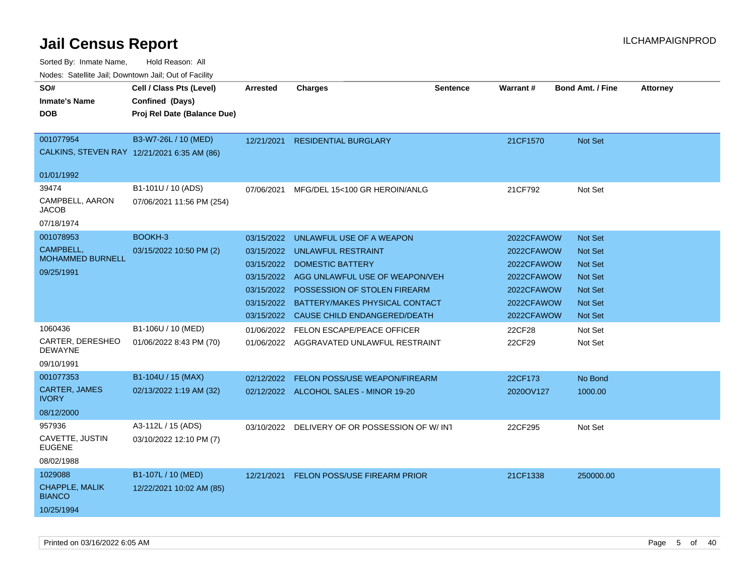|                                             | rougs. Calcing Jan, Downtown Jan, Out of Facinty |                 |                                               |                 |                 |                         |                 |
|---------------------------------------------|--------------------------------------------------|-----------------|-----------------------------------------------|-----------------|-----------------|-------------------------|-----------------|
| SO#                                         | Cell / Class Pts (Level)                         | <b>Arrested</b> | <b>Charges</b>                                | <b>Sentence</b> | <b>Warrant#</b> | <b>Bond Amt. / Fine</b> | <b>Attorney</b> |
| <b>Inmate's Name</b>                        | Confined (Days)                                  |                 |                                               |                 |                 |                         |                 |
| <b>DOB</b>                                  | Proj Rel Date (Balance Due)                      |                 |                                               |                 |                 |                         |                 |
|                                             |                                                  |                 |                                               |                 |                 |                         |                 |
| 001077954                                   | B3-W7-26L / 10 (MED)                             |                 | 12/21/2021 RESIDENTIAL BURGLARY               |                 | 21CF1570        | Not Set                 |                 |
| CALKINS, STEVEN RAY 12/21/2021 6:35 AM (86) |                                                  |                 |                                               |                 |                 |                         |                 |
|                                             |                                                  |                 |                                               |                 |                 |                         |                 |
| 01/01/1992                                  |                                                  |                 |                                               |                 |                 |                         |                 |
| 39474                                       | B1-101U / 10 (ADS)                               | 07/06/2021      | MFG/DEL 15<100 GR HEROIN/ANLG                 |                 | 21CF792         | Not Set                 |                 |
| CAMPBELL, AARON<br>JACOB                    | 07/06/2021 11:56 PM (254)                        |                 |                                               |                 |                 |                         |                 |
| 07/18/1974                                  |                                                  |                 |                                               |                 |                 |                         |                 |
| 001078953                                   | BOOKH-3                                          | 03/15/2022      | UNLAWFUL USE OF A WEAPON                      |                 | 2022CFAWOW      | <b>Not Set</b>          |                 |
| <b>CAMPBELL,</b>                            | 03/15/2022 10:50 PM (2)                          |                 | 03/15/2022 UNLAWFUL RESTRAINT                 |                 | 2022CFAWOW      | <b>Not Set</b>          |                 |
| <b>MOHAMMED BURNELL</b>                     |                                                  |                 | 03/15/2022 DOMESTIC BATTERY                   |                 | 2022CFAWOW      | Not Set                 |                 |
| 09/25/1991                                  |                                                  |                 | 03/15/2022 AGG UNLAWFUL USE OF WEAPON/VEH     |                 | 2022CFAWOW      | <b>Not Set</b>          |                 |
|                                             |                                                  |                 | 03/15/2022 POSSESSION OF STOLEN FIREARM       |                 | 2022CFAWOW      | <b>Not Set</b>          |                 |
|                                             |                                                  |                 | 03/15/2022 BATTERY/MAKES PHYSICAL CONTACT     |                 | 2022CFAWOW      | Not Set                 |                 |
|                                             |                                                  |                 | 03/15/2022 CAUSE CHILD ENDANGERED/DEATH       |                 | 2022CFAWOW      | Not Set                 |                 |
| 1060436                                     | B1-106U / 10 (MED)                               |                 | 01/06/2022 FELON ESCAPE/PEACE OFFICER         |                 | 22CF28          | Not Set                 |                 |
| CARTER, DERESHEO                            | 01/06/2022 8:43 PM (70)                          |                 | 01/06/2022 AGGRAVATED UNLAWFUL RESTRAINT      |                 | 22CF29          | Not Set                 |                 |
| <b>DEWAYNE</b>                              |                                                  |                 |                                               |                 |                 |                         |                 |
| 09/10/1991                                  |                                                  |                 |                                               |                 |                 |                         |                 |
| 001077353                                   | B1-104U / 15 (MAX)                               | 02/12/2022      | FELON POSS/USE WEAPON/FIREARM                 |                 | 22CF173         | No Bond                 |                 |
| <b>CARTER, JAMES</b>                        | 02/13/2022 1:19 AM (32)                          |                 | 02/12/2022 ALCOHOL SALES - MINOR 19-20        |                 | 2020OV127       | 1000.00                 |                 |
| <b>IVORY</b>                                |                                                  |                 |                                               |                 |                 |                         |                 |
| 08/12/2000                                  |                                                  |                 |                                               |                 |                 |                         |                 |
| 957936                                      | A3-112L / 15 (ADS)                               |                 | 03/10/2022 DELIVERY OF OR POSSESSION OF W/INT |                 | 22CF295         | Not Set                 |                 |
| CAVETTE, JUSTIN<br><b>EUGENE</b>            | 03/10/2022 12:10 PM (7)                          |                 |                                               |                 |                 |                         |                 |
| 08/02/1988                                  |                                                  |                 |                                               |                 |                 |                         |                 |
| 1029088                                     | B1-107L / 10 (MED)                               |                 | 12/21/2021 FELON POSS/USE FIREARM PRIOR       |                 | 21CF1338        | 250000.00               |                 |
| <b>CHAPPLE, MALIK</b><br><b>BIANCO</b>      | 12/22/2021 10:02 AM (85)                         |                 |                                               |                 |                 |                         |                 |
| 10/25/1994                                  |                                                  |                 |                                               |                 |                 |                         |                 |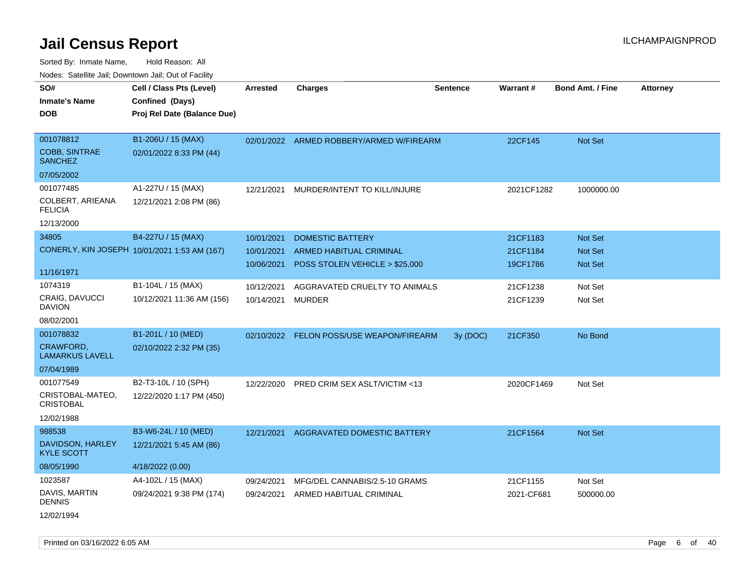Sorted By: Inmate Name, Hold Reason: All Nodes: Satellite Jail; Downtown Jail; Out of Facility

| roaco. Catolino cali, Domntonn cali, Out of Facility            |                                                                            |                                        |                                                                                      |          |                                  |                                             |                 |
|-----------------------------------------------------------------|----------------------------------------------------------------------------|----------------------------------------|--------------------------------------------------------------------------------------|----------|----------------------------------|---------------------------------------------|-----------------|
| SO#<br><b>Inmate's Name</b><br><b>DOB</b>                       | Cell / Class Pts (Level)<br>Confined (Days)<br>Proj Rel Date (Balance Due) | Arrested                               | <b>Charges</b>                                                                       | Sentence | <b>Warrant#</b>                  | <b>Bond Amt. / Fine</b>                     | <b>Attorney</b> |
| 001078812<br><b>COBB, SINTRAE</b><br><b>SANCHEZ</b>             | B1-206U / 15 (MAX)<br>02/01/2022 8:33 PM (44)                              |                                        | 02/01/2022 ARMED ROBBERY/ARMED W/FIREARM                                             |          | 22CF145                          | Not Set                                     |                 |
| 07/05/2002                                                      |                                                                            |                                        |                                                                                      |          |                                  |                                             |                 |
| 001077485<br>COLBERT, ARIEANA<br><b>FELICIA</b>                 | A1-227U / 15 (MAX)<br>12/21/2021 2:08 PM (86)                              | 12/21/2021                             | MURDER/INTENT TO KILL/INJURE                                                         |          | 2021CF1282                       | 1000000.00                                  |                 |
| 12/13/2000                                                      |                                                                            |                                        |                                                                                      |          |                                  |                                             |                 |
| 34805                                                           | B4-227U / 15 (MAX)<br>CONERLY, KIN JOSEPH 10/01/2021 1:53 AM (167)         | 10/01/2021<br>10/01/2021<br>10/06/2021 | <b>DOMESTIC BATTERY</b><br>ARMED HABITUAL CRIMINAL<br>POSS STOLEN VEHICLE > \$25,000 |          | 21CF1183<br>21CF1184<br>19CF1786 | <b>Not Set</b><br><b>Not Set</b><br>Not Set |                 |
| 11/16/1971                                                      |                                                                            |                                        |                                                                                      |          |                                  |                                             |                 |
| 1074319<br><b>CRAIG, DAVUCCI</b><br><b>DAVION</b>               | B1-104L / 15 (MAX)<br>10/12/2021 11:36 AM (156)                            | 10/12/2021<br>10/14/2021               | AGGRAVATED CRUELTY TO ANIMALS<br><b>MURDER</b>                                       |          | 21CF1238<br>21CF1239             | Not Set<br>Not Set                          |                 |
| 08/02/2001                                                      |                                                                            |                                        |                                                                                      |          |                                  |                                             |                 |
| 001078832<br><b>CRAWFORD,</b><br><b>LAMARKUS LAVELL</b>         | B1-201L / 10 (MED)<br>02/10/2022 2:32 PM (35)                              | 02/10/2022                             | FELON POSS/USE WEAPON/FIREARM                                                        | 3y (DOC) | 21CF350                          | No Bond                                     |                 |
| 07/04/1989                                                      |                                                                            |                                        |                                                                                      |          |                                  |                                             |                 |
| 001077549<br>CRISTOBAL-MATEO,<br><b>CRISTOBAL</b><br>12/02/1988 | B2-T3-10L / 10 (SPH)<br>12/22/2020 1:17 PM (450)                           | 12/22/2020                             | <b>PRED CRIM SEX ASLT/VICTIM &lt;13</b>                                              |          | 2020CF1469                       | Not Set                                     |                 |
| 988538                                                          | B3-W6-24L / 10 (MED)                                                       | 12/21/2021                             | AGGRAVATED DOMESTIC BATTERY                                                          |          | 21CF1564                         | <b>Not Set</b>                              |                 |
| DAVIDSON, HARLEY<br><b>KYLE SCOTT</b>                           | 12/21/2021 5:45 AM (86)                                                    |                                        |                                                                                      |          |                                  |                                             |                 |
| 08/05/1990                                                      | 4/18/2022 (0.00)                                                           |                                        |                                                                                      |          |                                  |                                             |                 |
| 1023587<br>DAVIS, MARTIN<br><b>DENNIS</b>                       | A4-102L / 15 (MAX)<br>09/24/2021 9:38 PM (174)                             | 09/24/2021<br>09/24/2021               | MFG/DEL CANNABIS/2.5-10 GRAMS<br>ARMED HABITUAL CRIMINAL                             |          | 21CF1155<br>2021-CF681           | Not Set<br>500000.00                        |                 |
|                                                                 |                                                                            |                                        |                                                                                      |          |                                  |                                             |                 |

12/02/1994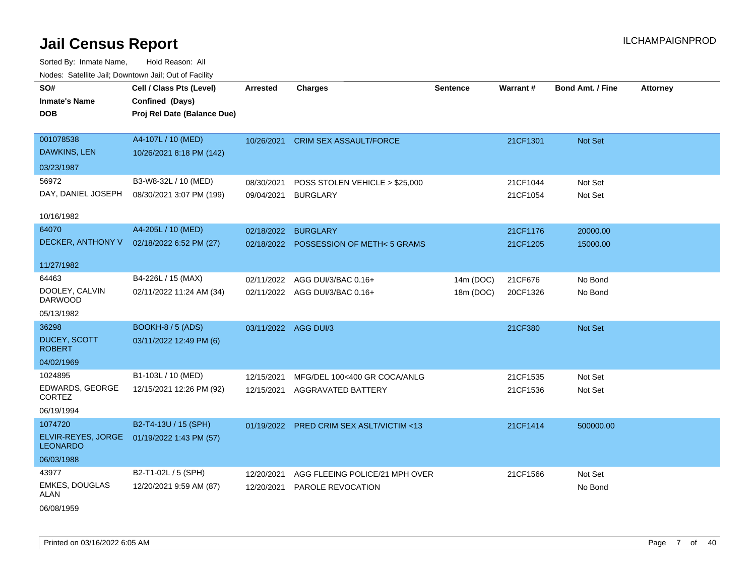| SO#                                     | Cell / Class Pts (Level)    | <b>Arrested</b>      | <b>Charges</b>                           | <b>Sentence</b> | Warrant# | <b>Bond Amt. / Fine</b> | <b>Attorney</b> |
|-----------------------------------------|-----------------------------|----------------------|------------------------------------------|-----------------|----------|-------------------------|-----------------|
| <b>Inmate's Name</b>                    | Confined (Days)             |                      |                                          |                 |          |                         |                 |
| <b>DOB</b>                              | Proj Rel Date (Balance Due) |                      |                                          |                 |          |                         |                 |
|                                         |                             |                      |                                          |                 |          |                         |                 |
| 001078538                               | A4-107L / 10 (MED)          |                      | 10/26/2021 CRIM SEX ASSAULT/FORCE        |                 | 21CF1301 | Not Set                 |                 |
| DAWKINS, LEN                            | 10/26/2021 8:18 PM (142)    |                      |                                          |                 |          |                         |                 |
| 03/23/1987                              |                             |                      |                                          |                 |          |                         |                 |
| 56972                                   | B3-W8-32L / 10 (MED)        | 08/30/2021           | POSS STOLEN VEHICLE > \$25,000           |                 | 21CF1044 | Not Set                 |                 |
| DAY, DANIEL JOSEPH                      | 08/30/2021 3:07 PM (199)    | 09/04/2021           | <b>BURGLARY</b>                          |                 | 21CF1054 | Not Set                 |                 |
|                                         |                             |                      |                                          |                 |          |                         |                 |
| 10/16/1982                              |                             |                      |                                          |                 |          |                         |                 |
| 64070                                   | A4-205L / 10 (MED)          | 02/18/2022           | <b>BURGLARY</b>                          |                 | 21CF1176 | 20000.00                |                 |
| DECKER, ANTHONY V                       | 02/18/2022 6:52 PM (27)     |                      | 02/18/2022 POSSESSION OF METH<5 GRAMS    |                 | 21CF1205 | 15000.00                |                 |
| 11/27/1982                              |                             |                      |                                          |                 |          |                         |                 |
| 64463                                   | B4-226L / 15 (MAX)          | 02/11/2022           | AGG DUI/3/BAC 0.16+                      | 14m (DOC)       | 21CF676  | No Bond                 |                 |
| DOOLEY, CALVIN<br><b>DARWOOD</b>        | 02/11/2022 11:24 AM (34)    |                      | 02/11/2022 AGG DUI/3/BAC 0.16+           | 18m (DOC)       | 20CF1326 | No Bond                 |                 |
| 05/13/1982                              |                             |                      |                                          |                 |          |                         |                 |
| 36298                                   | <b>BOOKH-8 / 5 (ADS)</b>    | 03/11/2022 AGG DUI/3 |                                          |                 | 21CF380  | Not Set                 |                 |
| DUCEY, SCOTT<br><b>ROBERT</b>           | 03/11/2022 12:49 PM (6)     |                      |                                          |                 |          |                         |                 |
| 04/02/1969                              |                             |                      |                                          |                 |          |                         |                 |
| 1024895                                 | B1-103L / 10 (MED)          | 12/15/2021           | MFG/DEL 100<400 GR COCA/ANLG             |                 | 21CF1535 | Not Set                 |                 |
| <b>EDWARDS, GEORGE</b><br><b>CORTEZ</b> | 12/15/2021 12:26 PM (92)    | 12/15/2021           | <b>AGGRAVATED BATTERY</b>                |                 | 21CF1536 | Not Set                 |                 |
| 06/19/1994                              |                             |                      |                                          |                 |          |                         |                 |
| 1074720                                 | B2-T4-13U / 15 (SPH)        |                      | 01/19/2022 PRED CRIM SEX ASLT/VICTIM <13 |                 | 21CF1414 | 500000.00               |                 |
| ELVIR-REYES, JORGE<br><b>LEONARDO</b>   | 01/19/2022 1:43 PM (57)     |                      |                                          |                 |          |                         |                 |
| 06/03/1988                              |                             |                      |                                          |                 |          |                         |                 |
| 43977                                   | B2-T1-02L / 5 (SPH)         | 12/20/2021           | AGG FLEEING POLICE/21 MPH OVER           |                 | 21CF1566 | Not Set                 |                 |
| <b>EMKES, DOUGLAS</b><br>ALAN           | 12/20/2021 9:59 AM (87)     | 12/20/2021           | <b>PAROLE REVOCATION</b>                 |                 |          | No Bond                 |                 |
| 06/08/1959                              |                             |                      |                                          |                 |          |                         |                 |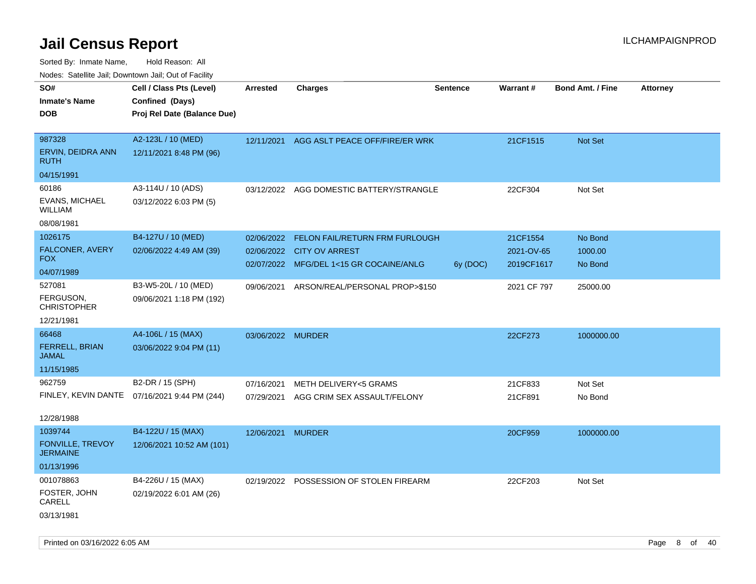Sorted By: Inmate Name, Hold Reason: All

| Nodes: Satellite Jail; Downtown Jail; Out of Facility |  |
|-------------------------------------------------------|--|
|                                                       |  |

| SO#<br><b>Inmate's Name</b><br><b>DOB</b> | Cell / Class Pts (Level)<br>Confined (Days)<br>Proj Rel Date (Balance Due) | <b>Arrested</b>   | <b>Charges</b>                          | <b>Sentence</b> | <b>Warrant#</b> | <b>Bond Amt. / Fine</b> | <b>Attorney</b> |
|-------------------------------------------|----------------------------------------------------------------------------|-------------------|-----------------------------------------|-----------------|-----------------|-------------------------|-----------------|
|                                           |                                                                            |                   |                                         |                 |                 |                         |                 |
| 987328                                    | A2-123L / 10 (MED)                                                         | 12/11/2021        | AGG ASLT PEACE OFF/FIRE/ER WRK          |                 | 21CF1515        | Not Set                 |                 |
| ERVIN, DEIDRA ANN<br><b>RUTH</b>          | 12/11/2021 8:48 PM (96)                                                    |                   |                                         |                 |                 |                         |                 |
| 04/15/1991                                |                                                                            |                   |                                         |                 |                 |                         |                 |
| 60186                                     | A3-114U / 10 (ADS)                                                         | 03/12/2022        | AGG DOMESTIC BATTERY/STRANGLE           |                 | 22CF304         | Not Set                 |                 |
| EVANS, MICHAEL<br>WILLIAM                 | 03/12/2022 6:03 PM (5)                                                     |                   |                                         |                 |                 |                         |                 |
| 08/08/1981                                |                                                                            |                   |                                         |                 |                 |                         |                 |
| 1026175                                   | B4-127U / 10 (MED)                                                         | 02/06/2022        | FELON FAIL/RETURN FRM FURLOUGH          |                 | 21CF1554        | No Bond                 |                 |
| FALCONER, AVERY<br><b>FOX</b>             | 02/06/2022 4:49 AM (39)                                                    |                   | 02/06/2022 CITY OV ARREST               |                 | 2021-OV-65      | 1000.00                 |                 |
| 04/07/1989                                |                                                                            |                   | 02/07/2022 MFG/DEL 1<15 GR COCAINE/ANLG | 6y (DOC)        | 2019CF1617      | No Bond                 |                 |
| 527081                                    | B3-W5-20L / 10 (MED)                                                       | 09/06/2021        | ARSON/REAL/PERSONAL PROP>\$150          |                 | 2021 CF 797     | 25000.00                |                 |
| FERGUSON,<br><b>CHRISTOPHER</b>           | 09/06/2021 1:18 PM (192)                                                   |                   |                                         |                 |                 |                         |                 |
| 12/21/1981                                |                                                                            |                   |                                         |                 |                 |                         |                 |
| 66468                                     | A4-106L / 15 (MAX)                                                         | 03/06/2022 MURDER |                                         |                 | 22CF273         | 1000000.00              |                 |
| FERRELL, BRIAN<br><b>JAMAL</b>            | 03/06/2022 9:04 PM (11)                                                    |                   |                                         |                 |                 |                         |                 |
| 11/15/1985                                |                                                                            |                   |                                         |                 |                 |                         |                 |
| 962759                                    | B2-DR / 15 (SPH)                                                           | 07/16/2021        | METH DELIVERY<5 GRAMS                   |                 | 21CF833         | Not Set                 |                 |
| FINLEY, KEVIN DANTE                       | 07/16/2021 9:44 PM (244)                                                   | 07/29/2021        | AGG CRIM SEX ASSAULT/FELONY             |                 | 21CF891         | No Bond                 |                 |
| 12/28/1988                                |                                                                            |                   |                                         |                 |                 |                         |                 |
| 1039744                                   | B4-122U / 15 (MAX)                                                         | 12/06/2021 MURDER |                                         |                 | 20CF959         | 1000000.00              |                 |
| FONVILLE, TREVOY<br><b>JERMAINE</b>       | 12/06/2021 10:52 AM (101)                                                  |                   |                                         |                 |                 |                         |                 |
| 01/13/1996                                |                                                                            |                   |                                         |                 |                 |                         |                 |
| 001078863                                 | B4-226U / 15 (MAX)                                                         |                   | 02/19/2022 POSSESSION OF STOLEN FIREARM |                 | 22CF203         | Not Set                 |                 |
| FOSTER, JOHN<br>CARELL                    | 02/19/2022 6:01 AM (26)                                                    |                   |                                         |                 |                 |                         |                 |
| 03/13/1981                                |                                                                            |                   |                                         |                 |                 |                         |                 |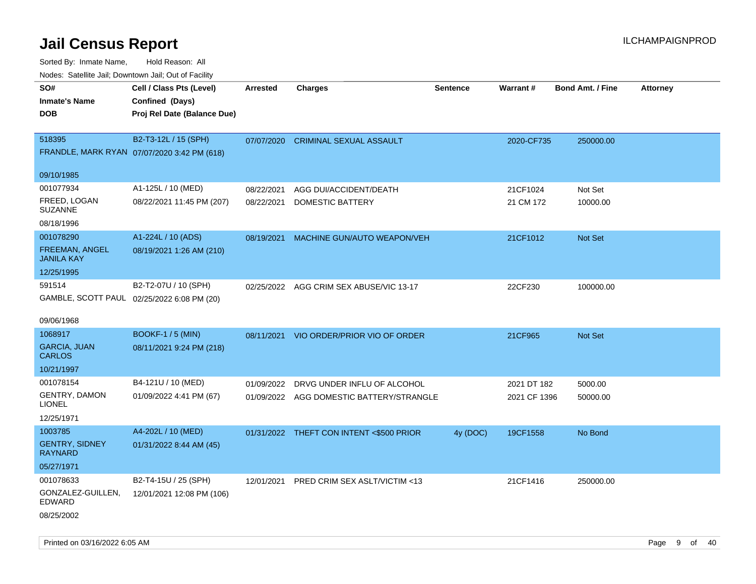Sorted By: Inmate Name, Hold Reason: All

| Nodes: Satellite Jail; Downtown Jail; Out of Facility |                                             |                 |                                          |                 |              |                  |                 |
|-------------------------------------------------------|---------------------------------------------|-----------------|------------------------------------------|-----------------|--------------|------------------|-----------------|
| SO#                                                   | Cell / Class Pts (Level)                    | <b>Arrested</b> | <b>Charges</b>                           | <b>Sentence</b> | Warrant#     | Bond Amt. / Fine | <b>Attorney</b> |
| <b>Inmate's Name</b>                                  | Confined (Days)                             |                 |                                          |                 |              |                  |                 |
| <b>DOB</b>                                            | Proj Rel Date (Balance Due)                 |                 |                                          |                 |              |                  |                 |
|                                                       |                                             |                 |                                          |                 |              |                  |                 |
| 518395                                                | B2-T3-12L / 15 (SPH)                        | 07/07/2020      | <b>CRIMINAL SEXUAL ASSAULT</b>           |                 | 2020-CF735   | 250000.00        |                 |
|                                                       | FRANDLE, MARK RYAN 07/07/2020 3:42 PM (618) |                 |                                          |                 |              |                  |                 |
| 09/10/1985                                            |                                             |                 |                                          |                 |              |                  |                 |
| 001077934                                             | A1-125L / 10 (MED)                          | 08/22/2021      | AGG DUI/ACCIDENT/DEATH                   |                 | 21CF1024     | Not Set          |                 |
| FREED, LOGAN                                          | 08/22/2021 11:45 PM (207)                   | 08/22/2021      | <b>DOMESTIC BATTERY</b>                  |                 | 21 CM 172    | 10000.00         |                 |
| <b>SUZANNE</b>                                        |                                             |                 |                                          |                 |              |                  |                 |
| 08/18/1996                                            |                                             |                 |                                          |                 |              |                  |                 |
| 001078290                                             | A1-224L / 10 (ADS)                          | 08/19/2021      | MACHINE GUN/AUTO WEAPON/VEH              |                 | 21CF1012     | Not Set          |                 |
| <b>FREEMAN, ANGEL</b>                                 | 08/19/2021 1:26 AM (210)                    |                 |                                          |                 |              |                  |                 |
| <b>JANILA KAY</b>                                     |                                             |                 |                                          |                 |              |                  |                 |
| 12/25/1995                                            |                                             |                 |                                          |                 |              |                  |                 |
| 591514                                                | B2-T2-07U / 10 (SPH)                        |                 | 02/25/2022 AGG CRIM SEX ABUSE/VIC 13-17  |                 | 22CF230      | 100000.00        |                 |
|                                                       | GAMBLE, SCOTT PAUL 02/25/2022 6:08 PM (20)  |                 |                                          |                 |              |                  |                 |
| 09/06/1968                                            |                                             |                 |                                          |                 |              |                  |                 |
| 1068917                                               | <b>BOOKF-1 / 5 (MIN)</b>                    |                 | 08/11/2021 VIO ORDER/PRIOR VIO OF ORDER  |                 | 21CF965      | Not Set          |                 |
| <b>GARCIA, JUAN</b>                                   | 08/11/2021 9:24 PM (218)                    |                 |                                          |                 |              |                  |                 |
| <b>CARLOS</b>                                         |                                             |                 |                                          |                 |              |                  |                 |
| 10/21/1997                                            |                                             |                 |                                          |                 |              |                  |                 |
| 001078154                                             | B4-121U / 10 (MED)                          | 01/09/2022      | DRVG UNDER INFLU OF ALCOHOL              |                 | 2021 DT 182  | 5000.00          |                 |
| <b>GENTRY, DAMON</b><br><b>LIONEL</b>                 | 01/09/2022 4:41 PM (67)                     |                 | 01/09/2022 AGG DOMESTIC BATTERY/STRANGLE |                 | 2021 CF 1396 | 50000.00         |                 |
| 12/25/1971                                            |                                             |                 |                                          |                 |              |                  |                 |
| 1003785                                               | A4-202L / 10 (MED)                          |                 | 01/31/2022 THEFT CON INTENT <\$500 PRIOR | 4y (DOC)        | 19CF1558     | No Bond          |                 |
| <b>GENTRY, SIDNEY</b>                                 | 01/31/2022 8:44 AM (45)                     |                 |                                          |                 |              |                  |                 |
| <b>RAYNARD</b>                                        |                                             |                 |                                          |                 |              |                  |                 |
| 05/27/1971                                            |                                             |                 |                                          |                 |              |                  |                 |
| 001078633                                             | B2-T4-15U / 25 (SPH)                        | 12/01/2021      | PRED CRIM SEX ASLT/VICTIM <13            |                 | 21CF1416     | 250000.00        |                 |
| GONZALEZ-GUILLEN,<br><b>EDWARD</b>                    | 12/01/2021 12:08 PM (106)                   |                 |                                          |                 |              |                  |                 |
| 08/25/2002                                            |                                             |                 |                                          |                 |              |                  |                 |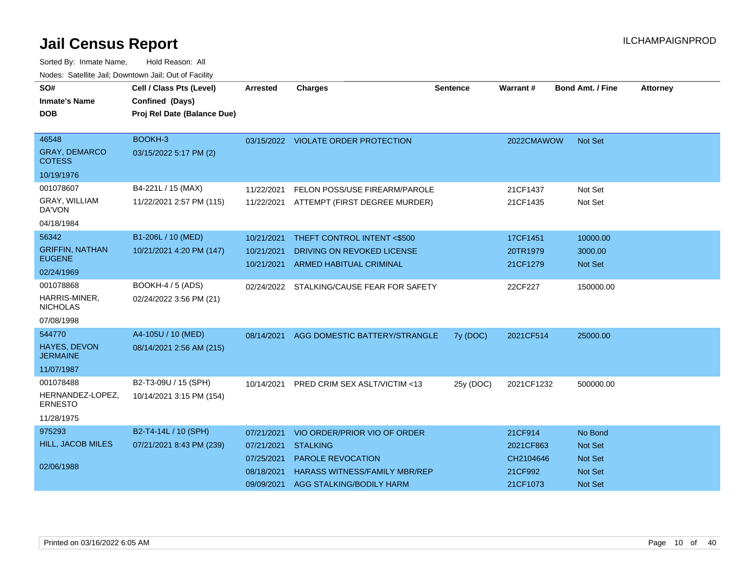| SO#                                    | Cell / Class Pts (Level)    | Arrested   | <b>Charges</b>                            | Sentence  | Warrant#   | <b>Bond Amt. / Fine</b> | <b>Attorney</b> |
|----------------------------------------|-----------------------------|------------|-------------------------------------------|-----------|------------|-------------------------|-----------------|
| <b>Inmate's Name</b>                   | Confined (Days)             |            |                                           |           |            |                         |                 |
| <b>DOB</b>                             | Proj Rel Date (Balance Due) |            |                                           |           |            |                         |                 |
|                                        |                             |            |                                           |           |            |                         |                 |
| 46548                                  | BOOKH-3                     |            | 03/15/2022 VIOLATE ORDER PROTECTION       |           | 2022CMAWOW | <b>Not Set</b>          |                 |
| <b>GRAY, DEMARCO</b><br><b>COTESS</b>  | 03/15/2022 5:17 PM (2)      |            |                                           |           |            |                         |                 |
| 10/19/1976                             |                             |            |                                           |           |            |                         |                 |
| 001078607                              | B4-221L / 15 (MAX)          | 11/22/2021 | FELON POSS/USE FIREARM/PAROLE             |           | 21CF1437   | Not Set                 |                 |
| GRAY, WILLIAM<br>DA'VON                | 11/22/2021 2:57 PM (115)    |            | 11/22/2021 ATTEMPT (FIRST DEGREE MURDER)  |           | 21CF1435   | Not Set                 |                 |
| 04/18/1984                             |                             |            |                                           |           |            |                         |                 |
| 56342                                  | B1-206L / 10 (MED)          | 10/21/2021 | THEFT CONTROL INTENT <\$500               |           | 17CF1451   | 10000.00                |                 |
| <b>GRIFFIN, NATHAN</b>                 | 10/21/2021 4:20 PM (147)    | 10/21/2021 | DRIVING ON REVOKED LICENSE                |           | 20TR1979   | 3000.00                 |                 |
| <b>EUGENE</b>                          |                             | 10/21/2021 | <b>ARMED HABITUAL CRIMINAL</b>            |           | 21CF1279   | Not Set                 |                 |
| 02/24/1969                             |                             |            |                                           |           |            |                         |                 |
| 001078868                              | BOOKH-4 / 5 (ADS)           |            | 02/24/2022 STALKING/CAUSE FEAR FOR SAFETY |           | 22CF227    | 150000.00               |                 |
| HARRIS-MINER,<br><b>NICHOLAS</b>       | 02/24/2022 3:56 PM (21)     |            |                                           |           |            |                         |                 |
| 07/08/1998                             |                             |            |                                           |           |            |                         |                 |
| 544770                                 | A4-105U / 10 (MED)          | 08/14/2021 | AGG DOMESTIC BATTERY/STRANGLE             | 7y (DOC)  | 2021CF514  | 25000.00                |                 |
| <b>HAYES, DEVON</b><br><b>JERMAINE</b> | 08/14/2021 2:56 AM (215)    |            |                                           |           |            |                         |                 |
| 11/07/1987                             |                             |            |                                           |           |            |                         |                 |
| 001078488                              | B2-T3-09U / 15 (SPH)        | 10/14/2021 | PRED CRIM SEX ASLT/VICTIM <13             | 25y (DOC) | 2021CF1232 | 500000.00               |                 |
| HERNANDEZ-LOPEZ.<br><b>ERNESTO</b>     | 10/14/2021 3:15 PM (154)    |            |                                           |           |            |                         |                 |
| 11/28/1975                             |                             |            |                                           |           |            |                         |                 |
| 975293                                 | B2-T4-14L / 10 (SPH)        | 07/21/2021 | VIO ORDER/PRIOR VIO OF ORDER              |           | 21CF914    | No Bond                 |                 |
| HILL, JACOB MILES                      | 07/21/2021 8:43 PM (239)    | 07/21/2021 | <b>STALKING</b>                           |           | 2021CF863  | <b>Not Set</b>          |                 |
|                                        |                             | 07/25/2021 | <b>PAROLE REVOCATION</b>                  |           | CH2104646  | <b>Not Set</b>          |                 |
| 02/06/1988                             |                             | 08/18/2021 | <b>HARASS WITNESS/FAMILY MBR/REP</b>      |           | 21CF992    | <b>Not Set</b>          |                 |
|                                        |                             | 09/09/2021 | AGG STALKING/BODILY HARM                  |           | 21CF1073   | <b>Not Set</b>          |                 |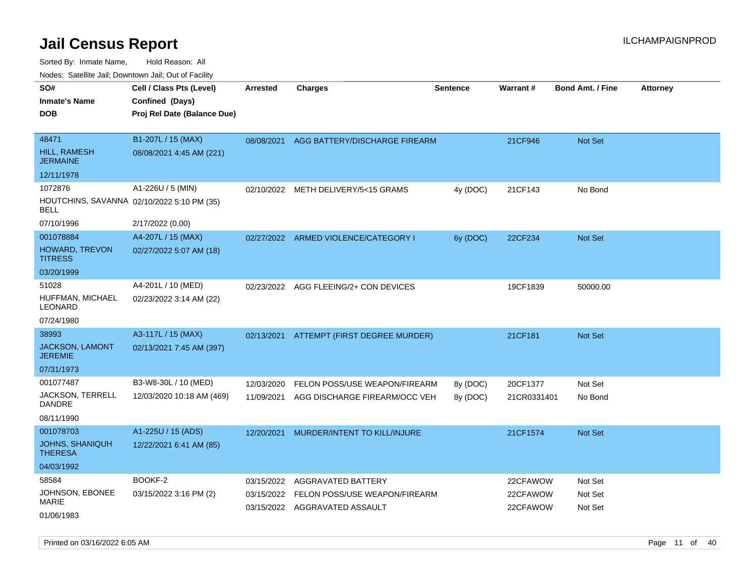Sorted By: Inmate Name, Hold Reason: All

| Nodes: Satellite Jail; Downtown Jail; Out of Facility |                                            |                 |                                       |                 |             |                         |                 |
|-------------------------------------------------------|--------------------------------------------|-----------------|---------------------------------------|-----------------|-------------|-------------------------|-----------------|
| SO#                                                   | Cell / Class Pts (Level)                   | <b>Arrested</b> | <b>Charges</b>                        | <b>Sentence</b> | Warrant#    | <b>Bond Amt. / Fine</b> | <b>Attorney</b> |
| <b>Inmate's Name</b>                                  | Confined (Days)                            |                 |                                       |                 |             |                         |                 |
| <b>DOB</b>                                            | Proj Rel Date (Balance Due)                |                 |                                       |                 |             |                         |                 |
|                                                       |                                            |                 |                                       |                 |             |                         |                 |
| 48471                                                 | B1-207L / 15 (MAX)                         | 08/08/2021      | AGG BATTERY/DISCHARGE FIREARM         |                 | 21CF946     | Not Set                 |                 |
| HILL, RAMESH<br><b>JERMAINE</b>                       | 08/08/2021 4:45 AM (221)                   |                 |                                       |                 |             |                         |                 |
| 12/11/1978                                            |                                            |                 |                                       |                 |             |                         |                 |
| 1072876                                               | A1-226U / 5 (MIN)                          | 02/10/2022      | METH DELIVERY/5<15 GRAMS              | 4y (DOC)        | 21CF143     | No Bond                 |                 |
| <b>BELL</b>                                           | HOUTCHINS, SAVANNA 02/10/2022 5:10 PM (35) |                 |                                       |                 |             |                         |                 |
| 07/10/1996                                            | 2/17/2022 (0.00)                           |                 |                                       |                 |             |                         |                 |
| 001078884                                             | A4-207L / 15 (MAX)                         |                 | 02/27/2022 ARMED VIOLENCE/CATEGORY I  | 6y (DOC)        | 22CF234     | Not Set                 |                 |
| HOWARD, TREVON<br><b>TITRESS</b>                      | 02/27/2022 5:07 AM (18)                    |                 |                                       |                 |             |                         |                 |
| 03/20/1999                                            |                                            |                 |                                       |                 |             |                         |                 |
| 51028                                                 | A4-201L / 10 (MED)                         |                 | 02/23/2022 AGG FLEEING/2+ CON DEVICES |                 | 19CF1839    | 50000.00                |                 |
| HUFFMAN, MICHAEL<br><b>LEONARD</b>                    | 02/23/2022 3:14 AM (22)                    |                 |                                       |                 |             |                         |                 |
| 07/24/1980                                            |                                            |                 |                                       |                 |             |                         |                 |
| 38993                                                 | A3-117L / 15 (MAX)                         | 02/13/2021      | ATTEMPT (FIRST DEGREE MURDER)         |                 | 21CF181     | Not Set                 |                 |
| <b>JACKSON, LAMONT</b><br><b>JEREMIE</b>              | 02/13/2021 7:45 AM (397)                   |                 |                                       |                 |             |                         |                 |
| 07/31/1973                                            |                                            |                 |                                       |                 |             |                         |                 |
| 001077487                                             | B3-W8-30L / 10 (MED)                       | 12/03/2020      | FELON POSS/USE WEAPON/FIREARM         | 8y (DOC)        | 20CF1377    | Not Set                 |                 |
| <b>JACKSON, TERRELL</b><br>DANDRE                     | 12/03/2020 10:18 AM (469)                  | 11/09/2021      | AGG DISCHARGE FIREARM/OCC VEH         | 8y (DOC)        | 21CR0331401 | No Bond                 |                 |
| 08/11/1990                                            |                                            |                 |                                       |                 |             |                         |                 |
| 001078703                                             | A1-225U / 15 (ADS)                         | 12/20/2021      | MURDER/INTENT TO KILL/INJURE          |                 | 21CF1574    | Not Set                 |                 |
| <b>JOHNS, SHANIQUH</b><br><b>THERESA</b>              | 12/22/2021 6:41 AM (85)                    |                 |                                       |                 |             |                         |                 |
| 04/03/1992                                            |                                            |                 |                                       |                 |             |                         |                 |
| 58584                                                 | BOOKF-2                                    | 03/15/2022      | AGGRAVATED BATTERY                    |                 | 22CFAWOW    | Not Set                 |                 |
| JOHNSON, EBONEE                                       | 03/15/2022 3:16 PM (2)                     | 03/15/2022      | FELON POSS/USE WEAPON/FIREARM         |                 | 22CFAWOW    | Not Set                 |                 |
| <b>MARIE</b>                                          |                                            |                 | 03/15/2022 AGGRAVATED ASSAULT         |                 | 22CFAWOW    | Not Set                 |                 |
| 01/06/1983                                            |                                            |                 |                                       |                 |             |                         |                 |

Printed on 03/16/2022 6:05 AM **Page 11** of 40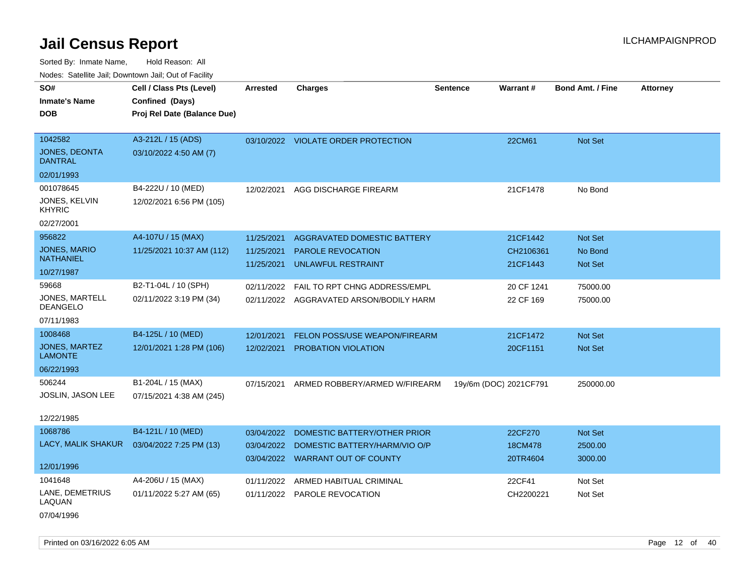Sorted By: Inmate Name, Hold Reason: All Nodes: Satellite Jail; Downtown Jail; Out of Facility

| roaco. Calcinio dan, Downtown dan, Cal or Fability |                                                                            |                 |                                         |                 |                        |                         |                 |
|----------------------------------------------------|----------------------------------------------------------------------------|-----------------|-----------------------------------------|-----------------|------------------------|-------------------------|-----------------|
| SO#<br>Inmate's Name<br><b>DOB</b>                 | Cell / Class Pts (Level)<br>Confined (Days)<br>Proj Rel Date (Balance Due) | <b>Arrested</b> | <b>Charges</b>                          | <b>Sentence</b> | <b>Warrant#</b>        | <b>Bond Amt. / Fine</b> | <b>Attorney</b> |
| 1042582<br>JONES, DEONTA                           | A3-212L / 15 (ADS)<br>03/10/2022 4:50 AM (7)                               |                 | 03/10/2022 VIOLATE ORDER PROTECTION     |                 | 22CM61                 | Not Set                 |                 |
| DANTRAL                                            |                                                                            |                 |                                         |                 |                        |                         |                 |
| 02/01/1993                                         |                                                                            |                 |                                         |                 |                        |                         |                 |
| 001078645                                          | B4-222U / 10 (MED)                                                         | 12/02/2021      | AGG DISCHARGE FIREARM                   |                 | 21CF1478               | No Bond                 |                 |
| JONES, KELVIN<br>KHYRIC                            | 12/02/2021 6:56 PM (105)                                                   |                 |                                         |                 |                        |                         |                 |
| 02/27/2001                                         |                                                                            |                 |                                         |                 |                        |                         |                 |
| 956822                                             | A4-107U / 15 (MAX)                                                         | 11/25/2021      | AGGRAVATED DOMESTIC BATTERY             |                 | 21CF1442               | <b>Not Set</b>          |                 |
| JONES, MARIO<br>NATHANIEL                          | 11/25/2021 10:37 AM (112)                                                  | 11/25/2021      | <b>PAROLE REVOCATION</b>                |                 | CH2106361              | No Bond                 |                 |
| 10/27/1987                                         |                                                                            | 11/25/2021      | UNLAWFUL RESTRAINT                      |                 | 21CF1443               | <b>Not Set</b>          |                 |
| 59668                                              | B2-T1-04L / 10 (SPH)                                                       | 02/11/2022      | FAIL TO RPT CHNG ADDRESS/EMPL           |                 | 20 CF 1241             | 75000.00                |                 |
| JONES, MARTELL<br>DEANGELO                         | 02/11/2022 3:19 PM (34)                                                    |                 | 02/11/2022 AGGRAVATED ARSON/BODILY HARM |                 | 22 CF 169              | 75000.00                |                 |
| 07/11/1983                                         |                                                                            |                 |                                         |                 |                        |                         |                 |
| 1008468                                            | B4-125L / 10 (MED)                                                         | 12/01/2021      | FELON POSS/USE WEAPON/FIREARM           |                 | 21CF1472               | <b>Not Set</b>          |                 |
| JONES, MARTEZ<br><b>LAMONTE</b>                    | 12/01/2021 1:28 PM (106)                                                   | 12/02/2021      | PROBATION VIOLATION                     |                 | 20CF1151               | <b>Not Set</b>          |                 |
| 06/22/1993                                         |                                                                            |                 |                                         |                 |                        |                         |                 |
| 506244                                             | B1-204L / 15 (MAX)                                                         | 07/15/2021      | ARMED ROBBERY/ARMED W/FIREARM           |                 | 19y/6m (DOC) 2021CF791 | 250000.00               |                 |
| <b>JOSLIN, JASON LEE</b>                           | 07/15/2021 4:38 AM (245)                                                   |                 |                                         |                 |                        |                         |                 |
| 12/22/1985                                         |                                                                            |                 |                                         |                 |                        |                         |                 |
| 1068786                                            | B4-121L / 10 (MED)                                                         | 03/04/2022      | DOMESTIC BATTERY/OTHER PRIOR            |                 | 22CF270                | Not Set                 |                 |
| LACY, MALIK SHAKUR                                 | 03/04/2022 7:25 PM (13)                                                    | 03/04/2022      | DOMESTIC BATTERY/HARM/VIO O/P           |                 | 18CM478                | 2500.00                 |                 |
|                                                    |                                                                            |                 | 03/04/2022 WARRANT OUT OF COUNTY        |                 | 20TR4604               | 3000.00                 |                 |
| 12/01/1996                                         |                                                                            |                 |                                         |                 |                        |                         |                 |
| 1041648                                            | A4-206U / 15 (MAX)                                                         | 01/11/2022      | ARMED HABITUAL CRIMINAL                 |                 | 22CF41                 | Not Set                 |                 |
| LANE, DEMETRIUS<br>LAQUAN                          | 01/11/2022 5:27 AM (65)                                                    | 01/11/2022      | PAROLE REVOCATION                       |                 | CH2200221              | Not Set                 |                 |
|                                                    |                                                                            |                 |                                         |                 |                        |                         |                 |

07/04/1996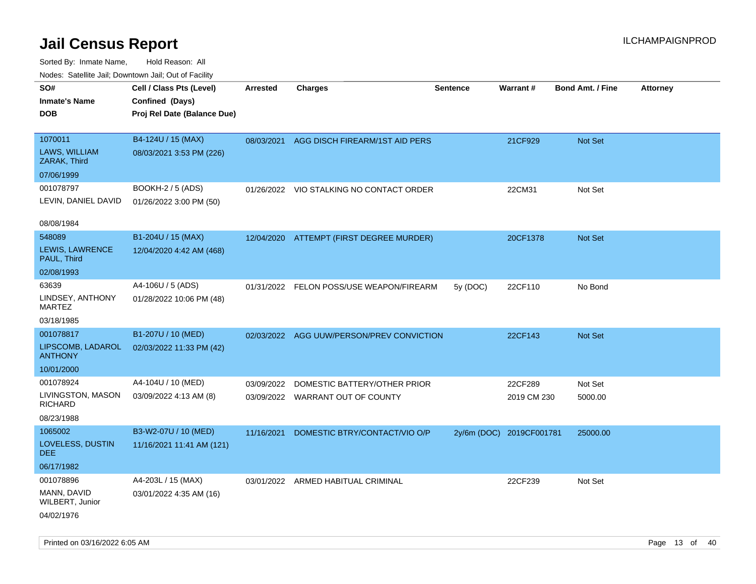| rougs. Calcing Jan, Downtown Jan, Out of Facility |                                             |                 |                                           |                 |                          |                         |                 |
|---------------------------------------------------|---------------------------------------------|-----------------|-------------------------------------------|-----------------|--------------------------|-------------------------|-----------------|
| SO#<br><b>Inmate's Name</b>                       | Cell / Class Pts (Level)<br>Confined (Days) | <b>Arrested</b> | <b>Charges</b>                            | <b>Sentence</b> | Warrant#                 | <b>Bond Amt. / Fine</b> | <b>Attorney</b> |
| <b>DOB</b>                                        | Proj Rel Date (Balance Due)                 |                 |                                           |                 |                          |                         |                 |
| 1070011                                           | B4-124U / 15 (MAX)                          |                 | 08/03/2021 AGG DISCH FIREARM/1ST AID PERS |                 | 21CF929                  | Not Set                 |                 |
| LAWS, WILLIAM<br>ZARAK, Third                     | 08/03/2021 3:53 PM (226)                    |                 |                                           |                 |                          |                         |                 |
| 07/06/1999                                        |                                             |                 |                                           |                 |                          |                         |                 |
| 001078797                                         | BOOKH-2 / 5 (ADS)                           |                 | 01/26/2022 VIO STALKING NO CONTACT ORDER  |                 | 22CM31                   | Not Set                 |                 |
| LEVIN, DANIEL DAVID                               | 01/26/2022 3:00 PM (50)                     |                 |                                           |                 |                          |                         |                 |
| 08/08/1984                                        |                                             |                 |                                           |                 |                          |                         |                 |
| 548089                                            | B1-204U / 15 (MAX)                          |                 | 12/04/2020 ATTEMPT (FIRST DEGREE MURDER)  |                 | 20CF1378                 | Not Set                 |                 |
| LEWIS, LAWRENCE<br>PAUL, Third                    | 12/04/2020 4:42 AM (468)                    |                 |                                           |                 |                          |                         |                 |
| 02/08/1993                                        |                                             |                 |                                           |                 |                          |                         |                 |
| 63639                                             | A4-106U / 5 (ADS)                           |                 | 01/31/2022 FELON POSS/USE WEAPON/FIREARM  | 5y (DOC)        | 22CF110                  | No Bond                 |                 |
| LINDSEY, ANTHONY<br>MARTEZ                        | 01/28/2022 10:06 PM (48)                    |                 |                                           |                 |                          |                         |                 |
| 03/18/1985                                        |                                             |                 |                                           |                 |                          |                         |                 |
| 001078817                                         | B1-207U / 10 (MED)                          | 02/03/2022      | AGG UUW/PERSON/PREV CONVICTION            |                 | 22CF143                  | <b>Not Set</b>          |                 |
| LIPSCOMB, LADAROL<br><b>ANTHONY</b>               | 02/03/2022 11:33 PM (42)                    |                 |                                           |                 |                          |                         |                 |
| 10/01/2000                                        |                                             |                 |                                           |                 |                          |                         |                 |
| 001078924                                         | A4-104U / 10 (MED)                          | 03/09/2022      | DOMESTIC BATTERY/OTHER PRIOR              |                 | 22CF289                  | Not Set                 |                 |
| LIVINGSTON, MASON<br><b>RICHARD</b>               | 03/09/2022 4:13 AM (8)                      |                 | 03/09/2022 WARRANT OUT OF COUNTY          |                 | 2019 CM 230              | 5000.00                 |                 |
| 08/23/1988                                        |                                             |                 |                                           |                 |                          |                         |                 |
| 1065002                                           | B3-W2-07U / 10 (MED)                        | 11/16/2021      | DOMESTIC BTRY/CONTACT/VIO O/P             |                 | 2y/6m (DOC) 2019CF001781 | 25000.00                |                 |
| LOVELESS, DUSTIN<br>DEE.                          | 11/16/2021 11:41 AM (121)                   |                 |                                           |                 |                          |                         |                 |
| 06/17/1982                                        |                                             |                 |                                           |                 |                          |                         |                 |
| 001078896                                         | A4-203L / 15 (MAX)                          |                 | 03/01/2022 ARMED HABITUAL CRIMINAL        |                 | 22CF239                  | Not Set                 |                 |
| MANN, DAVID<br>WILBERT, Junior                    | 03/01/2022 4:35 AM (16)                     |                 |                                           |                 |                          |                         |                 |
| 04/02/1976                                        |                                             |                 |                                           |                 |                          |                         |                 |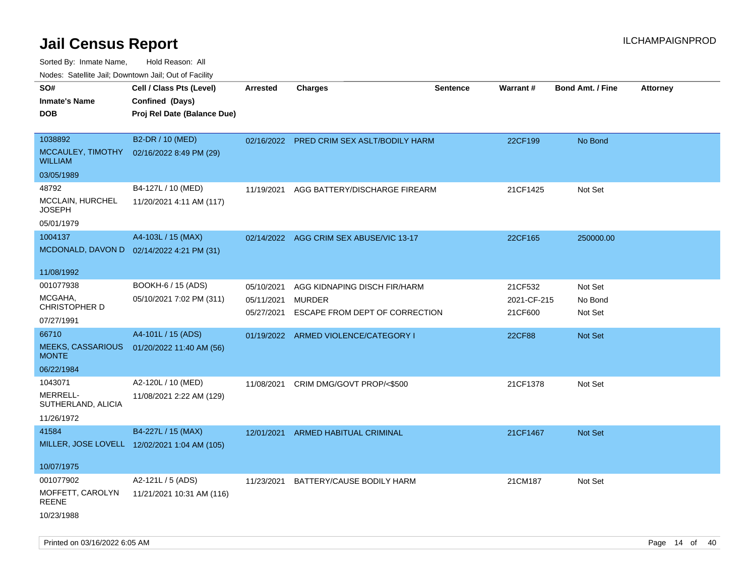Sorted By: Inmate Name, Hold Reason: All

Nodes: Satellite Jail; Downtown Jail; Out of Facility

| SO#<br><b>Inmate's Name</b><br><b>DOB</b>                         | Cell / Class Pts (Level)<br>Confined (Days)<br>Proj Rel Date (Balance Due) | Arrested                               | <b>Charges</b>                                                                  | <b>Sentence</b> | <b>Warrant#</b>                   | <b>Bond Amt. / Fine</b>       | <b>Attorney</b> |
|-------------------------------------------------------------------|----------------------------------------------------------------------------|----------------------------------------|---------------------------------------------------------------------------------|-----------------|-----------------------------------|-------------------------------|-----------------|
| 1038892<br>MCCAULEY, TIMOTHY<br><b>WILLIAM</b>                    | B2-DR / 10 (MED)<br>02/16/2022 8:49 PM (29)                                |                                        | 02/16/2022 PRED CRIM SEX ASLT/BODILY HARM                                       |                 | 22CF199                           | No Bond                       |                 |
| 03/05/1989<br>48792<br>MCCLAIN, HURCHEL<br><b>JOSEPH</b>          | B4-127L / 10 (MED)<br>11/20/2021 4:11 AM (117)                             | 11/19/2021                             | AGG BATTERY/DISCHARGE FIREARM                                                   |                 | 21CF1425                          | Not Set                       |                 |
| 05/01/1979<br>1004137                                             | A4-103L / 15 (MAX)<br>MCDONALD, DAVON D 02/14/2022 4:21 PM (31)            |                                        | 02/14/2022 AGG CRIM SEX ABUSE/VIC 13-17                                         |                 | 22CF165                           | 250000.00                     |                 |
| 11/08/1992<br>001077938<br>MCGAHA,<br>CHRISTOPHER D<br>07/27/1991 | BOOKH-6 / 15 (ADS)<br>05/10/2021 7:02 PM (311)                             | 05/10/2021<br>05/11/2021<br>05/27/2021 | AGG KIDNAPING DISCH FIR/HARM<br><b>MURDER</b><br>ESCAPE FROM DEPT OF CORRECTION |                 | 21CF532<br>2021-CF-215<br>21CF600 | Not Set<br>No Bond<br>Not Set |                 |
| 66710<br><b>MEEKS, CASSARIOUS</b><br><b>MONTE</b><br>06/22/1984   | A4-101L / 15 (ADS)<br>01/20/2022 11:40 AM (56)                             |                                        | 01/19/2022 ARMED VIOLENCE/CATEGORY I                                            |                 | 22CF88                            | Not Set                       |                 |
| 1043071<br>MERRELL-<br>SUTHERLAND, ALICIA<br>11/26/1972           | A2-120L / 10 (MED)<br>11/08/2021 2:22 AM (129)                             | 11/08/2021                             | CRIM DMG/GOVT PROP/<\$500                                                       |                 | 21CF1378                          | Not Set                       |                 |
| 41584<br>10/07/1975                                               | B4-227L / 15 (MAX)<br>MILLER, JOSE LOVELL 12/02/2021 1:04 AM (105)         | 12/01/2021                             | ARMED HABITUAL CRIMINAL                                                         |                 | 21CF1467                          | Not Set                       |                 |
| 001077902<br>MOFFETT, CAROLYN<br>REENE<br>10/23/1988              | A2-121L / 5 (ADS)<br>11/21/2021 10:31 AM (116)                             | 11/23/2021                             | BATTERY/CAUSE BODILY HARM                                                       |                 | 21CM187                           | Not Set                       |                 |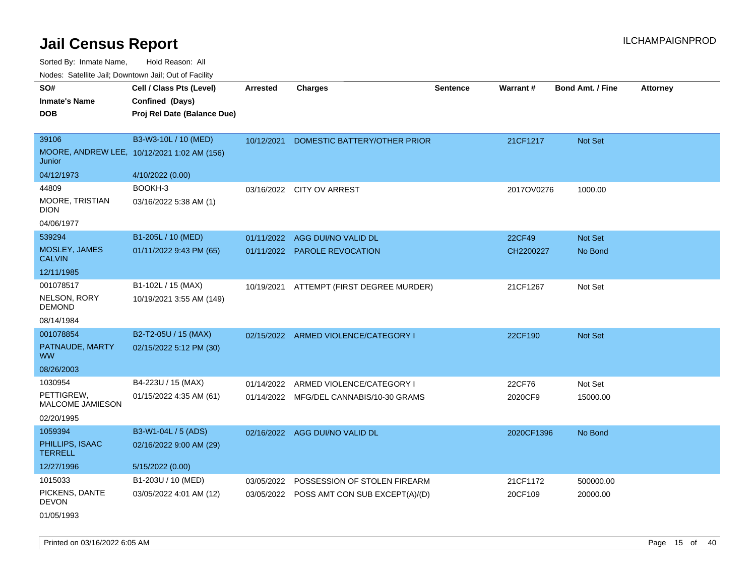| roaco. Catolino cali, Domntonn cali, Out of Facility |                                             |                 |                                           |                 |            |                         |                 |
|------------------------------------------------------|---------------------------------------------|-----------------|-------------------------------------------|-----------------|------------|-------------------------|-----------------|
| SO#                                                  | Cell / Class Pts (Level)                    | <b>Arrested</b> | <b>Charges</b>                            | <b>Sentence</b> | Warrant#   | <b>Bond Amt. / Fine</b> | <b>Attorney</b> |
| <b>Inmate's Name</b>                                 | Confined (Days)                             |                 |                                           |                 |            |                         |                 |
| <b>DOB</b>                                           | Proj Rel Date (Balance Due)                 |                 |                                           |                 |            |                         |                 |
|                                                      |                                             |                 |                                           |                 |            |                         |                 |
| 39106                                                | B3-W3-10L / 10 (MED)                        | 10/12/2021      | DOMESTIC BATTERY/OTHER PRIOR              |                 | 21CF1217   | <b>Not Set</b>          |                 |
| Junior                                               | MOORE, ANDREW LEE, 10/12/2021 1:02 AM (156) |                 |                                           |                 |            |                         |                 |
| 04/12/1973                                           | 4/10/2022 (0.00)                            |                 |                                           |                 |            |                         |                 |
| 44809                                                | BOOKH-3                                     |                 | 03/16/2022 CITY OV ARREST                 |                 | 2017OV0276 | 1000.00                 |                 |
| MOORE, TRISTIAN<br><b>DION</b>                       | 03/16/2022 5:38 AM (1)                      |                 |                                           |                 |            |                         |                 |
| 04/06/1977                                           |                                             |                 |                                           |                 |            |                         |                 |
| 539294                                               | B1-205L / 10 (MED)                          |                 | 01/11/2022 AGG DUI/NO VALID DL            |                 | 22CF49     | Not Set                 |                 |
| MOSLEY, JAMES<br><b>CALVIN</b>                       | 01/11/2022 9:43 PM (65)                     |                 | 01/11/2022 PAROLE REVOCATION              |                 | CH2200227  | No Bond                 |                 |
| 12/11/1985                                           |                                             |                 |                                           |                 |            |                         |                 |
| 001078517                                            | B1-102L / 15 (MAX)                          |                 | 10/19/2021 ATTEMPT (FIRST DEGREE MURDER)  |                 | 21CF1267   | Not Set                 |                 |
| NELSON, RORY<br><b>DEMOND</b>                        | 10/19/2021 3:55 AM (149)                    |                 |                                           |                 |            |                         |                 |
| 08/14/1984                                           |                                             |                 |                                           |                 |            |                         |                 |
| 001078854                                            | B2-T2-05U / 15 (MAX)                        |                 | 02/15/2022 ARMED VIOLENCE/CATEGORY I      |                 | 22CF190    | Not Set                 |                 |
| PATNAUDE, MARTY<br><b>WW</b>                         | 02/15/2022 5:12 PM (30)                     |                 |                                           |                 |            |                         |                 |
| 08/26/2003                                           |                                             |                 |                                           |                 |            |                         |                 |
| 1030954                                              | B4-223U / 15 (MAX)                          |                 | 01/14/2022 ARMED VIOLENCE/CATEGORY I      |                 | 22CF76     | Not Set                 |                 |
| PETTIGREW,<br>MALCOME JAMIESON                       | 01/15/2022 4:35 AM (61)                     |                 | 01/14/2022 MFG/DEL CANNABIS/10-30 GRAMS   |                 | 2020CF9    | 15000.00                |                 |
| 02/20/1995                                           |                                             |                 |                                           |                 |            |                         |                 |
| 1059394                                              | B3-W1-04L / 5 (ADS)                         |                 | 02/16/2022 AGG DUI/NO VALID DL            |                 | 2020CF1396 | No Bond                 |                 |
| PHILLIPS, ISAAC<br><b>TERRELL</b>                    | 02/16/2022 9:00 AM (29)                     |                 |                                           |                 |            |                         |                 |
| 12/27/1996                                           | 5/15/2022 (0.00)                            |                 |                                           |                 |            |                         |                 |
| 1015033                                              | B1-203U / 10 (MED)                          | 03/05/2022      | POSSESSION OF STOLEN FIREARM              |                 | 21CF1172   | 500000.00               |                 |
| PICKENS, DANTE<br><b>DEVON</b>                       | 03/05/2022 4:01 AM (12)                     |                 | 03/05/2022 POSS AMT CON SUB EXCEPT(A)/(D) |                 | 20CF109    | 20000.00                |                 |
| 01/05/1993                                           |                                             |                 |                                           |                 |            |                         |                 |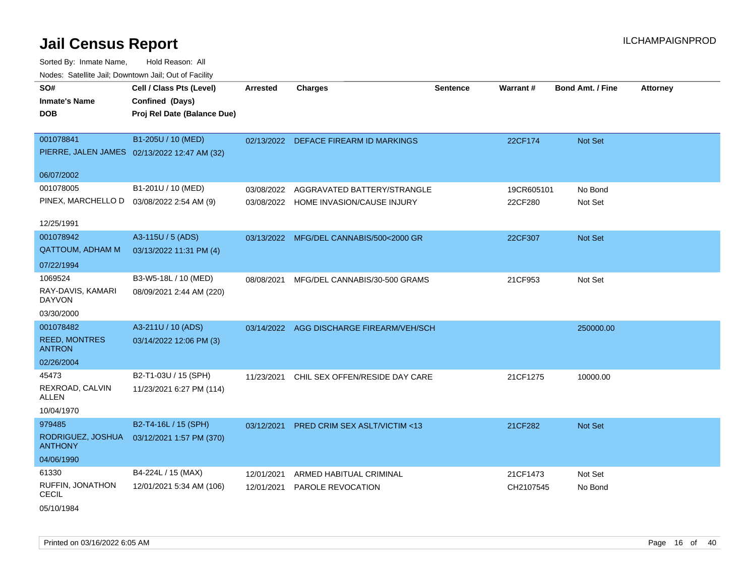| SO#                                        | Cell / Class Pts (Level)                     | <b>Arrested</b> | <b>Charges</b>                           | <b>Sentence</b> | Warrant#   | <b>Bond Amt. / Fine</b> | <b>Attorney</b> |
|--------------------------------------------|----------------------------------------------|-----------------|------------------------------------------|-----------------|------------|-------------------------|-----------------|
| <b>Inmate's Name</b>                       | Confined (Days)                              |                 |                                          |                 |            |                         |                 |
| <b>DOB</b>                                 | Proj Rel Date (Balance Due)                  |                 |                                          |                 |            |                         |                 |
|                                            |                                              |                 |                                          |                 |            |                         |                 |
| 001078841                                  | B1-205U / 10 (MED)                           |                 | 02/13/2022 DEFACE FIREARM ID MARKINGS    |                 | 22CF174    | Not Set                 |                 |
|                                            | PIERRE, JALEN JAMES 02/13/2022 12:47 AM (32) |                 |                                          |                 |            |                         |                 |
| 06/07/2002                                 |                                              |                 |                                          |                 |            |                         |                 |
| 001078005                                  | B1-201U / 10 (MED)                           | 03/08/2022      | AGGRAVATED BATTERY/STRANGLE              |                 | 19CR605101 | No Bond                 |                 |
| PINEX, MARCHELLO D  03/08/2022 2:54 AM (9) |                                              |                 | 03/08/2022 HOME INVASION/CAUSE INJURY    |                 | 22CF280    | Not Set                 |                 |
|                                            |                                              |                 |                                          |                 |            |                         |                 |
| 12/25/1991                                 |                                              |                 |                                          |                 |            |                         |                 |
| 001078942                                  | A3-115U / 5 (ADS)                            |                 | 03/13/2022 MFG/DEL CANNABIS/500<2000 GR  |                 | 22CF307    | Not Set                 |                 |
| QATTOUM, ADHAM M                           | 03/13/2022 11:31 PM (4)                      |                 |                                          |                 |            |                         |                 |
| 07/22/1994                                 |                                              |                 |                                          |                 |            |                         |                 |
| 1069524                                    | B3-W5-18L / 10 (MED)                         | 08/08/2021      | MFG/DEL CANNABIS/30-500 GRAMS            |                 | 21CF953    | Not Set                 |                 |
| RAY-DAVIS, KAMARI<br><b>DAYVON</b>         | 08/09/2021 2:44 AM (220)                     |                 |                                          |                 |            |                         |                 |
| 03/30/2000                                 |                                              |                 |                                          |                 |            |                         |                 |
| 001078482                                  | A3-211U / 10 (ADS)                           |                 | 03/14/2022 AGG DISCHARGE FIREARM/VEH/SCH |                 |            | 250000.00               |                 |
| <b>REED, MONTRES</b><br><b>ANTRON</b>      | 03/14/2022 12:06 PM (3)                      |                 |                                          |                 |            |                         |                 |
| 02/26/2004                                 |                                              |                 |                                          |                 |            |                         |                 |
| 45473                                      | B2-T1-03U / 15 (SPH)                         | 11/23/2021      | CHIL SEX OFFEN/RESIDE DAY CARE           |                 | 21CF1275   | 10000.00                |                 |
| REXROAD, CALVIN<br>ALLEN                   | 11/23/2021 6:27 PM (114)                     |                 |                                          |                 |            |                         |                 |
| 10/04/1970                                 |                                              |                 |                                          |                 |            |                         |                 |
| 979485                                     | B2-T4-16L / 15 (SPH)                         |                 | 03/12/2021 PRED CRIM SEX ASLT/VICTIM <13 |                 | 21CF282    | Not Set                 |                 |
| RODRIGUEZ, JOSHUA<br><b>ANTHONY</b>        | 03/12/2021 1:57 PM (370)                     |                 |                                          |                 |            |                         |                 |
| 04/06/1990                                 |                                              |                 |                                          |                 |            |                         |                 |
| 61330                                      | B4-224L / 15 (MAX)                           | 12/01/2021      | ARMED HABITUAL CRIMINAL                  |                 | 21CF1473   | Not Set                 |                 |
| RUFFIN, JONATHON<br><b>CECIL</b>           | 12/01/2021 5:34 AM (106)                     | 12/01/2021      | <b>PAROLE REVOCATION</b>                 |                 | CH2107545  | No Bond                 |                 |
| 05/10/1984                                 |                                              |                 |                                          |                 |            |                         |                 |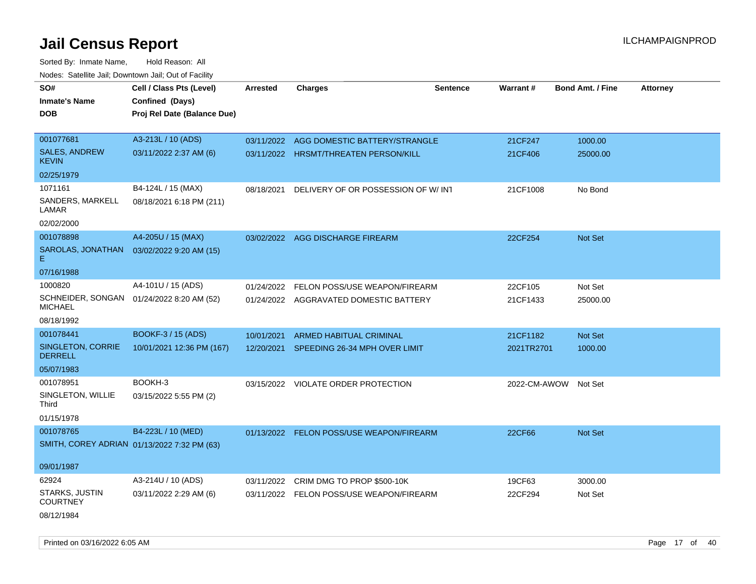| roaco. Catolino cali, Downtown cali, Out of Facility        |                             |            |                                          |                 |              |                         |                 |
|-------------------------------------------------------------|-----------------------------|------------|------------------------------------------|-----------------|--------------|-------------------------|-----------------|
| SO#                                                         | Cell / Class Pts (Level)    | Arrested   | <b>Charges</b>                           | <b>Sentence</b> | Warrant#     | <b>Bond Amt. / Fine</b> | <b>Attorney</b> |
| <b>Inmate's Name</b>                                        | Confined (Days)             |            |                                          |                 |              |                         |                 |
| DOB                                                         | Proj Rel Date (Balance Due) |            |                                          |                 |              |                         |                 |
|                                                             |                             |            |                                          |                 |              |                         |                 |
| 001077681                                                   | A3-213L / 10 (ADS)          |            | 03/11/2022 AGG DOMESTIC BATTERY/STRANGLE |                 | 21CF247      | 1000.00                 |                 |
| <b>SALES, ANDREW</b><br>KEVIN                               | 03/11/2022 2:37 AM (6)      |            | 03/11/2022 HRSMT/THREATEN PERSON/KILL    |                 | 21CF406      | 25000.00                |                 |
| 02/25/1979                                                  |                             |            |                                          |                 |              |                         |                 |
| 1071161                                                     | B4-124L / 15 (MAX)          | 08/18/2021 | DELIVERY OF OR POSSESSION OF W/INT       |                 | 21CF1008     | No Bond                 |                 |
| SANDERS, MARKELL<br>LAMAR                                   | 08/18/2021 6:18 PM (211)    |            |                                          |                 |              |                         |                 |
| 02/02/2000                                                  |                             |            |                                          |                 |              |                         |                 |
| 001078898                                                   | A4-205U / 15 (MAX)          |            | 03/02/2022 AGG DISCHARGE FIREARM         |                 | 22CF254      | <b>Not Set</b>          |                 |
| SAROLAS, JONATHAN<br>E.                                     | 03/02/2022 9:20 AM (15)     |            |                                          |                 |              |                         |                 |
| 07/16/1988                                                  |                             |            |                                          |                 |              |                         |                 |
| 1000820                                                     | A4-101U / 15 (ADS)          | 01/24/2022 | FELON POSS/USE WEAPON/FIREARM            |                 | 22CF105      | Not Set                 |                 |
| SCHNEIDER, SONGAN 01/24/2022 8:20 AM (52)<br><b>MICHAEL</b> |                             |            | 01/24/2022 AGGRAVATED DOMESTIC BATTERY   |                 | 21CF1433     | 25000.00                |                 |
| 08/18/1992                                                  |                             |            |                                          |                 |              |                         |                 |
| 001078441                                                   | <b>BOOKF-3 / 15 (ADS)</b>   | 10/01/2021 | <b>ARMED HABITUAL CRIMINAL</b>           |                 | 21CF1182     | <b>Not Set</b>          |                 |
| SINGLETON, CORRIE<br><b>DERRELL</b>                         | 10/01/2021 12:36 PM (167)   | 12/20/2021 | SPEEDING 26-34 MPH OVER LIMIT            |                 | 2021TR2701   | 1000.00                 |                 |
| 05/07/1983                                                  |                             |            |                                          |                 |              |                         |                 |
| 001078951                                                   | BOOKH-3                     |            | 03/15/2022 VIOLATE ORDER PROTECTION      |                 | 2022-CM-AWOW | Not Set                 |                 |
| SINGLETON, WILLIE<br>Third                                  | 03/15/2022 5:55 PM (2)      |            |                                          |                 |              |                         |                 |
| 01/15/1978                                                  |                             |            |                                          |                 |              |                         |                 |
| 001078765                                                   | B4-223L / 10 (MED)          |            | 01/13/2022 FELON POSS/USE WEAPON/FIREARM |                 | 22CF66       | <b>Not Set</b>          |                 |
| SMITH, COREY ADRIAN 01/13/2022 7:32 PM (63)                 |                             |            |                                          |                 |              |                         |                 |
| 09/01/1987                                                  |                             |            |                                          |                 |              |                         |                 |
| 62924                                                       | A3-214U / 10 (ADS)          | 03/11/2022 | CRIM DMG TO PROP \$500-10K               |                 | 19CF63       | 3000.00                 |                 |
| STARKS, JUSTIN<br><b>COURTNEY</b>                           | 03/11/2022 2:29 AM (6)      |            | 03/11/2022 FELON POSS/USE WEAPON/FIREARM |                 | 22CF294      | Not Set                 |                 |
| 08/12/1984                                                  |                             |            |                                          |                 |              |                         |                 |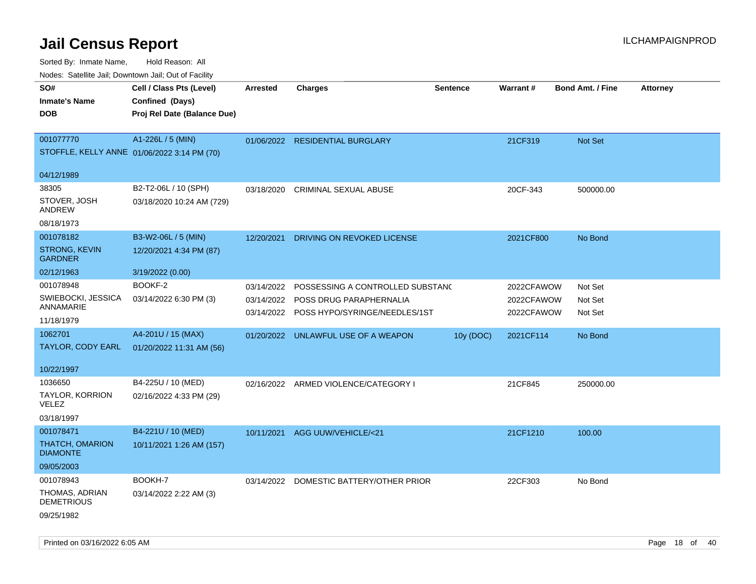Sorted By: Inmate Name, Hold Reason: All

| SO#<br><b>Inmate's Name</b><br><b>DOB</b>                      | Cell / Class Pts (Level)<br>Confined (Days)<br>Proj Rel Date (Balance Due) | <b>Arrested</b>                        | <b>Charges</b>                                                                               | <b>Sentence</b> | Warrant#                               | <b>Bond Amt. / Fine</b>       | <b>Attorney</b> |
|----------------------------------------------------------------|----------------------------------------------------------------------------|----------------------------------------|----------------------------------------------------------------------------------------------|-----------------|----------------------------------------|-------------------------------|-----------------|
| 001077770                                                      | A1-226L / 5 (MIN)<br>STOFFLE, KELLY ANNE 01/06/2022 3:14 PM (70)           |                                        | 01/06/2022 RESIDENTIAL BURGLARY                                                              |                 | 21CF319                                | <b>Not Set</b>                |                 |
| 04/12/1989                                                     |                                                                            |                                        |                                                                                              |                 |                                        |                               |                 |
| 38305<br>STOVER, JOSH<br>ANDREW                                | B2-T2-06L / 10 (SPH)<br>03/18/2020 10:24 AM (729)                          | 03/18/2020                             | CRIMINAL SEXUAL ABUSE                                                                        |                 | 20CF-343                               | 500000.00                     |                 |
| 08/18/1973                                                     |                                                                            |                                        |                                                                                              |                 |                                        |                               |                 |
| 001078182<br><b>STRONG, KEVIN</b><br><b>GARDNER</b>            | B3-W2-06L / 5 (MIN)<br>12/20/2021 4:34 PM (87)                             | 12/20/2021                             | DRIVING ON REVOKED LICENSE                                                                   |                 | 2021CF800                              | No Bond                       |                 |
| 02/12/1963                                                     | 3/19/2022 (0.00)                                                           |                                        |                                                                                              |                 |                                        |                               |                 |
| 001078948<br>SWIEBOCKI, JESSICA<br>ANNAMARIE<br>11/18/1979     | BOOKF-2<br>03/14/2022 6:30 PM (3)                                          | 03/14/2022<br>03/14/2022<br>03/14/2022 | POSSESSING A CONTROLLED SUBSTANC<br>POSS DRUG PARAPHERNALIA<br>POSS HYPO/SYRINGE/NEEDLES/1ST |                 | 2022CFAWOW<br>2022CFAWOW<br>2022CFAWOW | Not Set<br>Not Set<br>Not Set |                 |
| 1062701                                                        | A4-201U / 15 (MAX)                                                         |                                        | 01/20/2022 UNLAWFUL USE OF A WEAPON                                                          | 10y (DOC)       | 2021CF114                              | No Bond                       |                 |
| TAYLOR, CODY EARL<br>10/22/1997                                | 01/20/2022 11:31 AM (56)                                                   |                                        |                                                                                              |                 |                                        |                               |                 |
| 1036650<br>TAYLOR, KORRION<br><b>VELEZ</b><br>03/18/1997       | B4-225U / 10 (MED)<br>02/16/2022 4:33 PM (29)                              |                                        | 02/16/2022 ARMED VIOLENCE/CATEGORY I                                                         |                 | 21CF845                                | 250000.00                     |                 |
| 001078471<br>THATCH, OMARION<br><b>DIAMONTE</b><br>09/05/2003  | B4-221U / 10 (MED)<br>10/11/2021 1:26 AM (157)                             | 10/11/2021                             | AGG UUW/VEHICLE/<21                                                                          |                 | 21CF1210                               | 100.00                        |                 |
| 001078943<br>THOMAS, ADRIAN<br><b>DEMETRIOUS</b><br>09/25/1982 | BOOKH-7<br>03/14/2022 2:22 AM (3)                                          |                                        | 03/14/2022 DOMESTIC BATTERY/OTHER PRIOR                                                      |                 | 22CF303                                | No Bond                       |                 |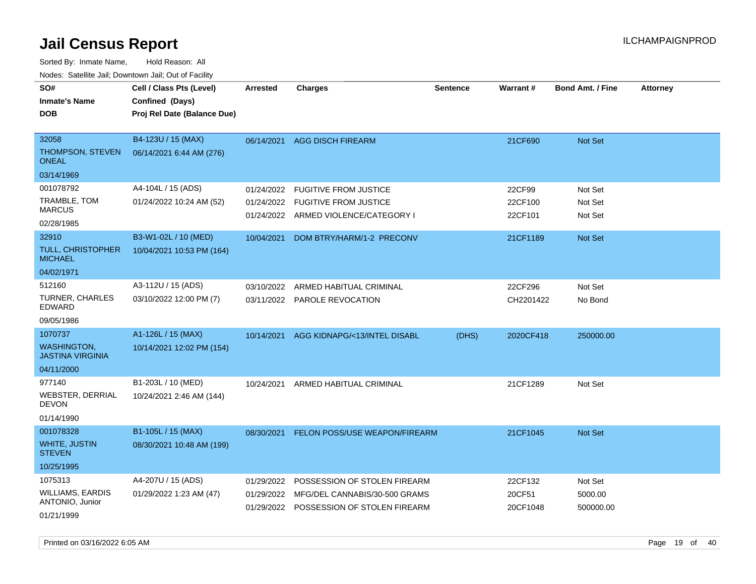| rouco. Calcinic Jan, Downtown Jan, Out of Facility |                             |                 |                                         |                 |           |                         |                 |
|----------------------------------------------------|-----------------------------|-----------------|-----------------------------------------|-----------------|-----------|-------------------------|-----------------|
| SO#                                                | Cell / Class Pts (Level)    | <b>Arrested</b> | <b>Charges</b>                          | <b>Sentence</b> | Warrant#  | <b>Bond Amt. / Fine</b> | <b>Attorney</b> |
| <b>Inmate's Name</b>                               | Confined (Days)             |                 |                                         |                 |           |                         |                 |
| <b>DOB</b>                                         | Proj Rel Date (Balance Due) |                 |                                         |                 |           |                         |                 |
|                                                    |                             |                 |                                         |                 |           |                         |                 |
| 32058                                              | B4-123U / 15 (MAX)          |                 | 06/14/2021 AGG DISCH FIREARM            |                 | 21CF690   | <b>Not Set</b>          |                 |
| THOMPSON, STEVEN<br>ONEAL                          | 06/14/2021 6:44 AM (276)    |                 |                                         |                 |           |                         |                 |
| 03/14/1969                                         |                             |                 |                                         |                 |           |                         |                 |
| 001078792                                          | A4-104L / 15 (ADS)          | 01/24/2022      | <b>FUGITIVE FROM JUSTICE</b>            |                 | 22CF99    | Not Set                 |                 |
| TRAMBLE, TOM                                       | 01/24/2022 10:24 AM (52)    | 01/24/2022      | <b>FUGITIVE FROM JUSTICE</b>            |                 | 22CF100   | Not Set                 |                 |
| <b>MARCUS</b>                                      |                             |                 | 01/24/2022 ARMED VIOLENCE/CATEGORY I    |                 | 22CF101   | Not Set                 |                 |
| 02/28/1985                                         |                             |                 |                                         |                 |           |                         |                 |
| 32910                                              | B3-W1-02L / 10 (MED)        | 10/04/2021      | DOM BTRY/HARM/1-2 PRECONV               |                 | 21CF1189  | Not Set                 |                 |
| TULL, CHRISTOPHER<br><b>MICHAEL</b>                | 10/04/2021 10:53 PM (164)   |                 |                                         |                 |           |                         |                 |
| 04/02/1971                                         |                             |                 |                                         |                 |           |                         |                 |
| 512160                                             | A3-112U / 15 (ADS)          | 03/10/2022      | ARMED HABITUAL CRIMINAL                 |                 | 22CF296   | Not Set                 |                 |
| <b>TURNER, CHARLES</b><br>EDWARD                   | 03/10/2022 12:00 PM (7)     | 03/11/2022      | <b>PAROLE REVOCATION</b>                |                 | CH2201422 | No Bond                 |                 |
| 09/05/1986                                         |                             |                 |                                         |                 |           |                         |                 |
| 1070737                                            | A1-126L / 15 (MAX)          | 10/14/2021      | AGG KIDNAPG/<13/INTEL DISABL            | (DHS)           | 2020CF418 | 250000.00               |                 |
| <b>WASHINGTON</b><br>JASTINA VIRGINIA              | 10/14/2021 12:02 PM (154)   |                 |                                         |                 |           |                         |                 |
| 04/11/2000                                         |                             |                 |                                         |                 |           |                         |                 |
| 977140                                             | B1-203L / 10 (MED)          | 10/24/2021      | ARMED HABITUAL CRIMINAL                 |                 | 21CF1289  | Not Set                 |                 |
| WEBSTER, DERRIAL<br><b>DEVON</b>                   | 10/24/2021 2:46 AM (144)    |                 |                                         |                 |           |                         |                 |
| 01/14/1990                                         |                             |                 |                                         |                 |           |                         |                 |
| 001078328                                          | B1-105L / 15 (MAX)          | 08/30/2021      | FELON POSS/USE WEAPON/FIREARM           |                 | 21CF1045  | Not Set                 |                 |
| <b>WHITE, JUSTIN</b><br><b>STEVEN</b>              | 08/30/2021 10:48 AM (199)   |                 |                                         |                 |           |                         |                 |
| 10/25/1995                                         |                             |                 |                                         |                 |           |                         |                 |
| 1075313                                            | A4-207U / 15 (ADS)          | 01/29/2022      | POSSESSION OF STOLEN FIREARM            |                 | 22CF132   | Not Set                 |                 |
| <b>WILLIAMS, EARDIS</b><br>ANTONIO, Junior         | 01/29/2022 1:23 AM (47)     | 01/29/2022      | MFG/DEL CANNABIS/30-500 GRAMS           |                 | 20CF51    | 5000.00                 |                 |
| 01/21/1999                                         |                             |                 | 01/29/2022 POSSESSION OF STOLEN FIREARM |                 | 20CF1048  | 500000.00               |                 |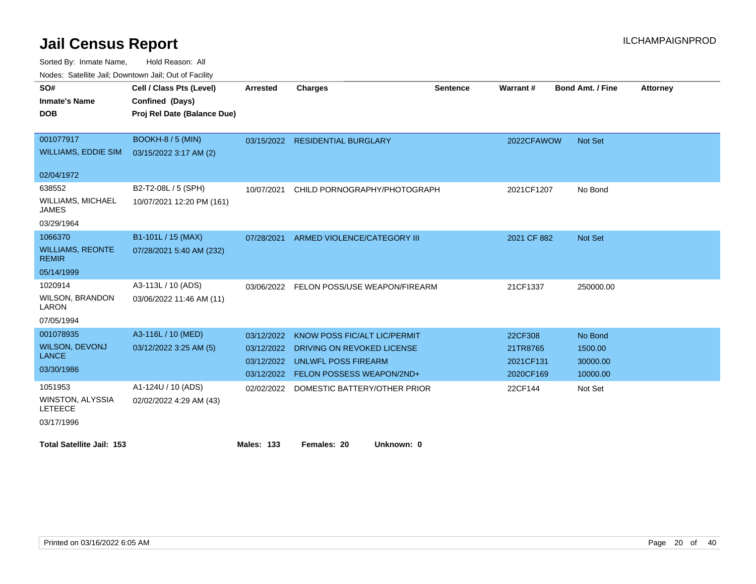Sorted By: Inmate Name, Hold Reason: All

Nodes: Satellite Jail; Downtown Jail; Out of Facility

| SO#                                       | Cell / Class Pts (Level)    | <b>Arrested</b>   | <b>Charges</b>                           | <b>Sentence</b> | Warrant#    | <b>Bond Amt. / Fine</b> | <b>Attorney</b> |
|-------------------------------------------|-----------------------------|-------------------|------------------------------------------|-----------------|-------------|-------------------------|-----------------|
| <b>Inmate's Name</b>                      | Confined (Days)             |                   |                                          |                 |             |                         |                 |
| <b>DOB</b>                                | Proj Rel Date (Balance Due) |                   |                                          |                 |             |                         |                 |
|                                           |                             |                   |                                          |                 |             |                         |                 |
| 001077917                                 | BOOKH-8 / 5 (MIN)           |                   | 03/15/2022 RESIDENTIAL BURGLARY          |                 | 2022CFAWOW  | <b>Not Set</b>          |                 |
| <b>WILLIAMS, EDDIE SIM</b>                | 03/15/2022 3:17 AM (2)      |                   |                                          |                 |             |                         |                 |
|                                           |                             |                   |                                          |                 |             |                         |                 |
| 02/04/1972                                |                             |                   |                                          |                 |             |                         |                 |
| 638552                                    | B2-T2-08L / 5 (SPH)         | 10/07/2021        | CHILD PORNOGRAPHY/PHOTOGRAPH             |                 | 2021CF1207  | No Bond                 |                 |
| WILLIAMS, MICHAEL<br><b>JAMES</b>         | 10/07/2021 12:20 PM (161)   |                   |                                          |                 |             |                         |                 |
| 03/29/1964                                |                             |                   |                                          |                 |             |                         |                 |
| 1066370                                   | B1-101L / 15 (MAX)          |                   | 07/28/2021 ARMED VIOLENCE/CATEGORY III   |                 | 2021 CF 882 | Not Set                 |                 |
| <b>WILLIAMS, REONTE</b><br><b>REMIR</b>   | 07/28/2021 5:40 AM (232)    |                   |                                          |                 |             |                         |                 |
| 05/14/1999                                |                             |                   |                                          |                 |             |                         |                 |
| 1020914                                   | A3-113L / 10 (ADS)          |                   | 03/06/2022 FELON POSS/USE WEAPON/FIREARM |                 | 21CF1337    | 250000.00               |                 |
| <b>WILSON, BRANDON</b><br>LARON           | 03/06/2022 11:46 AM (11)    |                   |                                          |                 |             |                         |                 |
| 07/05/1994                                |                             |                   |                                          |                 |             |                         |                 |
| 001078935                                 | A3-116L / 10 (MED)          | 03/12/2022        | KNOW POSS FIC/ALT LIC/PERMIT             |                 | 22CF308     | No Bond                 |                 |
| WILSON, DEVONJ                            | 03/12/2022 3:25 AM (5)      | 03/12/2022        | DRIVING ON REVOKED LICENSE               |                 | 21TR8765    | 1500.00                 |                 |
| <b>LANCE</b>                              |                             | 03/12/2022        | UNLWFL POSS FIREARM                      |                 | 2021CF131   | 30000.00                |                 |
| 03/30/1986                                |                             |                   | 03/12/2022 FELON POSSESS WEAPON/2ND+     |                 | 2020CF169   | 10000.00                |                 |
| 1051953                                   | A1-124U / 10 (ADS)          | 02/02/2022        | DOMESTIC BATTERY/OTHER PRIOR             |                 | 22CF144     | Not Set                 |                 |
| <b>WINSTON, ALYSSIA</b><br><b>LETEECE</b> | 02/02/2022 4:29 AM (43)     |                   |                                          |                 |             |                         |                 |
| 03/17/1996                                |                             |                   |                                          |                 |             |                         |                 |
| <b>Total Satellite Jail: 153</b>          |                             | <b>Males: 133</b> | Unknown: 0<br>Females: 20                |                 |             |                         |                 |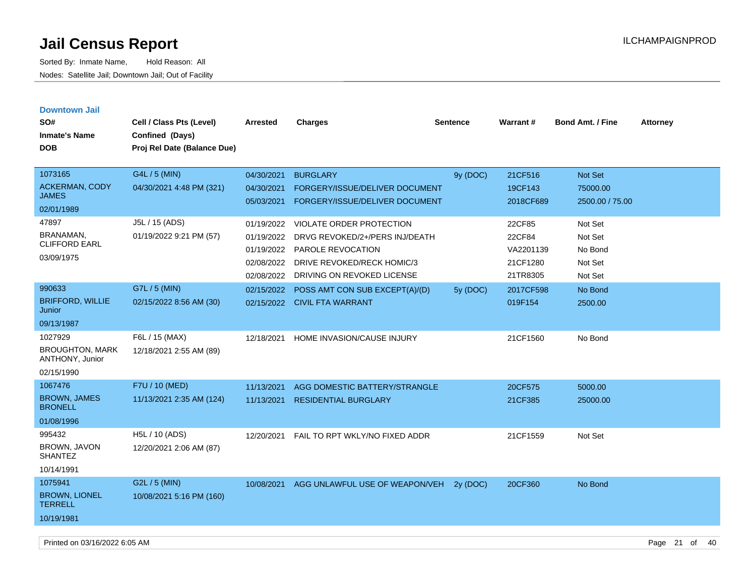| <b>Downtown Jail</b>                      |                             |            |                                 |                 |           |                         |                 |
|-------------------------------------------|-----------------------------|------------|---------------------------------|-----------------|-----------|-------------------------|-----------------|
| SO#                                       | Cell / Class Pts (Level)    | Arrested   | <b>Charges</b>                  | <b>Sentence</b> | Warrant#  | <b>Bond Amt. / Fine</b> | <b>Attorney</b> |
| <b>Inmate's Name</b>                      | Confined (Days)             |            |                                 |                 |           |                         |                 |
| <b>DOB</b>                                | Proj Rel Date (Balance Due) |            |                                 |                 |           |                         |                 |
|                                           |                             |            |                                 |                 |           |                         |                 |
| 1073165                                   | G4L / 5 (MIN)               | 04/30/2021 | <b>BURGLARY</b>                 | 9y (DOC)        | 21CF516   | Not Set                 |                 |
| <b>ACKERMAN, CODY</b>                     | 04/30/2021 4:48 PM (321)    | 04/30/2021 | FORGERY/ISSUE/DELIVER DOCUMENT  |                 | 19CF143   | 75000.00                |                 |
| <b>JAMES</b>                              |                             | 05/03/2021 | FORGERY/ISSUE/DELIVER DOCUMENT  |                 | 2018CF689 | 2500.00 / 75.00         |                 |
| 02/01/1989                                |                             |            |                                 |                 |           |                         |                 |
| 47897                                     | J5L / 15 (ADS)              | 01/19/2022 | <b>VIOLATE ORDER PROTECTION</b> |                 | 22CF85    | Not Set                 |                 |
| BRANAMAN,<br><b>CLIFFORD EARL</b>         | 01/19/2022 9:21 PM (57)     | 01/19/2022 | DRVG REVOKED/2+/PERS INJ/DEATH  |                 | 22CF84    | Not Set                 |                 |
| 03/09/1975                                |                             | 01/19/2022 | <b>PAROLE REVOCATION</b>        |                 | VA2201139 | No Bond                 |                 |
|                                           |                             | 02/08/2022 | DRIVE REVOKED/RECK HOMIC/3      |                 | 21CF1280  | Not Set                 |                 |
|                                           |                             | 02/08/2022 | DRIVING ON REVOKED LICENSE      |                 | 21TR8305  | Not Set                 |                 |
| 990633                                    | G7L / 5 (MIN)               | 02/15/2022 | POSS AMT CON SUB EXCEPT(A)/(D)  | 5y (DOC)        | 2017CF598 | No Bond                 |                 |
| <b>BRIFFORD, WILLIE</b><br>Junior         | 02/15/2022 8:56 AM (30)     |            | 02/15/2022 CIVIL FTA WARRANT    |                 | 019F154   | 2500.00                 |                 |
| 09/13/1987                                |                             |            |                                 |                 |           |                         |                 |
| 1027929                                   | F6L / 15 (MAX)              | 12/18/2021 | HOME INVASION/CAUSE INJURY      |                 | 21CF1560  | No Bond                 |                 |
| <b>BROUGHTON, MARK</b><br>ANTHONY, Junior | 12/18/2021 2:55 AM (89)     |            |                                 |                 |           |                         |                 |
| 02/15/1990                                |                             |            |                                 |                 |           |                         |                 |
| 1067476                                   | F7U / 10 (MED)              | 11/13/2021 | AGG DOMESTIC BATTERY/STRANGLE   |                 | 20CF575   | 5000.00                 |                 |
| <b>BROWN, JAMES</b><br><b>BRONELL</b>     | 11/13/2021 2:35 AM (124)    | 11/13/2021 | <b>RESIDENTIAL BURGLARY</b>     |                 | 21CF385   | 25000.00                |                 |
| 01/08/1996                                |                             |            |                                 |                 |           |                         |                 |
| 995432                                    | H5L / 10 (ADS)              | 12/20/2021 | FAIL TO RPT WKLY/NO FIXED ADDR  |                 | 21CF1559  | Not Set                 |                 |
| BROWN, JAVON<br><b>SHANTEZ</b>            | 12/20/2021 2:06 AM (87)     |            |                                 |                 |           |                         |                 |
| 10/14/1991                                |                             |            |                                 |                 |           |                         |                 |
| 1075941                                   | G2L / 5 (MIN)               | 10/08/2021 | AGG UNLAWFUL USE OF WEAPON/VEH  | 2y (DOC)        | 20CF360   | No Bond                 |                 |
| <b>BROWN, LIONEL</b><br><b>TERRELL</b>    | 10/08/2021 5:16 PM (160)    |            |                                 |                 |           |                         |                 |
| 10/19/1981                                |                             |            |                                 |                 |           |                         |                 |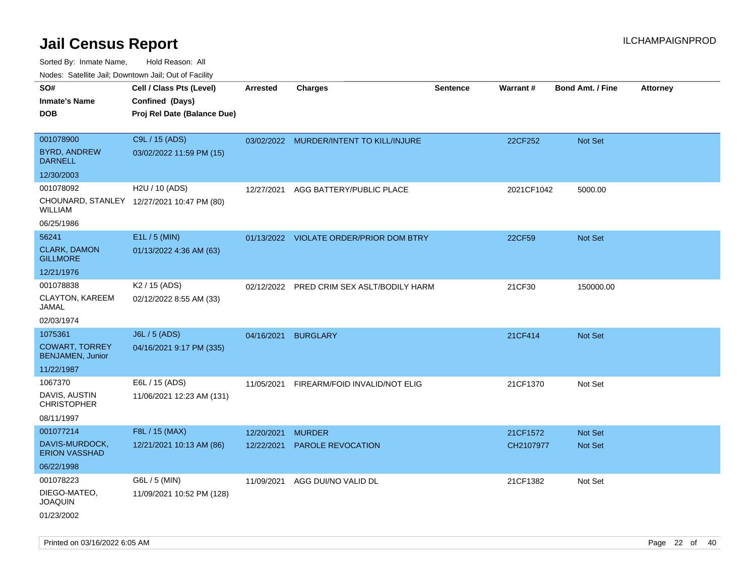| rouco. Calcinic Jan, Downtown Jan, Out of Facility |                                            |                 |                                           |                 |            |                         |                 |
|----------------------------------------------------|--------------------------------------------|-----------------|-------------------------------------------|-----------------|------------|-------------------------|-----------------|
| SO#                                                | Cell / Class Pts (Level)                   | <b>Arrested</b> | <b>Charges</b>                            | <b>Sentence</b> | Warrant#   | <b>Bond Amt. / Fine</b> | <b>Attorney</b> |
| Inmate's Name                                      | Confined (Days)                            |                 |                                           |                 |            |                         |                 |
| DOB                                                | Proj Rel Date (Balance Due)                |                 |                                           |                 |            |                         |                 |
|                                                    |                                            |                 |                                           |                 |            |                         |                 |
| 001078900                                          | C9L / 15 (ADS)                             |                 | 03/02/2022 MURDER/INTENT TO KILL/INJURE   |                 | 22CF252    | Not Set                 |                 |
| <b>BYRD, ANDREW</b><br><b>DARNELL</b>              | 03/02/2022 11:59 PM (15)                   |                 |                                           |                 |            |                         |                 |
| 12/30/2003                                         |                                            |                 |                                           |                 |            |                         |                 |
| 001078092                                          | H2U / 10 (ADS)                             | 12/27/2021      | AGG BATTERY/PUBLIC PLACE                  |                 | 2021CF1042 | 5000.00                 |                 |
| WILLIAM                                            | CHOUNARD, STANLEY 12/27/2021 10:47 PM (80) |                 |                                           |                 |            |                         |                 |
| 06/25/1986                                         |                                            |                 |                                           |                 |            |                         |                 |
| 56241                                              | E1L / 5 (MIN)                              |                 | 01/13/2022 VIOLATE ORDER/PRIOR DOM BTRY   |                 | 22CF59     | Not Set                 |                 |
| <b>CLARK, DAMON</b><br><b>GILLMORE</b>             | 01/13/2022 4:36 AM (63)                    |                 |                                           |                 |            |                         |                 |
| 12/21/1976                                         |                                            |                 |                                           |                 |            |                         |                 |
| 001078838                                          | K <sub>2</sub> / 15 (ADS)                  |                 | 02/12/2022 PRED CRIM SEX ASLT/BODILY HARM |                 | 21CF30     | 150000.00               |                 |
| CLAYTON, KAREEM<br>JAMAL                           | 02/12/2022 8:55 AM (33)                    |                 |                                           |                 |            |                         |                 |
| 02/03/1974                                         |                                            |                 |                                           |                 |            |                         |                 |
| 1075361                                            | J6L / 5 (ADS)                              | 04/16/2021      | <b>BURGLARY</b>                           |                 | 21CF414    | Not Set                 |                 |
| <b>COWART, TORREY</b><br><b>BENJAMEN, Junior</b>   | 04/16/2021 9:17 PM (335)                   |                 |                                           |                 |            |                         |                 |
| 11/22/1987                                         |                                            |                 |                                           |                 |            |                         |                 |
| 1067370                                            | E6L / 15 (ADS)                             | 11/05/2021      | FIREARM/FOID INVALID/NOT ELIG             |                 | 21CF1370   | Not Set                 |                 |
| DAVIS, AUSTIN<br><b>CHRISTOPHER</b>                | 11/06/2021 12:23 AM (131)                  |                 |                                           |                 |            |                         |                 |
| 08/11/1997                                         |                                            |                 |                                           |                 |            |                         |                 |
| 001077214                                          | F8L / 15 (MAX)                             | 12/20/2021      | <b>MURDER</b>                             |                 | 21CF1572   | <b>Not Set</b>          |                 |
| DAVIS-MURDOCK,<br><b>ERION VASSHAD</b>             | 12/21/2021 10:13 AM (86)                   | 12/22/2021      | PAROLE REVOCATION                         |                 | CH2107977  | Not Set                 |                 |
| 06/22/1998                                         |                                            |                 |                                           |                 |            |                         |                 |
| 001078223                                          | G6L / 5 (MIN)                              | 11/09/2021      | AGG DUI/NO VALID DL                       |                 | 21CF1382   | Not Set                 |                 |
| DIEGO-MATEO,<br>JOAQUIN                            | 11/09/2021 10:52 PM (128)                  |                 |                                           |                 |            |                         |                 |
| 01/23/2002                                         |                                            |                 |                                           |                 |            |                         |                 |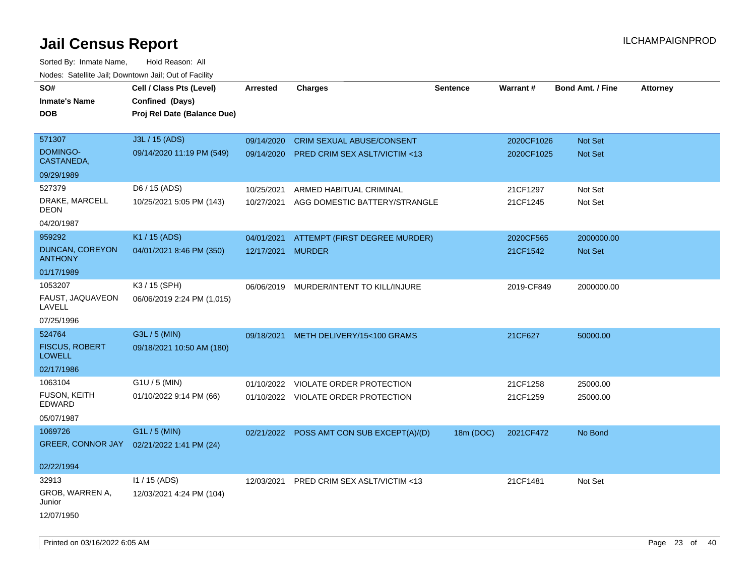Sorted By: Inmate Name, Hold Reason: All Nodes: Satellite Jail; Downtown Jail; Out of Facility

| roacs. Catellite Jall, Downtown Jall, Out of Facility |                             |                   |                                           |                 |            |                         |                 |
|-------------------------------------------------------|-----------------------------|-------------------|-------------------------------------------|-----------------|------------|-------------------------|-----------------|
| SO#                                                   | Cell / Class Pts (Level)    | <b>Arrested</b>   | <b>Charges</b>                            | <b>Sentence</b> | Warrant#   | <b>Bond Amt. / Fine</b> | <b>Attorney</b> |
| <b>Inmate's Name</b>                                  | Confined (Days)             |                   |                                           |                 |            |                         |                 |
| <b>DOB</b>                                            | Proj Rel Date (Balance Due) |                   |                                           |                 |            |                         |                 |
|                                                       |                             |                   |                                           |                 |            |                         |                 |
| 571307                                                | J3L / 15 (ADS)              | 09/14/2020        | <b>CRIM SEXUAL ABUSE/CONSENT</b>          |                 | 2020CF1026 | Not Set                 |                 |
| <b>DOMINGO-</b><br>CASTANEDA,                         | 09/14/2020 11:19 PM (549)   |                   | 09/14/2020 PRED CRIM SEX ASLT/VICTIM <13  |                 | 2020CF1025 | Not Set                 |                 |
| 09/29/1989                                            |                             |                   |                                           |                 |            |                         |                 |
| 527379                                                | D6 / 15 (ADS)               | 10/25/2021        | ARMED HABITUAL CRIMINAL                   |                 | 21CF1297   | Not Set                 |                 |
| DRAKE, MARCELL<br><b>DEON</b>                         | 10/25/2021 5:05 PM (143)    | 10/27/2021        | AGG DOMESTIC BATTERY/STRANGLE             |                 | 21CF1245   | Not Set                 |                 |
| 04/20/1987                                            |                             |                   |                                           |                 |            |                         |                 |
| 959292                                                | K1 / 15 (ADS)               | 04/01/2021        | ATTEMPT (FIRST DEGREE MURDER)             |                 | 2020CF565  | 2000000.00              |                 |
| <b>DUNCAN, COREYON</b><br><b>ANTHONY</b>              | 04/01/2021 8:46 PM (350)    | 12/17/2021 MURDER |                                           |                 | 21CF1542   | Not Set                 |                 |
| 01/17/1989                                            |                             |                   |                                           |                 |            |                         |                 |
| 1053207                                               | K3 / 15 (SPH)               |                   | 06/06/2019 MURDER/INTENT TO KILL/INJURE   |                 | 2019-CF849 | 2000000.00              |                 |
| FAUST, JAQUAVEON<br>LAVELL                            | 06/06/2019 2:24 PM (1,015)  |                   |                                           |                 |            |                         |                 |
| 07/25/1996                                            |                             |                   |                                           |                 |            |                         |                 |
| 524764                                                | G3L / 5 (MIN)               | 09/18/2021        | METH DELIVERY/15<100 GRAMS                |                 | 21CF627    | 50000.00                |                 |
| <b>FISCUS, ROBERT</b><br><b>LOWELL</b>                | 09/18/2021 10:50 AM (180)   |                   |                                           |                 |            |                         |                 |
| 02/17/1986                                            |                             |                   |                                           |                 |            |                         |                 |
| 1063104                                               | $G1U / 5$ (MIN)             | 01/10/2022        | VIOLATE ORDER PROTECTION                  |                 | 21CF1258   | 25000.00                |                 |
| <b>FUSON, KEITH</b><br><b>EDWARD</b>                  | 01/10/2022 9:14 PM (66)     |                   | 01/10/2022 VIOLATE ORDER PROTECTION       |                 | 21CF1259   | 25000.00                |                 |
| 05/07/1987                                            |                             |                   |                                           |                 |            |                         |                 |
| 1069726                                               | G1L / 5 (MIN)               |                   | 02/21/2022 POSS AMT CON SUB EXCEPT(A)/(D) | 18m (DOC)       | 2021CF472  | No Bond                 |                 |
| GREER, CONNOR JAY                                     | 02/21/2022 1:41 PM (24)     |                   |                                           |                 |            |                         |                 |
|                                                       |                             |                   |                                           |                 |            |                         |                 |
| 02/22/1994                                            |                             |                   |                                           |                 |            |                         |                 |
| 32913                                                 | $11 / 15$ (ADS)             |                   | 12/03/2021 PRED CRIM SEX ASLT/VICTIM <13  |                 | 21CF1481   | Not Set                 |                 |
| GROB, WARREN A,<br>Junior                             | 12/03/2021 4:24 PM (104)    |                   |                                           |                 |            |                         |                 |
| 12/07/1950                                            |                             |                   |                                           |                 |            |                         |                 |

Printed on 03/16/2022 6:05 AM Page 23 of 40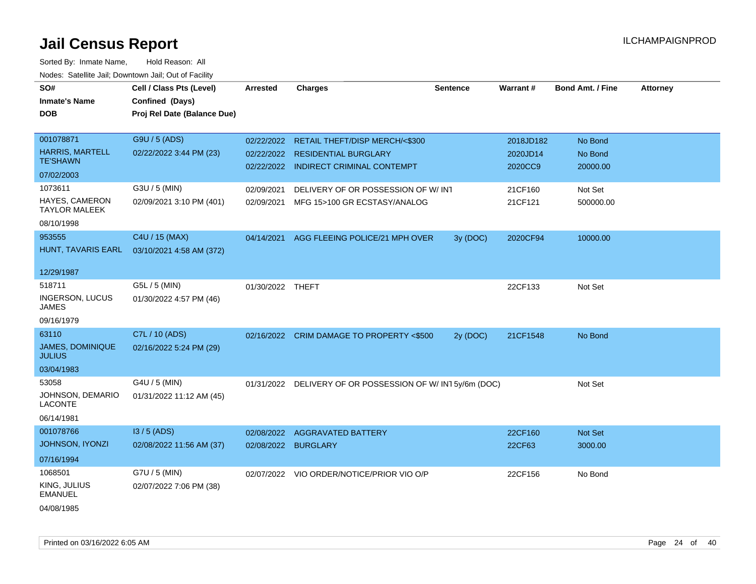| SO#<br><b>Inmate's Name</b><br><b>DOB</b>                       | Cell / Class Pts (Level)<br>Confined (Days)<br>Proj Rel Date (Balance Due) | <b>Arrested</b>          | <b>Charges</b>                                                      | <b>Sentence</b> | Warrant#              | <b>Bond Amt. / Fine</b> | <b>Attorney</b> |
|-----------------------------------------------------------------|----------------------------------------------------------------------------|--------------------------|---------------------------------------------------------------------|-----------------|-----------------------|-------------------------|-----------------|
|                                                                 |                                                                            |                          |                                                                     |                 |                       |                         |                 |
| 001078871<br><b>HARRIS, MARTELL</b><br><b>TE'SHAWN</b>          | G9U / 5 (ADS)<br>02/22/2022 3:44 PM (23)                                   | 02/22/2022<br>02/22/2022 | RETAIL THEFT/DISP MERCH/<\$300<br><b>RESIDENTIAL BURGLARY</b>       |                 | 2018JD182<br>2020JD14 | No Bond<br>No Bond      |                 |
| 07/02/2003                                                      |                                                                            | 02/22/2022               | <b>INDIRECT CRIMINAL CONTEMPT</b>                                   |                 | 2020CC9               | 20000.00                |                 |
| 1073611<br>HAYES, CAMERON<br><b>TAYLOR MALEEK</b><br>08/10/1998 | G3U / 5 (MIN)<br>02/09/2021 3:10 PM (401)                                  | 02/09/2021<br>02/09/2021 | DELIVERY OF OR POSSESSION OF W/ INT<br>MFG 15>100 GR ECSTASY/ANALOG |                 | 21CF160<br>21CF121    | Not Set<br>500000.00    |                 |
| 953555<br>HUNT, TAVARIS EARL<br>12/29/1987                      | C4U / 15 (MAX)<br>03/10/2021 4:58 AM (372)                                 | 04/14/2021               | AGG FLEEING POLICE/21 MPH OVER                                      | 3y (DOC)        | 2020CF94              | 10000.00                |                 |
| 518711<br><b>INGERSON, LUCUS</b><br>JAMES<br>09/16/1979         | G5L / 5 (MIN)<br>01/30/2022 4:57 PM (46)                                   | 01/30/2022 THEFT         |                                                                     |                 | 22CF133               | Not Set                 |                 |
| 63110<br><b>JAMES, DOMINIQUE</b><br><b>JULIUS</b><br>03/04/1983 | C7L / 10 (ADS)<br>02/16/2022 5:24 PM (29)                                  |                          | 02/16/2022 CRIM DAMAGE TO PROPERTY <\$500                           | 2y (DOC)        | 21CF1548              | No Bond                 |                 |
| 53058<br>JOHNSON, DEMARIO<br><b>LACONTE</b><br>06/14/1981       | G4U / 5 (MIN)<br>01/31/2022 11:12 AM (45)                                  |                          | 01/31/2022 DELIVERY OF OR POSSESSION OF W/ IN1 5y/6m (DOC)          |                 |                       | Not Set                 |                 |
| 001078766<br>JOHNSON, IYONZI<br>07/16/1994                      | I3 / 5 (ADS)<br>02/08/2022 11:56 AM (37)                                   | 02/08/2022<br>02/08/2022 | <b>AGGRAVATED BATTERY</b><br><b>BURGLARY</b>                        |                 | 22CF160<br>22CF63     | Not Set<br>3000.00      |                 |
| 1068501<br>KING, JULIUS<br>EMANUEL<br>04/08/1985                | G7U / 5 (MIN)<br>02/07/2022 7:06 PM (38)                                   | 02/07/2022               | VIO ORDER/NOTICE/PRIOR VIO O/P                                      |                 | 22CF156               | No Bond                 |                 |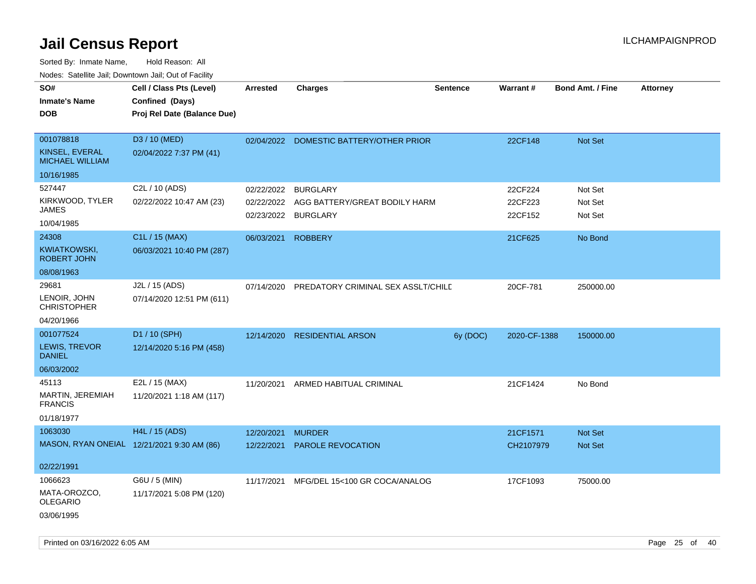| Cell / Class Pts (Level)                   | Arrested                                    | <b>Charges</b>  | <b>Sentence</b>                                                                                                                                                                    | Warrant#                                                            | <b>Bond Amt. / Fine</b> | <b>Attorney</b> |
|--------------------------------------------|---------------------------------------------|-----------------|------------------------------------------------------------------------------------------------------------------------------------------------------------------------------------|---------------------------------------------------------------------|-------------------------|-----------------|
|                                            |                                             |                 |                                                                                                                                                                                    |                                                                     |                         |                 |
| Confined (Days)                            |                                             |                 |                                                                                                                                                                                    |                                                                     |                         |                 |
| Proj Rel Date (Balance Due)                |                                             |                 |                                                                                                                                                                                    |                                                                     |                         |                 |
|                                            |                                             |                 |                                                                                                                                                                                    |                                                                     |                         |                 |
| D3 / 10 (MED)                              | 02/04/2022                                  |                 |                                                                                                                                                                                    | 22CF148                                                             | Not Set                 |                 |
| 02/04/2022 7:37 PM (41)                    |                                             |                 |                                                                                                                                                                                    |                                                                     |                         |                 |
|                                            |                                             |                 |                                                                                                                                                                                    |                                                                     |                         |                 |
| C2L / 10 (ADS)                             | 02/22/2022                                  | <b>BURGLARY</b> |                                                                                                                                                                                    | 22CF224                                                             | Not Set                 |                 |
| 02/22/2022 10:47 AM (23)                   | 02/22/2022                                  |                 |                                                                                                                                                                                    | 22CF223                                                             | Not Set                 |                 |
|                                            | 02/23/2022                                  |                 |                                                                                                                                                                                    | 22CF152                                                             | Not Set                 |                 |
|                                            |                                             |                 |                                                                                                                                                                                    |                                                                     |                         |                 |
|                                            | 06/03/2021                                  |                 |                                                                                                                                                                                    | 21CF625                                                             | No Bond                 |                 |
|                                            |                                             |                 |                                                                                                                                                                                    |                                                                     |                         |                 |
|                                            |                                             |                 |                                                                                                                                                                                    |                                                                     |                         |                 |
| J2L / 15 (ADS)                             | 07/14/2020                                  |                 |                                                                                                                                                                                    | 20CF-781                                                            | 250000.00               |                 |
| 07/14/2020 12:51 PM (611)                  |                                             |                 |                                                                                                                                                                                    |                                                                     |                         |                 |
|                                            |                                             |                 |                                                                                                                                                                                    |                                                                     |                         |                 |
| D1 / 10 (SPH)                              |                                             |                 | 6y (DOC)                                                                                                                                                                           |                                                                     | 150000.00               |                 |
| 12/14/2020 5:16 PM (458)                   |                                             |                 |                                                                                                                                                                                    |                                                                     |                         |                 |
|                                            |                                             |                 |                                                                                                                                                                                    |                                                                     |                         |                 |
| E2L / 15 (MAX)                             | 11/20/2021                                  |                 |                                                                                                                                                                                    | 21CF1424                                                            | No Bond                 |                 |
| 11/20/2021 1:18 AM (117)                   |                                             |                 |                                                                                                                                                                                    |                                                                     |                         |                 |
|                                            |                                             |                 |                                                                                                                                                                                    |                                                                     |                         |                 |
| <b>H4L / 15 (ADS)</b>                      | 12/20/2021                                  | <b>MURDER</b>   |                                                                                                                                                                                    | 21CF1571                                                            | <b>Not Set</b>          |                 |
| MASON, RYAN ONEIAL 12/21/2021 9:30 AM (86) | 12/22/2021                                  |                 |                                                                                                                                                                                    | CH2107979                                                           | Not Set                 |                 |
|                                            |                                             |                 |                                                                                                                                                                                    |                                                                     |                         |                 |
|                                            |                                             |                 |                                                                                                                                                                                    |                                                                     |                         |                 |
| G6U / 5 (MIN)                              | 11/17/2021                                  |                 |                                                                                                                                                                                    | 17CF1093                                                            | 75000.00                |                 |
| 11/17/2021 5:08 PM (120)                   |                                             |                 |                                                                                                                                                                                    |                                                                     |                         |                 |
|                                            |                                             |                 |                                                                                                                                                                                    |                                                                     |                         |                 |
|                                            | C1L / 15 (MAX)<br>06/03/2021 10:40 PM (287) |                 | DOMESTIC BATTERY/OTHER PRIOR<br><b>BURGLARY</b><br><b>ROBBERY</b><br>12/14/2020 RESIDENTIAL ARSON<br>ARMED HABITUAL CRIMINAL<br>PAROLE REVOCATION<br>MFG/DEL 15<100 GR COCA/ANALOG | AGG BATTERY/GREAT BODILY HARM<br>PREDATORY CRIMINAL SEX ASSLT/CHILD |                         | 2020-CF-1388    |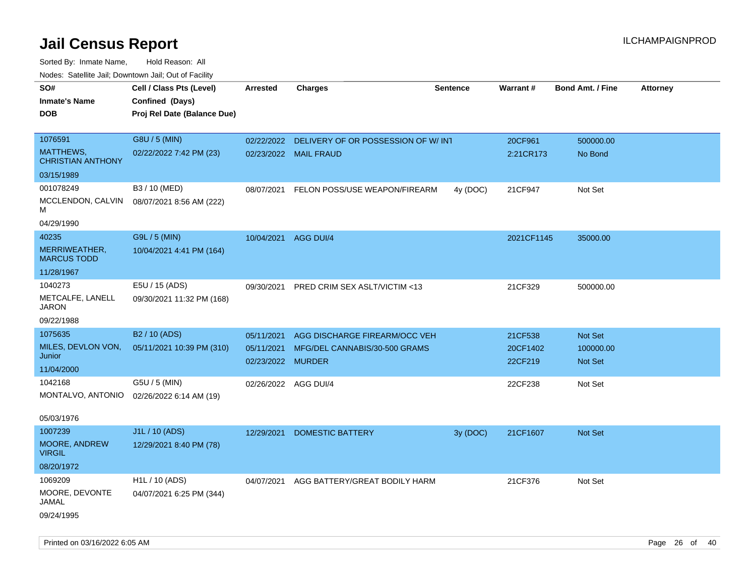Sorted By: Inmate Name, Hold Reason: All Nodes: Satellite Jail; Downtown Jail; Out of Facility

| roaco. Odichile Jan, Downtown Jan, Out of Facility |                             |                      |                                               |                 |            |                         |                 |
|----------------------------------------------------|-----------------------------|----------------------|-----------------------------------------------|-----------------|------------|-------------------------|-----------------|
| SO#                                                | Cell / Class Pts (Level)    | <b>Arrested</b>      | <b>Charges</b>                                | <b>Sentence</b> | Warrant#   | <b>Bond Amt. / Fine</b> | <b>Attorney</b> |
| <b>Inmate's Name</b>                               | Confined (Days)             |                      |                                               |                 |            |                         |                 |
| <b>DOB</b>                                         | Proj Rel Date (Balance Due) |                      |                                               |                 |            |                         |                 |
|                                                    |                             |                      |                                               |                 |            |                         |                 |
| 1076591                                            | G8U / 5 (MIN)               |                      | 02/22/2022 DELIVERY OF OR POSSESSION OF W/INT |                 | 20CF961    | 500000.00               |                 |
| MATTHEWS,<br><b>CHRISTIAN ANTHONY</b>              | 02/22/2022 7:42 PM (23)     |                      | 02/23/2022 MAIL FRAUD                         |                 | 2:21CR173  | No Bond                 |                 |
| 03/15/1989                                         |                             |                      |                                               |                 |            |                         |                 |
| 001078249                                          | B3 / 10 (MED)               | 08/07/2021           | FELON POSS/USE WEAPON/FIREARM                 | 4y (DOC)        | 21CF947    | Not Set                 |                 |
| MCCLENDON, CALVIN<br>м                             | 08/07/2021 8:56 AM (222)    |                      |                                               |                 |            |                         |                 |
| 04/29/1990                                         |                             |                      |                                               |                 |            |                         |                 |
| 40235                                              | G9L / 5 (MIN)               | 10/04/2021           | AGG DUI/4                                     |                 | 2021CF1145 | 35000.00                |                 |
| MERRIWEATHER,<br><b>MARCUS TODD</b>                | 10/04/2021 4:41 PM (164)    |                      |                                               |                 |            |                         |                 |
| 11/28/1967                                         |                             |                      |                                               |                 |            |                         |                 |
| 1040273                                            | E5U / 15 (ADS)              | 09/30/2021           | PRED CRIM SEX ASLT/VICTIM <13                 |                 | 21CF329    | 500000.00               |                 |
| METCALFE, LANELL<br><b>JARON</b>                   | 09/30/2021 11:32 PM (168)   |                      |                                               |                 |            |                         |                 |
| 09/22/1988                                         |                             |                      |                                               |                 |            |                         |                 |
| 1075635                                            | B <sub>2</sub> / 10 (ADS)   | 05/11/2021           | AGG DISCHARGE FIREARM/OCC VEH                 |                 | 21CF538    | Not Set                 |                 |
| MILES, DEVLON VON,                                 | 05/11/2021 10:39 PM (310)   | 05/11/2021           | MFG/DEL CANNABIS/30-500 GRAMS                 |                 | 20CF1402   | 100000.00               |                 |
| Junior                                             |                             | 02/23/2022 MURDER    |                                               |                 | 22CF219    | Not Set                 |                 |
| 11/04/2000                                         |                             |                      |                                               |                 |            |                         |                 |
| 1042168                                            | G5U / 5 (MIN)               | 02/26/2022 AGG DUI/4 |                                               |                 | 22CF238    | Not Set                 |                 |
| MONTALVO, ANTONIO                                  | 02/26/2022 6:14 AM (19)     |                      |                                               |                 |            |                         |                 |
| 05/03/1976                                         |                             |                      |                                               |                 |            |                         |                 |
| 1007239                                            | J1L / 10 (ADS)              | 12/29/2021           | <b>DOMESTIC BATTERY</b>                       | 3y (DOC)        | 21CF1607   | Not Set                 |                 |
| MOORE, ANDREW<br><b>VIRGIL</b>                     | 12/29/2021 8:40 PM (78)     |                      |                                               |                 |            |                         |                 |
| 08/20/1972                                         |                             |                      |                                               |                 |            |                         |                 |
| 1069209                                            | H <sub>1</sub> L / 10 (ADS) | 04/07/2021           | AGG BATTERY/GREAT BODILY HARM                 |                 | 21CF376    | Not Set                 |                 |
| MOORE, DEVONTE<br>JAMAL                            | 04/07/2021 6:25 PM (344)    |                      |                                               |                 |            |                         |                 |
| 09/24/1995                                         |                             |                      |                                               |                 |            |                         |                 |

Printed on 03/16/2022 6:05 AM Page 26 of 40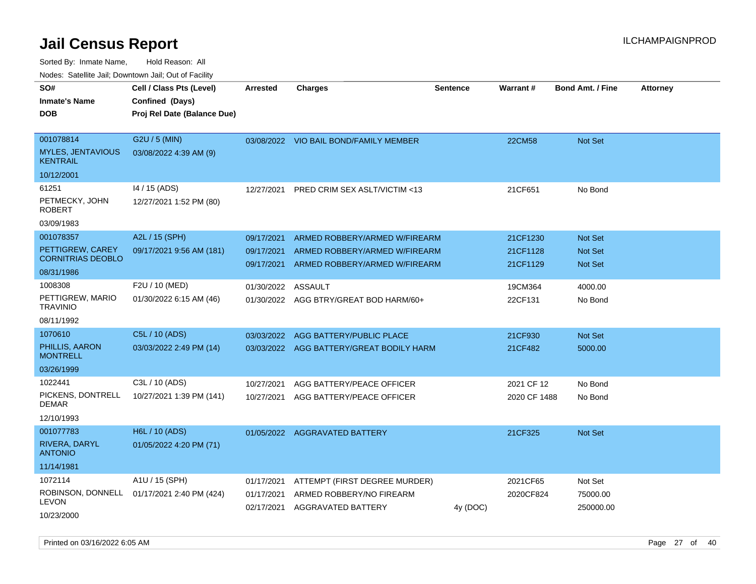Sorted By: Inmate Name, Hold Reason: All

Nodes: Satellite Jail; Downtown Jail; Out of Facility

| SO#<br><b>Inmate's Name</b><br><b>DOB</b>                               | Cell / Class Pts (Level)<br>Confined (Days)<br>Proj Rel Date (Balance Due) | Arrested                               | <b>Charges</b>                                                                                  | Sentence | Warrant#                         | <b>Bond Amt. / Fine</b>                     | <b>Attorney</b> |
|-------------------------------------------------------------------------|----------------------------------------------------------------------------|----------------------------------------|-------------------------------------------------------------------------------------------------|----------|----------------------------------|---------------------------------------------|-----------------|
| 001078814<br><b>MYLES, JENTAVIOUS</b><br><b>KENTRAIL</b><br>10/12/2001  | G2U / 5 (MIN)<br>03/08/2022 4:39 AM (9)                                    |                                        | 03/08/2022 VIO BAIL BOND/FAMILY MEMBER                                                          |          | <b>22CM58</b>                    | <b>Not Set</b>                              |                 |
| 61251<br>PETMECKY, JOHN<br>ROBERT<br>03/09/1983                         | 14 / 15 (ADS)<br>12/27/2021 1:52 PM (80)                                   | 12/27/2021                             | <b>PRED CRIM SEX ASLT/VICTIM &lt;13</b>                                                         |          | 21CF651                          | No Bond                                     |                 |
| 001078357<br>PETTIGREW, CAREY<br><b>CORNITRIAS DEOBLO</b><br>08/31/1986 | A2L / 15 (SPH)<br>09/17/2021 9:56 AM (181)                                 | 09/17/2021<br>09/17/2021<br>09/17/2021 | ARMED ROBBERY/ARMED W/FIREARM<br>ARMED ROBBERY/ARMED W/FIREARM<br>ARMED ROBBERY/ARMED W/FIREARM |          | 21CF1230<br>21CF1128<br>21CF1129 | <b>Not Set</b><br><b>Not Set</b><br>Not Set |                 |
| 1008308<br>PETTIGREW, MARIO<br><b>TRAVINIO</b><br>08/11/1992            | F2U / 10 (MED)<br>01/30/2022 6:15 AM (46)                                  | 01/30/2022 ASSAULT                     | 01/30/2022 AGG BTRY/GREAT BOD HARM/60+                                                          |          | 19CM364<br>22CF131               | 4000.00<br>No Bond                          |                 |
| 1070610<br>PHILLIS, AARON<br><b>MONTRELL</b><br>03/26/1999              | C5L / 10 (ADS)<br>03/03/2022 2:49 PM (14)                                  | 03/03/2022                             | AGG BATTERY/PUBLIC PLACE<br>03/03/2022 AGG BATTERY/GREAT BODILY HARM                            |          | 21CF930<br>21CF482               | <b>Not Set</b><br>5000.00                   |                 |
| 1022441<br>PICKENS, DONTRELL<br><b>DEMAR</b><br>12/10/1993              | C3L / 10 (ADS)<br>10/27/2021 1:39 PM (141)                                 | 10/27/2021<br>10/27/2021               | AGG BATTERY/PEACE OFFICER<br>AGG BATTERY/PEACE OFFICER                                          |          | 2021 CF 12<br>2020 CF 1488       | No Bond<br>No Bond                          |                 |
| 001077783<br>RIVERA, DARYL<br><b>ANTONIO</b><br>11/14/1981              | H6L / 10 (ADS)<br>01/05/2022 4:20 PM (71)                                  |                                        | 01/05/2022 AGGRAVATED BATTERY                                                                   |          | 21CF325                          | <b>Not Set</b>                              |                 |
| 1072114<br>ROBINSON, DONNELL<br><b>LEVON</b><br>10/23/2000              | A1U / 15 (SPH)<br>01/17/2021 2:40 PM (424)                                 | 01/17/2021<br>01/17/2021<br>02/17/2021 | ATTEMPT (FIRST DEGREE MURDER)<br>ARMED ROBBERY/NO FIREARM<br>AGGRAVATED BATTERY                 | 4y (DOC) | 2021CF65<br>2020CF824            | Not Set<br>75000.00<br>250000.00            |                 |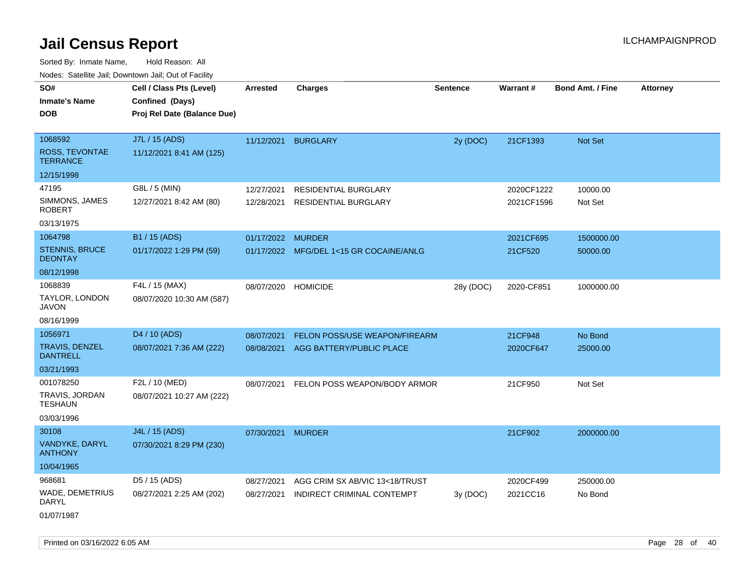Sorted By: Inmate Name, Hold Reason: All Nodes: Satellite Jail; Downtown Jail; Out of Facility

| rouce. Calcinic Jan, Downtown Jan, Out or Facility |                             |                   |                                         |                 |            |                         |                 |
|----------------------------------------------------|-----------------------------|-------------------|-----------------------------------------|-----------------|------------|-------------------------|-----------------|
| SO#                                                | Cell / Class Pts (Level)    | <b>Arrested</b>   | <b>Charges</b>                          | <b>Sentence</b> | Warrant#   | <b>Bond Amt. / Fine</b> | <b>Attorney</b> |
| <b>Inmate's Name</b>                               | Confined (Days)             |                   |                                         |                 |            |                         |                 |
| <b>DOB</b>                                         | Proj Rel Date (Balance Due) |                   |                                         |                 |            |                         |                 |
|                                                    |                             |                   |                                         |                 |            |                         |                 |
| 1068592                                            | J7L / 15 (ADS)              | 11/12/2021        | <b>BURGLARY</b>                         | 2y (DOC)        | 21CF1393   | Not Set                 |                 |
| ROSS, TEVONTAE<br><b>TERRANCE</b>                  | 11/12/2021 8:41 AM (125)    |                   |                                         |                 |            |                         |                 |
| 12/15/1998                                         |                             |                   |                                         |                 |            |                         |                 |
| 47195                                              | G8L / 5 (MIN)               | 12/27/2021        | RESIDENTIAL BURGLARY                    |                 | 2020CF1222 | 10000.00                |                 |
| SIMMONS, JAMES<br><b>ROBERT</b>                    | 12/27/2021 8:42 AM (80)     | 12/28/2021        | RESIDENTIAL BURGLARY                    |                 | 2021CF1596 | Not Set                 |                 |
| 03/13/1975                                         |                             |                   |                                         |                 |            |                         |                 |
| 1064798                                            | B1 / 15 (ADS)               | 01/17/2022 MURDER |                                         |                 | 2021CF695  | 1500000.00              |                 |
| <b>STENNIS, BRUCE</b><br><b>DEONTAY</b>            | 01/17/2022 1:29 PM (59)     |                   | 01/17/2022 MFG/DEL 1<15 GR COCAINE/ANLG |                 | 21CF520    | 50000.00                |                 |
| 08/12/1998                                         |                             |                   |                                         |                 |            |                         |                 |
| 1068839                                            | F4L / 15 (MAX)              | 08/07/2020        | <b>HOMICIDE</b>                         | 28y (DOC)       | 2020-CF851 | 1000000.00              |                 |
| TAYLOR, LONDON<br>JAVON                            | 08/07/2020 10:30 AM (587)   |                   |                                         |                 |            |                         |                 |
| 08/16/1999                                         |                             |                   |                                         |                 |            |                         |                 |
| 1056971                                            | D4 / 10 (ADS)               | 08/07/2021        | <b>FELON POSS/USE WEAPON/FIREARM</b>    |                 | 21CF948    | No Bond                 |                 |
| <b>TRAVIS, DENZEL</b><br><b>DANTRELL</b>           | 08/07/2021 7:36 AM (222)    |                   | 08/08/2021 AGG BATTERY/PUBLIC PLACE     |                 | 2020CF647  | 25000.00                |                 |
| 03/21/1993                                         |                             |                   |                                         |                 |            |                         |                 |
| 001078250                                          | F2L / 10 (MED)              | 08/07/2021        | FELON POSS WEAPON/BODY ARMOR            |                 | 21CF950    | Not Set                 |                 |
| TRAVIS, JORDAN<br><b>TESHAUN</b>                   | 08/07/2021 10:27 AM (222)   |                   |                                         |                 |            |                         |                 |
| 03/03/1996                                         |                             |                   |                                         |                 |            |                         |                 |
| 30108                                              | J4L / 15 (ADS)              | 07/30/2021 MURDER |                                         |                 | 21CF902    | 2000000.00              |                 |
| VANDYKE, DARYL<br><b>ANTHONY</b>                   | 07/30/2021 8:29 PM (230)    |                   |                                         |                 |            |                         |                 |
| 10/04/1965                                         |                             |                   |                                         |                 |            |                         |                 |
| 968681                                             | D5 / 15 (ADS)               | 08/27/2021        | AGG CRIM SX AB/VIC 13<18/TRUST          |                 | 2020CF499  | 250000.00               |                 |
| WADE, DEMETRIUS<br>DARYL                           | 08/27/2021 2:25 AM (202)    | 08/27/2021        | INDIRECT CRIMINAL CONTEMPT              | 3y (DOC)        | 2021CC16   | No Bond                 |                 |
| 01/07/1987                                         |                             |                   |                                         |                 |            |                         |                 |

Printed on 03/16/2022 6:05 AM Page 28 of 40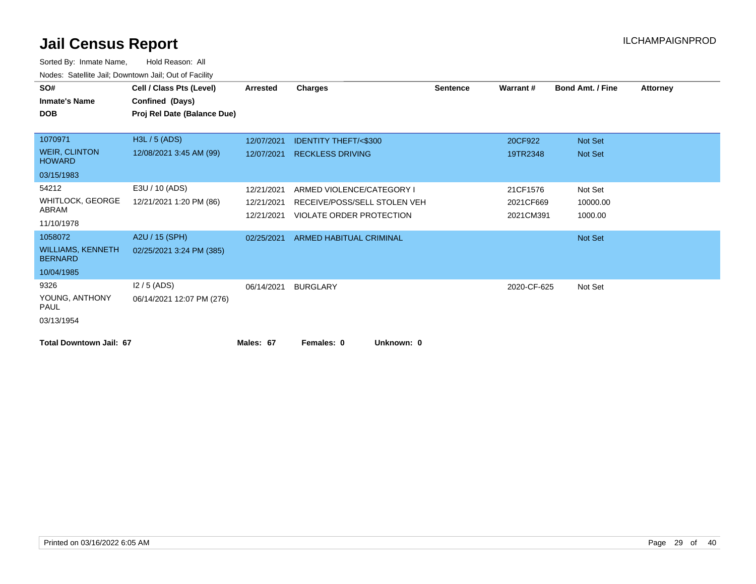| SO#<br><b>Inmate's Name</b><br><b>DOB</b>  | Cell / Class Pts (Level)<br>Confined (Days)<br>Proj Rel Date (Balance Due) | <b>Arrested</b> | <b>Charges</b>                  | <b>Sentence</b> | Warrant#    | <b>Bond Amt. / Fine</b> | <b>Attorney</b> |
|--------------------------------------------|----------------------------------------------------------------------------|-----------------|---------------------------------|-----------------|-------------|-------------------------|-----------------|
|                                            |                                                                            |                 |                                 |                 |             |                         |                 |
| 1070971                                    | H3L / 5 (ADS)                                                              | 12/07/2021      | <b>IDENTITY THEFT/&lt;\$300</b> |                 | 20CF922     | Not Set                 |                 |
| <b>WEIR, CLINTON</b><br><b>HOWARD</b>      | 12/08/2021 3:45 AM (99)                                                    | 12/07/2021      | <b>RECKLESS DRIVING</b>         |                 | 19TR2348    | Not Set                 |                 |
| 03/15/1983                                 |                                                                            |                 |                                 |                 |             |                         |                 |
| 54212                                      | E3U / 10 (ADS)                                                             | 12/21/2021      | ARMED VIOLENCE/CATEGORY I       |                 | 21CF1576    | Not Set                 |                 |
| <b>WHITLOCK, GEORGE</b>                    | 12/21/2021 1:20 PM (86)                                                    | 12/21/2021      | RECEIVE/POSS/SELL STOLEN VEH    |                 | 2021CF669   | 10000.00                |                 |
| ABRAM                                      |                                                                            | 12/21/2021      | VIOLATE ORDER PROTECTION        |                 | 2021CM391   | 1000.00                 |                 |
| 11/10/1978                                 |                                                                            |                 |                                 |                 |             |                         |                 |
| 1058072                                    | A2U / 15 (SPH)                                                             | 02/25/2021      | ARMED HABITUAL CRIMINAL         |                 |             | Not Set                 |                 |
| <b>WILLIAMS, KENNETH</b><br><b>BERNARD</b> | 02/25/2021 3:24 PM (385)                                                   |                 |                                 |                 |             |                         |                 |
| 10/04/1985                                 |                                                                            |                 |                                 |                 |             |                         |                 |
| 9326                                       | $12/5$ (ADS)                                                               | 06/14/2021      | <b>BURGLARY</b>                 |                 | 2020-CF-625 | Not Set                 |                 |
| YOUNG, ANTHONY<br><b>PAUL</b>              | 06/14/2021 12:07 PM (276)                                                  |                 |                                 |                 |             |                         |                 |
| 03/13/1954                                 |                                                                            |                 |                                 |                 |             |                         |                 |
| <b>Total Downtown Jail: 67</b>             |                                                                            | Males: 67       | Females: 0<br>Unknown: 0        |                 |             |                         |                 |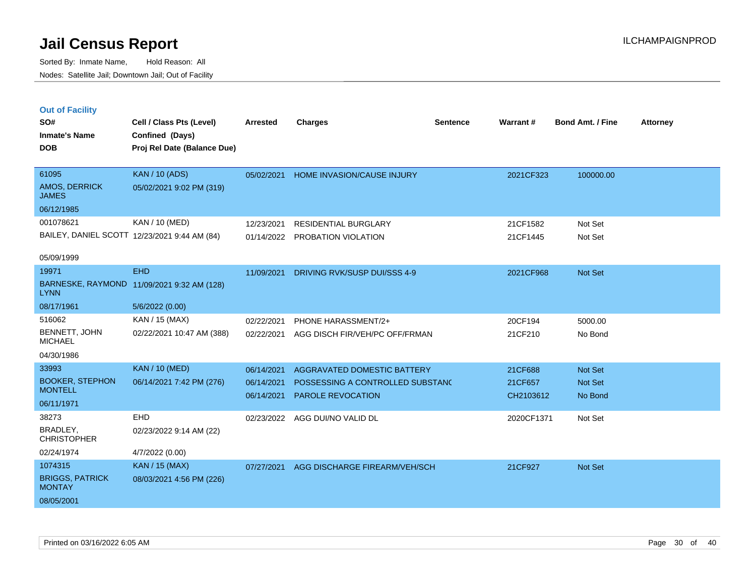Sorted By: Inmate Name, Hold Reason: All Nodes: Satellite Jail; Downtown Jail; Out of Facility

| <b>Out of Facility</b>          |                                              |                 |                                  |                 |            |                         |                 |
|---------------------------------|----------------------------------------------|-----------------|----------------------------------|-----------------|------------|-------------------------|-----------------|
| SO#                             | Cell / Class Pts (Level)                     | <b>Arrested</b> | <b>Charges</b>                   | <b>Sentence</b> | Warrant#   | <b>Bond Amt. / Fine</b> | <b>Attorney</b> |
| <b>Inmate's Name</b>            | Confined (Days)                              |                 |                                  |                 |            |                         |                 |
| <b>DOB</b>                      | Proj Rel Date (Balance Due)                  |                 |                                  |                 |            |                         |                 |
|                                 |                                              |                 |                                  |                 |            |                         |                 |
| 61095                           | <b>KAN / 10 (ADS)</b>                        | 05/02/2021      | HOME INVASION/CAUSE INJURY       |                 | 2021CF323  | 100000.00               |                 |
| AMOS, DERRICK<br><b>JAMES</b>   | 05/02/2021 9:02 PM (319)                     |                 |                                  |                 |            |                         |                 |
| 06/12/1985                      |                                              |                 |                                  |                 |            |                         |                 |
| 001078621                       | KAN / 10 (MED)                               | 12/23/2021      | <b>RESIDENTIAL BURGLARY</b>      |                 | 21CF1582   | Not Set                 |                 |
|                                 | BAILEY, DANIEL SCOTT 12/23/2021 9:44 AM (84) | 01/14/2022      | <b>PROBATION VIOLATION</b>       |                 | 21CF1445   | Not Set                 |                 |
|                                 |                                              |                 |                                  |                 |            |                         |                 |
| 05/09/1999                      |                                              |                 |                                  |                 |            |                         |                 |
| 19971                           | <b>EHD</b>                                   | 11/09/2021      | DRIVING RVK/SUSP DUI/SSS 4-9     |                 | 2021CF968  | Not Set                 |                 |
| <b>LYNN</b>                     | BARNESKE, RAYMOND 11/09/2021 9:32 AM (128)   |                 |                                  |                 |            |                         |                 |
| 08/17/1961                      | 5/6/2022 (0.00)                              |                 |                                  |                 |            |                         |                 |
| 516062                          | KAN / 15 (MAX)                               | 02/22/2021      | PHONE HARASSMENT/2+              |                 | 20CF194    | 5000.00                 |                 |
| BENNETT, JOHN<br><b>MICHAEL</b> | 02/22/2021 10:47 AM (388)                    | 02/22/2021      | AGG DISCH FIR/VEH/PC OFF/FRMAN   |                 | 21CF210    | No Bond                 |                 |
| 04/30/1986                      |                                              |                 |                                  |                 |            |                         |                 |
| 33993                           | <b>KAN / 10 (MED)</b>                        | 06/14/2021      | AGGRAVATED DOMESTIC BATTERY      |                 | 21CF688    | <b>Not Set</b>          |                 |
| <b>BOOKER, STEPHON</b>          | 06/14/2021 7:42 PM (276)                     | 06/14/2021      | POSSESSING A CONTROLLED SUBSTAND |                 | 21CF657    | Not Set                 |                 |
| <b>MONTELL</b>                  |                                              | 06/14/2021      | <b>PAROLE REVOCATION</b>         |                 | CH2103612  | No Bond                 |                 |
| 06/11/1971                      |                                              |                 |                                  |                 |            |                         |                 |
| 38273                           | EHD                                          | 02/23/2022      | AGG DUI/NO VALID DL              |                 | 2020CF1371 | Not Set                 |                 |
| BRADLEY,<br><b>CHRISTOPHER</b>  | 02/23/2022 9:14 AM (22)                      |                 |                                  |                 |            |                         |                 |

07/27/2021 AGG DISCHARGE FIREARM/VEH/SCH 21CF927 Not Set

#### BRIGGS, PATRICK **MONTAY**

08/05/2001

02/24/1974 4/7/2022 (0.00)

1074315 KAN / 15 (MAX)

08/03/2021 4:56 PM (226)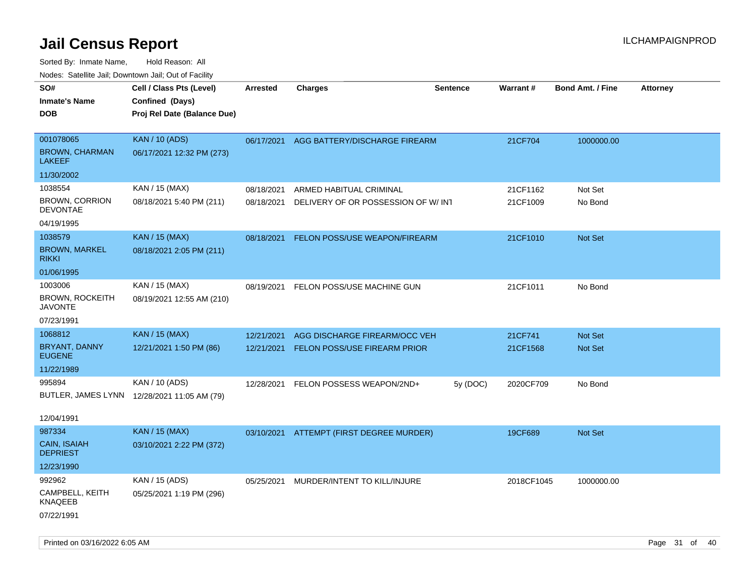| ivouss. Satellite Jali, Downtown Jali, Out of Facility |                                             |                 |                                          |                 |                 |                         |                 |
|--------------------------------------------------------|---------------------------------------------|-----------------|------------------------------------------|-----------------|-----------------|-------------------------|-----------------|
| SO#                                                    | Cell / Class Pts (Level)                    | <b>Arrested</b> | <b>Charges</b>                           | <b>Sentence</b> | <b>Warrant#</b> | <b>Bond Amt. / Fine</b> | <b>Attorney</b> |
| <b>Inmate's Name</b>                                   | Confined (Days)                             |                 |                                          |                 |                 |                         |                 |
| DOB                                                    | Proj Rel Date (Balance Due)                 |                 |                                          |                 |                 |                         |                 |
|                                                        |                                             |                 |                                          |                 |                 |                         |                 |
| 001078065                                              | <b>KAN / 10 (ADS)</b>                       |                 | 06/17/2021 AGG BATTERY/DISCHARGE FIREARM |                 | 21CF704         | 1000000.00              |                 |
| <b>BROWN, CHARMAN</b><br>LAKEEF                        | 06/17/2021 12:32 PM (273)                   |                 |                                          |                 |                 |                         |                 |
| 11/30/2002                                             |                                             |                 |                                          |                 |                 |                         |                 |
| 1038554                                                | KAN / 15 (MAX)                              | 08/18/2021      | ARMED HABITUAL CRIMINAL                  |                 | 21CF1162        | Not Set                 |                 |
| <b>BROWN, CORRION</b><br><b>DEVONTAE</b>               | 08/18/2021 5:40 PM (211)                    | 08/18/2021      | DELIVERY OF OR POSSESSION OF W/INT       |                 | 21CF1009        | No Bond                 |                 |
| 04/19/1995                                             |                                             |                 |                                          |                 |                 |                         |                 |
| 1038579                                                | <b>KAN / 15 (MAX)</b>                       | 08/18/2021      | FELON POSS/USE WEAPON/FIREARM            |                 | 21CF1010        | Not Set                 |                 |
| <b>BROWN, MARKEL</b><br>rikki                          | 08/18/2021 2:05 PM (211)                    |                 |                                          |                 |                 |                         |                 |
| 01/06/1995                                             |                                             |                 |                                          |                 |                 |                         |                 |
| 1003006                                                | KAN / 15 (MAX)                              | 08/19/2021      | FELON POSS/USE MACHINE GUN               |                 | 21CF1011        | No Bond                 |                 |
| <b>BROWN, ROCKEITH</b><br>JAVONTE                      | 08/19/2021 12:55 AM (210)                   |                 |                                          |                 |                 |                         |                 |
| 07/23/1991                                             |                                             |                 |                                          |                 |                 |                         |                 |
| 1068812                                                | <b>KAN</b> / 15 (MAX)                       | 12/21/2021      | AGG DISCHARGE FIREARM/OCC VEH            |                 | 21CF741         | <b>Not Set</b>          |                 |
| BRYANT, DANNY<br><b>EUGENE</b>                         | 12/21/2021 1:50 PM (86)                     | 12/21/2021      | FELON POSS/USE FIREARM PRIOR             |                 | 21CF1568        | Not Set                 |                 |
| 11/22/1989                                             |                                             |                 |                                          |                 |                 |                         |                 |
| 995894                                                 | KAN / 10 (ADS)                              | 12/28/2021      | FELON POSSESS WEAPON/2ND+                | 5y (DOC)        | 2020CF709       | No Bond                 |                 |
|                                                        | BUTLER, JAMES LYNN 12/28/2021 11:05 AM (79) |                 |                                          |                 |                 |                         |                 |
|                                                        |                                             |                 |                                          |                 |                 |                         |                 |
| 12/04/1991                                             |                                             |                 |                                          |                 |                 |                         |                 |
| 987334                                                 | <b>KAN / 15 (MAX)</b>                       | 03/10/2021      | ATTEMPT (FIRST DEGREE MURDER)            |                 | 19CF689         | Not Set                 |                 |
| <b>CAIN, ISAIAH</b><br><b>DEPRIEST</b>                 | 03/10/2021 2:22 PM (372)                    |                 |                                          |                 |                 |                         |                 |
| 12/23/1990                                             |                                             |                 |                                          |                 |                 |                         |                 |
| 992962                                                 | KAN / 15 (ADS)                              | 05/25/2021      | MURDER/INTENT TO KILL/INJURE             |                 | 2018CF1045      | 1000000.00              |                 |
| CAMPBELL, KEITH<br>KNAQEEB                             | 05/25/2021 1:19 PM (296)                    |                 |                                          |                 |                 |                         |                 |
| 07/22/1991                                             |                                             |                 |                                          |                 |                 |                         |                 |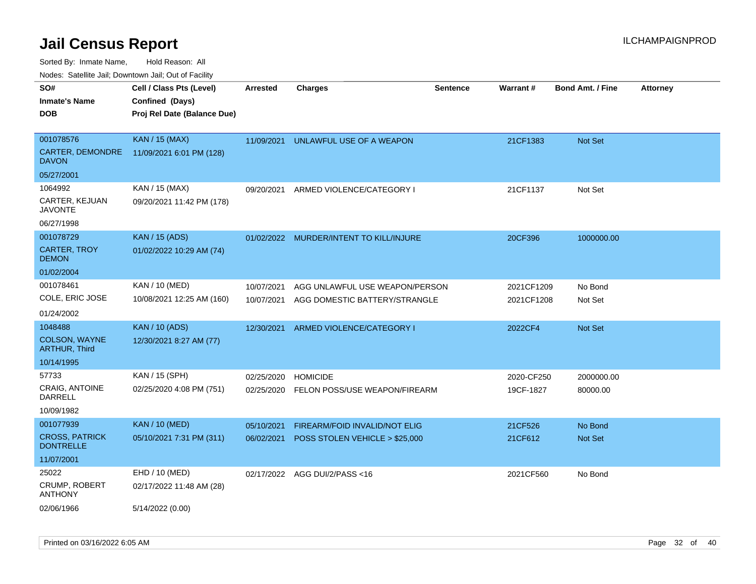Sorted By: Inmate Name, Hold Reason: All

Nodes: Satellite Jail; Downtown Jail; Out of Facility

| SO#                                       | Cell / Class Pts (Level)    | <b>Arrested</b> | <b>Charges</b>                          | <b>Sentence</b> | Warrant#   | <b>Bond Amt. / Fine</b> | <b>Attorney</b> |
|-------------------------------------------|-----------------------------|-----------------|-----------------------------------------|-----------------|------------|-------------------------|-----------------|
| <b>Inmate's Name</b>                      | Confined (Days)             |                 |                                         |                 |            |                         |                 |
| <b>DOB</b>                                | Proj Rel Date (Balance Due) |                 |                                         |                 |            |                         |                 |
|                                           |                             |                 |                                         |                 |            |                         |                 |
| 001078576                                 | <b>KAN / 15 (MAX)</b>       | 11/09/2021      | UNLAWFUL USE OF A WEAPON                |                 | 21CF1383   | Not Set                 |                 |
| <b>CARTER, DEMONDRE</b><br><b>DAVON</b>   | 11/09/2021 6:01 PM (128)    |                 |                                         |                 |            |                         |                 |
| 05/27/2001                                |                             |                 |                                         |                 |            |                         |                 |
| 1064992                                   | KAN / 15 (MAX)              | 09/20/2021      | ARMED VIOLENCE/CATEGORY I               |                 | 21CF1137   | Not Set                 |                 |
| CARTER, KEJUAN<br><b>JAVONTE</b>          | 09/20/2021 11:42 PM (178)   |                 |                                         |                 |            |                         |                 |
| 06/27/1998                                |                             |                 |                                         |                 |            |                         |                 |
| 001078729                                 | <b>KAN</b> / 15 (ADS)       |                 | 01/02/2022 MURDER/INTENT TO KILL/INJURE |                 | 20CF396    | 1000000.00              |                 |
| <b>CARTER, TROY</b><br><b>DEMON</b>       | 01/02/2022 10:29 AM (74)    |                 |                                         |                 |            |                         |                 |
| 01/02/2004                                |                             |                 |                                         |                 |            |                         |                 |
| 001078461                                 | KAN / 10 (MED)              | 10/07/2021      | AGG UNLAWFUL USE WEAPON/PERSON          |                 | 2021CF1209 | No Bond                 |                 |
| COLE, ERIC JOSE                           | 10/08/2021 12:25 AM (160)   | 10/07/2021      | AGG DOMESTIC BATTERY/STRANGLE           |                 | 2021CF1208 | Not Set                 |                 |
| 01/24/2002                                |                             |                 |                                         |                 |            |                         |                 |
| 1048488                                   | <b>KAN / 10 (ADS)</b>       | 12/30/2021      | ARMED VIOLENCE/CATEGORY I               |                 | 2022CF4    | Not Set                 |                 |
| COLSON, WAYNE<br><b>ARTHUR, Third</b>     | 12/30/2021 8:27 AM (77)     |                 |                                         |                 |            |                         |                 |
| 10/14/1995                                |                             |                 |                                         |                 |            |                         |                 |
| 57733                                     | KAN / 15 (SPH)              | 02/25/2020      | <b>HOMICIDE</b>                         |                 | 2020-CF250 | 2000000.00              |                 |
| <b>CRAIG, ANTOINE</b><br>DARRELL          | 02/25/2020 4:08 PM (751)    | 02/25/2020      | FELON POSS/USE WEAPON/FIREARM           |                 | 19CF-1827  | 80000.00                |                 |
| 10/09/1982                                |                             |                 |                                         |                 |            |                         |                 |
| 001077939                                 | <b>KAN / 10 (MED)</b>       | 05/10/2021      | FIREARM/FOID INVALID/NOT ELIG           |                 | 21CF526    | No Bond                 |                 |
| <b>CROSS, PATRICK</b><br><b>DONTRELLE</b> | 05/10/2021 7:31 PM (311)    | 06/02/2021      | POSS STOLEN VEHICLE > \$25,000          |                 | 21CF612    | Not Set                 |                 |
| 11/07/2001                                |                             |                 |                                         |                 |            |                         |                 |
| 25022                                     | EHD / 10 (MED)              |                 | 02/17/2022 AGG DUI/2/PASS<16            |                 | 2021CF560  | No Bond                 |                 |
| <b>CRUMP, ROBERT</b><br><b>ANTHONY</b>    | 02/17/2022 11:48 AM (28)    |                 |                                         |                 |            |                         |                 |
| 02/06/1966                                | 5/14/2022 (0.00)            |                 |                                         |                 |            |                         |                 |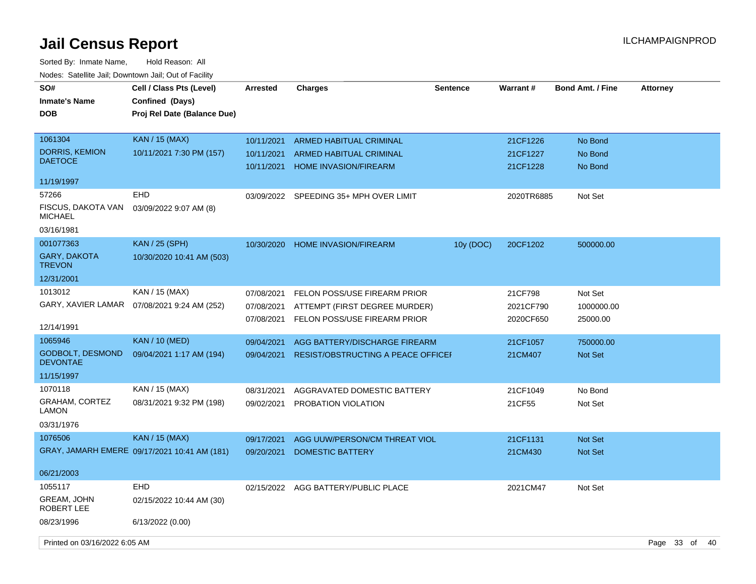| SO#<br><b>Inmate's Name</b><br><b>DOB</b>  | Cell / Class Pts (Level)<br>Confined (Days)<br>Proj Rel Date (Balance Due) | <b>Arrested</b>          | <b>Charges</b>                                                 | <b>Sentence</b> | Warrant#             | <b>Bond Amt. / Fine</b> | <b>Attorney</b>   |
|--------------------------------------------|----------------------------------------------------------------------------|--------------------------|----------------------------------------------------------------|-----------------|----------------------|-------------------------|-------------------|
| 1061304                                    | <b>KAN / 15 (MAX)</b>                                                      | 10/11/2021               | <b>ARMED HABITUAL CRIMINAL</b>                                 |                 | 21CF1226             | No Bond                 |                   |
| <b>DORRIS, KEMION</b><br><b>DAETOCE</b>    | 10/11/2021 7:30 PM (157)                                                   | 10/11/2021<br>10/11/2021 | <b>ARMED HABITUAL CRIMINAL</b><br><b>HOME INVASION/FIREARM</b> |                 | 21CF1227<br>21CF1228 | No Bond<br>No Bond      |                   |
| 11/19/1997                                 |                                                                            |                          |                                                                |                 |                      |                         |                   |
| 57266                                      | <b>EHD</b>                                                                 | 03/09/2022               | SPEEDING 35+ MPH OVER LIMIT                                    |                 | 2020TR6885           | Not Set                 |                   |
| FISCUS, DAKOTA VAN<br><b>MICHAEL</b>       | 03/09/2022 9:07 AM (8)                                                     |                          |                                                                |                 |                      |                         |                   |
| 03/16/1981                                 |                                                                            |                          |                                                                |                 |                      |                         |                   |
| 001077363                                  | <b>KAN / 25 (SPH)</b>                                                      | 10/30/2020               | <b>HOME INVASION/FIREARM</b>                                   | 10y (DOC)       | 20CF1202             | 500000.00               |                   |
| GARY, DAKOTA<br><b>TREVON</b>              | 10/30/2020 10:41 AM (503)                                                  |                          |                                                                |                 |                      |                         |                   |
| 12/31/2001                                 |                                                                            |                          |                                                                |                 |                      |                         |                   |
| 1013012                                    | KAN / 15 (MAX)                                                             | 07/08/2021               | FELON POSS/USE FIREARM PRIOR                                   |                 | 21CF798              | Not Set                 |                   |
| GARY, XAVIER LAMAR                         | 07/08/2021 9:24 AM (252)                                                   | 07/08/2021               | ATTEMPT (FIRST DEGREE MURDER)                                  |                 | 2021CF790            | 1000000.00              |                   |
| 12/14/1991                                 |                                                                            | 07/08/2021               | FELON POSS/USE FIREARM PRIOR                                   |                 | 2020CF650            | 25000.00                |                   |
| 1065946                                    | <b>KAN</b> / 10 (MED)                                                      | 09/04/2021               | AGG BATTERY/DISCHARGE FIREARM                                  |                 | 21CF1057             | 750000.00               |                   |
| <b>GODBOLT, DESMOND</b><br><b>DEVONTAE</b> | 09/04/2021 1:17 AM (194)                                                   | 09/04/2021               | RESIST/OBSTRUCTING A PEACE OFFICEI                             |                 | 21CM407              | <b>Not Set</b>          |                   |
| 11/15/1997                                 |                                                                            |                          |                                                                |                 |                      |                         |                   |
| 1070118                                    | KAN / 15 (MAX)                                                             | 08/31/2021               | AGGRAVATED DOMESTIC BATTERY                                    |                 | 21CF1049             | No Bond                 |                   |
| <b>GRAHAM, CORTEZ</b><br>LAMON             | 08/31/2021 9:32 PM (198)                                                   | 09/02/2021               | PROBATION VIOLATION                                            |                 | 21CF55               | Not Set                 |                   |
| 03/31/1976                                 |                                                                            |                          |                                                                |                 |                      |                         |                   |
| 1076506                                    | <b>KAN / 15 (MAX)</b>                                                      | 09/17/2021               | AGG UUW/PERSON/CM THREAT VIOL                                  |                 | 21CF1131             | Not Set                 |                   |
|                                            | GRAY, JAMARH EMERE 09/17/2021 10:41 AM (181)                               | 09/20/2021               | <b>DOMESTIC BATTERY</b>                                        |                 | 21CM430              | Not Set                 |                   |
| 06/21/2003                                 |                                                                            |                          |                                                                |                 |                      |                         |                   |
| 1055117                                    | <b>EHD</b>                                                                 | 02/15/2022               | AGG BATTERY/PUBLIC PLACE                                       |                 | 2021CM47             | Not Set                 |                   |
| GREAM, JOHN<br>ROBERT LEE                  | 02/15/2022 10:44 AM (30)                                                   |                          |                                                                |                 |                      |                         |                   |
| 08/23/1996                                 | 6/13/2022 (0.00)                                                           |                          |                                                                |                 |                      |                         |                   |
| Printed on 03/16/2022 6:05 AM              |                                                                            |                          |                                                                |                 |                      |                         | Page 33 of<br>-40 |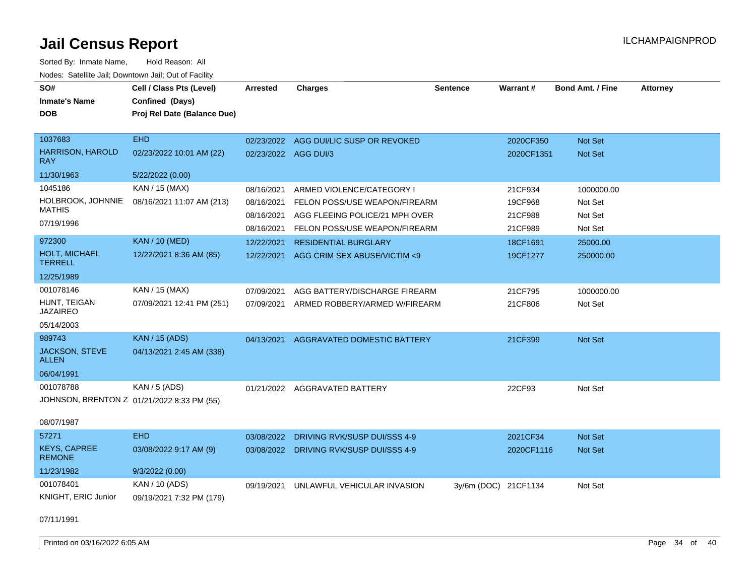| SO#                                   | Cell / Class Pts (Level)                   | Arrested             | <b>Charges</b>                          | <b>Sentence</b>      | Warrant#   | <b>Bond Amt. / Fine</b> | <b>Attorney</b> |
|---------------------------------------|--------------------------------------------|----------------------|-----------------------------------------|----------------------|------------|-------------------------|-----------------|
| <b>Inmate's Name</b>                  | Confined (Days)                            |                      |                                         |                      |            |                         |                 |
| <b>DOB</b>                            | Proj Rel Date (Balance Due)                |                      |                                         |                      |            |                         |                 |
|                                       |                                            |                      |                                         |                      |            |                         |                 |
| 1037683                               | <b>EHD</b>                                 |                      | 02/23/2022 AGG DUI/LIC SUSP OR REVOKED  |                      | 2020CF350  | Not Set                 |                 |
| <b>HARRISON, HAROLD</b><br><b>RAY</b> | 02/23/2022 10:01 AM (22)                   | 02/23/2022 AGG DUI/3 |                                         |                      | 2020CF1351 | Not Set                 |                 |
| 11/30/1963                            | 5/22/2022 (0.00)                           |                      |                                         |                      |            |                         |                 |
| 1045186                               | KAN / 15 (MAX)                             | 08/16/2021           | ARMED VIOLENCE/CATEGORY I               |                      | 21CF934    | 1000000.00              |                 |
| HOLBROOK, JOHNNIE                     | 08/16/2021 11:07 AM (213)                  | 08/16/2021           | FELON POSS/USE WEAPON/FIREARM           |                      | 19CF968    | Not Set                 |                 |
| <b>MATHIS</b>                         |                                            | 08/16/2021           | AGG FLEEING POLICE/21 MPH OVER          |                      | 21CF988    | Not Set                 |                 |
| 07/19/1996                            |                                            | 08/16/2021           | FELON POSS/USE WEAPON/FIREARM           |                      | 21CF989    | Not Set                 |                 |
| 972300                                | <b>KAN / 10 (MED)</b>                      | 12/22/2021           | <b>RESIDENTIAL BURGLARY</b>             |                      | 18CF1691   | 25000.00                |                 |
| HOLT, MICHAEL<br><b>TERRELL</b>       | 12/22/2021 8:36 AM (85)                    | 12/22/2021           | AGG CRIM SEX ABUSE/VICTIM <9            |                      | 19CF1277   | 250000.00               |                 |
| 12/25/1989                            |                                            |                      |                                         |                      |            |                         |                 |
| 001078146                             | KAN / 15 (MAX)                             | 07/09/2021           | AGG BATTERY/DISCHARGE FIREARM           |                      | 21CF795    | 1000000.00              |                 |
| HUNT, TEIGAN<br><b>JAZAIREO</b>       | 07/09/2021 12:41 PM (251)                  | 07/09/2021           | ARMED ROBBERY/ARMED W/FIREARM           |                      | 21CF806    | Not Set                 |                 |
| 05/14/2003                            |                                            |                      |                                         |                      |            |                         |                 |
| 989743                                | <b>KAN / 15 (ADS)</b>                      | 04/13/2021           | <b>AGGRAVATED DOMESTIC BATTERY</b>      |                      | 21CF399    | Not Set                 |                 |
| <b>JACKSON, STEVE</b><br><b>ALLEN</b> | 04/13/2021 2:45 AM (338)                   |                      |                                         |                      |            |                         |                 |
| 06/04/1991                            |                                            |                      |                                         |                      |            |                         |                 |
| 001078788                             | KAN / 5 (ADS)                              |                      | 01/21/2022 AGGRAVATED BATTERY           |                      | 22CF93     | Not Set                 |                 |
|                                       | JOHNSON, BRENTON Z 01/21/2022 8:33 PM (55) |                      |                                         |                      |            |                         |                 |
| 08/07/1987                            |                                            |                      |                                         |                      |            |                         |                 |
| 57271                                 | <b>EHD</b>                                 | 03/08/2022           | DRIVING RVK/SUSP DUI/SSS 4-9            |                      | 2021CF34   | Not Set                 |                 |
| <b>KEYS, CAPREE</b><br><b>REMONE</b>  | 03/08/2022 9:17 AM (9)                     |                      | 03/08/2022 DRIVING RVK/SUSP DUI/SSS 4-9 |                      | 2020CF1116 | Not Set                 |                 |
| 11/23/1982                            | 9/3/2022 (0.00)                            |                      |                                         |                      |            |                         |                 |
| 001078401                             | KAN / 10 (ADS)                             |                      | 09/19/2021 UNLAWFUL VEHICULAR INVASION  | 3y/6m (DOC) 21CF1134 |            | Not Set                 |                 |
| KNIGHT, ERIC Junior                   | 09/19/2021 7:32 PM (179)                   |                      |                                         |                      |            |                         |                 |
| 07/11/1991                            |                                            |                      |                                         |                      |            |                         |                 |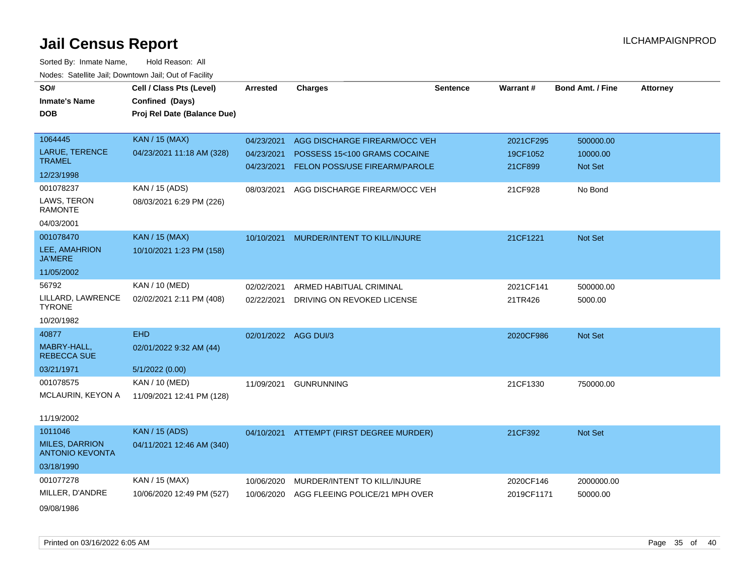| SO#                                             | Cell / Class Pts (Level)    | <b>Arrested</b>      | <b>Charges</b>                           | <b>Sentence</b> | Warrant#   | <b>Bond Amt. / Fine</b> | <b>Attorney</b> |
|-------------------------------------------------|-----------------------------|----------------------|------------------------------------------|-----------------|------------|-------------------------|-----------------|
| <b>Inmate's Name</b>                            | Confined (Days)             |                      |                                          |                 |            |                         |                 |
| <b>DOB</b>                                      | Proj Rel Date (Balance Due) |                      |                                          |                 |            |                         |                 |
|                                                 |                             |                      |                                          |                 |            |                         |                 |
| 1064445                                         | <b>KAN / 15 (MAX)</b>       | 04/23/2021           | AGG DISCHARGE FIREARM/OCC VEH            |                 | 2021CF295  | 500000.00               |                 |
| LARUE, TERENCE                                  | 04/23/2021 11:18 AM (328)   | 04/23/2021           | POSSESS 15<100 GRAMS COCAINE             |                 | 19CF1052   | 10000.00                |                 |
| <b>TRAMEL</b>                                   |                             | 04/23/2021           | FELON POSS/USE FIREARM/PAROLE            |                 | 21CF899    | Not Set                 |                 |
| 12/23/1998                                      |                             |                      |                                          |                 |            |                         |                 |
| 001078237                                       | KAN / 15 (ADS)              | 08/03/2021           | AGG DISCHARGE FIREARM/OCC VEH            |                 | 21CF928    | No Bond                 |                 |
| LAWS, TERON<br><b>RAMONTE</b>                   | 08/03/2021 6:29 PM (226)    |                      |                                          |                 |            |                         |                 |
| 04/03/2001                                      |                             |                      |                                          |                 |            |                         |                 |
| 001078470                                       | <b>KAN / 15 (MAX)</b>       | 10/10/2021           | MURDER/INTENT TO KILL/INJURE             |                 | 21CF1221   | Not Set                 |                 |
| LEE, AMAHRION<br><b>JA'MERE</b>                 | 10/10/2021 1:23 PM (158)    |                      |                                          |                 |            |                         |                 |
| 11/05/2002                                      |                             |                      |                                          |                 |            |                         |                 |
| 56792                                           | KAN / 10 (MED)              | 02/02/2021           | ARMED HABITUAL CRIMINAL                  |                 | 2021CF141  | 500000.00               |                 |
| LILLARD, LAWRENCE<br><b>TYRONE</b>              | 02/02/2021 2:11 PM (408)    | 02/22/2021           | DRIVING ON REVOKED LICENSE               |                 | 21TR426    | 5000.00                 |                 |
| 10/20/1982                                      |                             |                      |                                          |                 |            |                         |                 |
| 40877                                           | <b>EHD</b>                  | 02/01/2022 AGG DUI/3 |                                          |                 | 2020CF986  | Not Set                 |                 |
| MABRY-HALL,<br><b>REBECCA SUE</b>               | 02/01/2022 9:32 AM (44)     |                      |                                          |                 |            |                         |                 |
| 03/21/1971                                      | 5/1/2022(0.00)              |                      |                                          |                 |            |                         |                 |
| 001078575                                       | KAN / 10 (MED)              | 11/09/2021           | <b>GUNRUNNING</b>                        |                 | 21CF1330   | 750000.00               |                 |
| MCLAURIN, KEYON A                               | 11/09/2021 12:41 PM (128)   |                      |                                          |                 |            |                         |                 |
| 11/19/2002                                      |                             |                      |                                          |                 |            |                         |                 |
| 1011046                                         | <b>KAN</b> / 15 (ADS)       |                      | 04/10/2021 ATTEMPT (FIRST DEGREE MURDER) |                 | 21CF392    | Not Set                 |                 |
| <b>MILES, DARRION</b><br><b>ANTONIO KEVONTA</b> | 04/11/2021 12:46 AM (340)   |                      |                                          |                 |            |                         |                 |
| 03/18/1990                                      |                             |                      |                                          |                 |            |                         |                 |
| 001077278                                       | KAN / 15 (MAX)              | 10/06/2020           | MURDER/INTENT TO KILL/INJURE             |                 | 2020CF146  | 2000000.00              |                 |
| MILLER, D'ANDRE                                 | 10/06/2020 12:49 PM (527)   | 10/06/2020           | AGG FLEEING POLICE/21 MPH OVER           |                 | 2019CF1171 | 50000.00                |                 |
| 09/08/1986                                      |                             |                      |                                          |                 |            |                         |                 |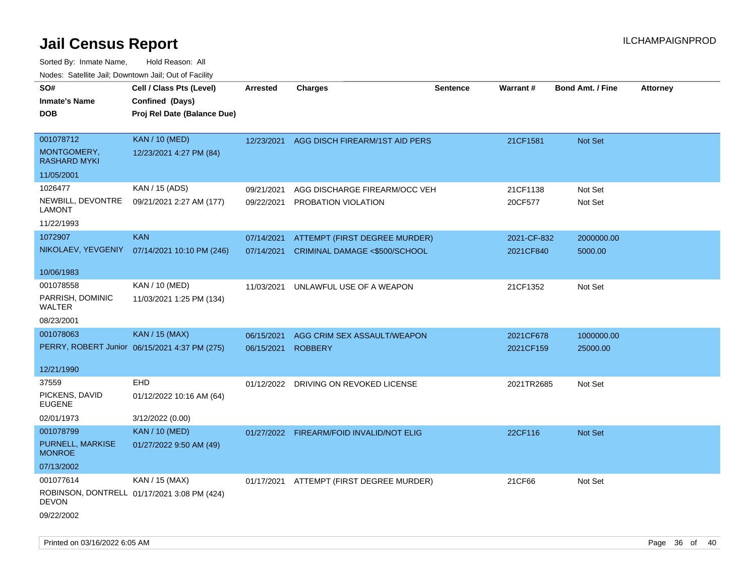| SO#<br><b>Inmate's Name</b><br><b>DOB</b>                   | Cell / Class Pts (Level)<br>Confined (Days)<br>Proj Rel Date (Balance Due) | Arrested                 | <b>Charges</b>                                                 | <b>Sentence</b> | <b>Warrant#</b>     | <b>Bond Amt. / Fine</b> | <b>Attorney</b> |
|-------------------------------------------------------------|----------------------------------------------------------------------------|--------------------------|----------------------------------------------------------------|-----------------|---------------------|-------------------------|-----------------|
| 001078712<br>MONTGOMERY,<br><b>RASHARD MYKI</b>             | <b>KAN / 10 (MED)</b><br>12/23/2021 4:27 PM (84)                           | 12/23/2021               | AGG DISCH FIREARM/1ST AID PERS                                 |                 | 21CF1581            | Not Set                 |                 |
| 11/05/2001                                                  |                                                                            |                          |                                                                |                 |                     |                         |                 |
| 1026477<br>NEWBILL, DEVONTRE<br><b>LAMONT</b><br>11/22/1993 | KAN / 15 (ADS)<br>09/21/2021 2:27 AM (177)                                 | 09/21/2021<br>09/22/2021 | AGG DISCHARGE FIREARM/OCC VEH<br>PROBATION VIOLATION           |                 | 21CF1138<br>20CF577 | Not Set<br>Not Set      |                 |
| 1072907                                                     | <b>KAN</b>                                                                 | 07/14/2021               |                                                                |                 | 2021-CF-832         | 2000000.00              |                 |
| NIKOLAEV, YEVGENIY                                          | 07/14/2021 10:10 PM (246)                                                  | 07/14/2021               | ATTEMPT (FIRST DEGREE MURDER)<br>CRIMINAL DAMAGE <\$500/SCHOOL |                 | 2021CF840           | 5000.00                 |                 |
| 10/06/1983                                                  |                                                                            |                          |                                                                |                 |                     |                         |                 |
| 001078558<br>PARRISH, DOMINIC<br>WALTER                     | KAN / 10 (MED)<br>11/03/2021 1:25 PM (134)                                 | 11/03/2021               | UNLAWFUL USE OF A WEAPON                                       |                 | 21CF1352            | Not Set                 |                 |
| 08/23/2001                                                  |                                                                            |                          |                                                                |                 |                     |                         |                 |
| 001078063                                                   | <b>KAN / 15 (MAX)</b>                                                      | 06/15/2021               | AGG CRIM SEX ASSAULT/WEAPON                                    |                 | 2021CF678           | 1000000.00              |                 |
|                                                             | PERRY, ROBERT Junior 06/15/2021 4:37 PM (275)                              | 06/15/2021               | <b>ROBBERY</b>                                                 |                 | 2021CF159           | 25000.00                |                 |
| 12/21/1990                                                  |                                                                            |                          |                                                                |                 |                     |                         |                 |
| 37559                                                       | <b>EHD</b>                                                                 |                          | 01/12/2022 DRIVING ON REVOKED LICENSE                          |                 | 2021TR2685          | Not Set                 |                 |
| PICKENS, DAVID<br>EUGENE                                    | 01/12/2022 10:16 AM (64)                                                   |                          |                                                                |                 |                     |                         |                 |
| 02/01/1973                                                  | 3/12/2022 (0.00)                                                           |                          |                                                                |                 |                     |                         |                 |
| 001078799                                                   | <b>KAN / 10 (MED)</b>                                                      |                          | 01/27/2022 FIREARM/FOID INVALID/NOT ELIG                       |                 | 22CF116             | <b>Not Set</b>          |                 |
| PURNELL, MARKISE<br><b>MONROE</b>                           | 01/27/2022 9:50 AM (49)                                                    |                          |                                                                |                 |                     |                         |                 |
| 07/13/2002                                                  |                                                                            |                          |                                                                |                 |                     |                         |                 |
| 001077614<br><b>DEVON</b>                                   | KAN / 15 (MAX)<br>ROBINSON, DONTRELL 01/17/2021 3:08 PM (424)              |                          | 01/17/2021 ATTEMPT (FIRST DEGREE MURDER)                       |                 | 21CF66              | Not Set                 |                 |
| 09/22/2002                                                  |                                                                            |                          |                                                                |                 |                     |                         |                 |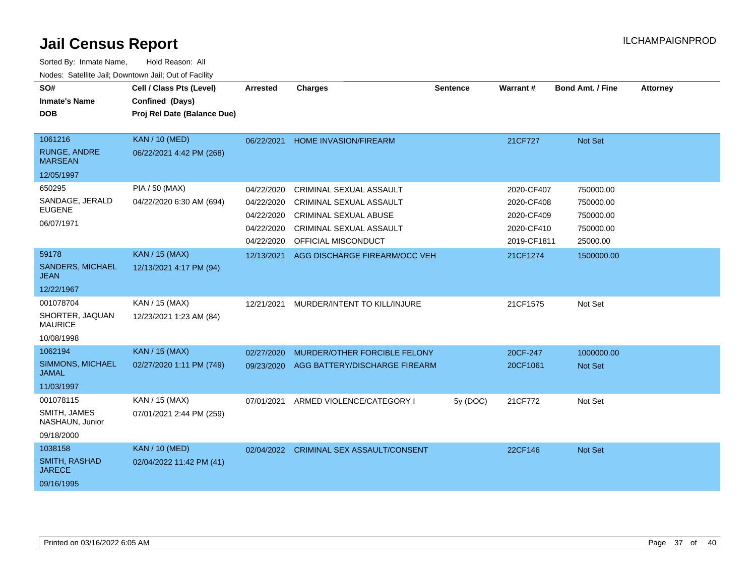| SO#<br><b>Inmate's Name</b><br><b>DOB</b>                     | Cell / Class Pts (Level)<br>Confined (Days)<br>Proj Rel Date (Balance Due) | <b>Arrested</b>                        | <b>Charges</b>                                                                 | <b>Sentence</b> | Warrant#                                | <b>Bond Amt. / Fine</b>            | <b>Attorney</b> |
|---------------------------------------------------------------|----------------------------------------------------------------------------|----------------------------------------|--------------------------------------------------------------------------------|-----------------|-----------------------------------------|------------------------------------|-----------------|
| 1061216<br><b>RUNGE, ANDRE</b><br><b>MARSEAN</b>              | <b>KAN / 10 (MED)</b><br>06/22/2021 4:42 PM (268)                          | 06/22/2021                             | <b>HOME INVASION/FIREARM</b>                                                   |                 | 21CF727                                 | Not Set                            |                 |
| 12/05/1997<br>650295<br>SANDAGE, JERALD                       | <b>PIA / 50 (MAX)</b><br>04/22/2020 6:30 AM (694)                          | 04/22/2020<br>04/22/2020               | CRIMINAL SEXUAL ASSAULT<br>CRIMINAL SEXUAL ASSAULT                             |                 | 2020-CF407<br>2020-CF408                | 750000.00<br>750000.00             |                 |
| <b>EUGENE</b><br>06/07/1971                                   |                                                                            | 04/22/2020<br>04/22/2020<br>04/22/2020 | <b>CRIMINAL SEXUAL ABUSE</b><br>CRIMINAL SEXUAL ASSAULT<br>OFFICIAL MISCONDUCT |                 | 2020-CF409<br>2020-CF410<br>2019-CF1811 | 750000.00<br>750000.00<br>25000.00 |                 |
| 59178<br><b>SANDERS, MICHAEL</b><br><b>JEAN</b><br>12/22/1967 | <b>KAN / 15 (MAX)</b><br>12/13/2021 4:17 PM (94)                           | 12/13/2021                             | AGG DISCHARGE FIREARM/OCC VEH                                                  |                 | 21CF1274                                | 1500000.00                         |                 |
| 001078704<br>SHORTER, JAQUAN<br><b>MAURICE</b><br>10/08/1998  | KAN / 15 (MAX)<br>12/23/2021 1:23 AM (84)                                  | 12/21/2021                             | MURDER/INTENT TO KILL/INJURE                                                   |                 | 21CF1575                                | Not Set                            |                 |
| 1062194<br>SIMMONS, MICHAEL<br><b>JAMAL</b><br>11/03/1997     | <b>KAN / 15 (MAX)</b><br>02/27/2020 1:11 PM (749)                          | 02/27/2020<br>09/23/2020               | MURDER/OTHER FORCIBLE FELONY<br>AGG BATTERY/DISCHARGE FIREARM                  |                 | 20CF-247<br>20CF1061                    | 1000000.00<br><b>Not Set</b>       |                 |
| 001078115<br>SMITH, JAMES<br>NASHAUN, Junior<br>09/18/2000    | KAN / 15 (MAX)<br>07/01/2021 2:44 PM (259)                                 | 07/01/2021                             | ARMED VIOLENCE/CATEGORY I                                                      | 5y (DOC)        | 21CF772                                 | Not Set                            |                 |
| 1038158<br>SMITH, RASHAD<br><b>JARECE</b><br>09/16/1995       | <b>KAN / 10 (MED)</b><br>02/04/2022 11:42 PM (41)                          | 02/04/2022                             | <b>CRIMINAL SEX ASSAULT/CONSENT</b>                                            |                 | 22CF146                                 | Not Set                            |                 |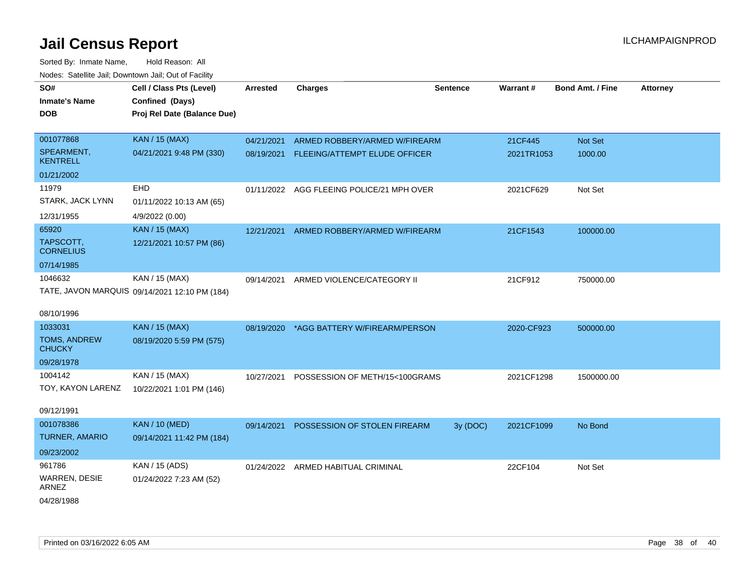| SO#                                  | Cell / Class Pts (Level)                      | <b>Arrested</b> | <b>Charges</b>                            | <b>Sentence</b> | Warrant#   | <b>Bond Amt. / Fine</b> | <b>Attorney</b> |
|--------------------------------------|-----------------------------------------------|-----------------|-------------------------------------------|-----------------|------------|-------------------------|-----------------|
| <b>Inmate's Name</b>                 | Confined (Days)                               |                 |                                           |                 |            |                         |                 |
| <b>DOB</b>                           | Proj Rel Date (Balance Due)                   |                 |                                           |                 |            |                         |                 |
|                                      |                                               |                 |                                           |                 |            |                         |                 |
| 001077868                            | <b>KAN / 15 (MAX)</b>                         | 04/21/2021      | ARMED ROBBERY/ARMED W/FIREARM             |                 | 21CF445    | Not Set                 |                 |
| SPEARMENT,<br><b>KENTRELL</b>        | 04/21/2021 9:48 PM (330)                      | 08/19/2021      | FLEEING/ATTEMPT ELUDE OFFICER             |                 | 2021TR1053 | 1000.00                 |                 |
| 01/21/2002                           |                                               |                 |                                           |                 |            |                         |                 |
| 11979                                | <b>EHD</b>                                    |                 | 01/11/2022 AGG FLEEING POLICE/21 MPH OVER |                 | 2021CF629  | Not Set                 |                 |
| STARK, JACK LYNN                     | 01/11/2022 10:13 AM (65)                      |                 |                                           |                 |            |                         |                 |
| 12/31/1955                           | 4/9/2022 (0.00)                               |                 |                                           |                 |            |                         |                 |
| 65920                                | <b>KAN / 15 (MAX)</b>                         | 12/21/2021      | ARMED ROBBERY/ARMED W/FIREARM             |                 | 21CF1543   | 100000.00               |                 |
| TAPSCOTT,<br><b>CORNELIUS</b>        | 12/21/2021 10:57 PM (86)                      |                 |                                           |                 |            |                         |                 |
| 07/14/1985                           |                                               |                 |                                           |                 |            |                         |                 |
| 1046632                              | KAN / 15 (MAX)                                | 09/14/2021      | ARMED VIOLENCE/CATEGORY II                |                 | 21CF912    | 750000.00               |                 |
|                                      | TATE, JAVON MARQUIS 09/14/2021 12:10 PM (184) |                 |                                           |                 |            |                         |                 |
|                                      |                                               |                 |                                           |                 |            |                         |                 |
| 08/10/1996                           |                                               |                 |                                           |                 |            |                         |                 |
| 1033031                              | <b>KAN / 15 (MAX)</b>                         | 08/19/2020      | *AGG BATTERY W/FIREARM/PERSON             |                 | 2020-CF923 | 500000.00               |                 |
| <b>TOMS, ANDREW</b><br><b>CHUCKY</b> | 08/19/2020 5:59 PM (575)                      |                 |                                           |                 |            |                         |                 |
| 09/28/1978                           |                                               |                 |                                           |                 |            |                         |                 |
| 1004142                              | KAN / 15 (MAX)                                | 10/27/2021      | POSSESSION OF METH/15<100GRAMS            |                 | 2021CF1298 | 1500000.00              |                 |
| TOY, KAYON LARENZ                    | 10/22/2021 1:01 PM (146)                      |                 |                                           |                 |            |                         |                 |
| 09/12/1991                           |                                               |                 |                                           |                 |            |                         |                 |
| 001078386                            | <b>KAN / 10 (MED)</b>                         | 09/14/2021      | POSSESSION OF STOLEN FIREARM              | 3y (DOC)        | 2021CF1099 | No Bond                 |                 |
| <b>TURNER, AMARIO</b>                | 09/14/2021 11:42 PM (184)                     |                 |                                           |                 |            |                         |                 |
| 09/23/2002                           |                                               |                 |                                           |                 |            |                         |                 |
| 961786                               | KAN / 15 (ADS)                                |                 |                                           |                 |            |                         |                 |
|                                      |                                               | 01/24/2022      | ARMED HABITUAL CRIMINAL                   |                 | 22CF104    | Not Set                 |                 |
| WARREN, DESIE<br>ARNEZ               | 01/24/2022 7:23 AM (52)                       |                 |                                           |                 |            |                         |                 |
| 04/28/1988                           |                                               |                 |                                           |                 |            |                         |                 |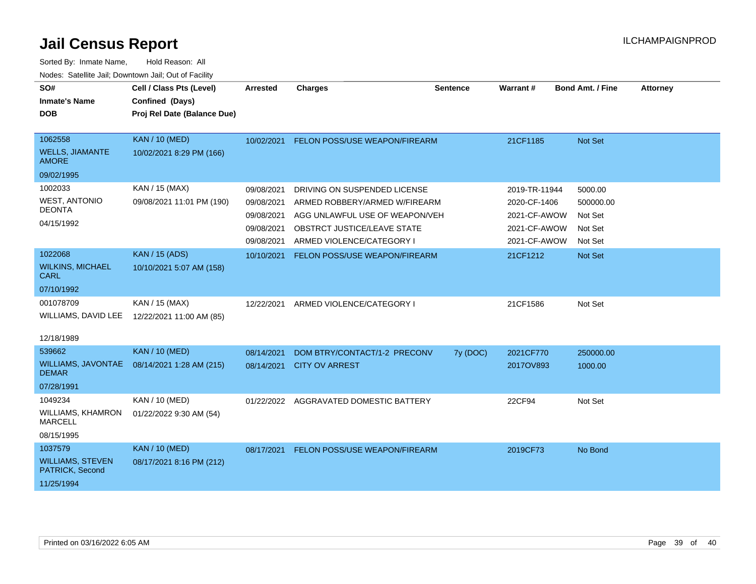| SO#<br><b>Inmate's Name</b><br><b>DOB</b>  | Cell / Class Pts (Level)<br>Confined (Days)<br>Proj Rel Date (Balance Due) | <b>Arrested</b> | <b>Charges</b>                       | <b>Sentence</b> | Warrant#      | <b>Bond Amt. / Fine</b> | <b>Attorney</b> |
|--------------------------------------------|----------------------------------------------------------------------------|-----------------|--------------------------------------|-----------------|---------------|-------------------------|-----------------|
|                                            |                                                                            |                 |                                      |                 |               |                         |                 |
| 1062558                                    | <b>KAN / 10 (MED)</b>                                                      | 10/02/2021      | FELON POSS/USE WEAPON/FIREARM        |                 | 21CF1185      | Not Set                 |                 |
| <b>WELLS, JIAMANTE</b><br><b>AMORE</b>     | 10/02/2021 8:29 PM (166)                                                   |                 |                                      |                 |               |                         |                 |
| 09/02/1995                                 |                                                                            |                 |                                      |                 |               |                         |                 |
| 1002033                                    | KAN / 15 (MAX)                                                             | 09/08/2021      | DRIVING ON SUSPENDED LICENSE         |                 | 2019-TR-11944 | 5000.00                 |                 |
| <b>WEST, ANTONIO</b>                       | 09/08/2021 11:01 PM (190)                                                  | 09/08/2021      | ARMED ROBBERY/ARMED W/FIREARM        |                 | 2020-CF-1406  | 500000.00               |                 |
| <b>DEONTA</b>                              |                                                                            | 09/08/2021      | AGG UNLAWFUL USE OF WEAPON/VEH       |                 | 2021-CF-AWOW  | Not Set                 |                 |
| 04/15/1992                                 |                                                                            | 09/08/2021      | OBSTRCT JUSTICE/LEAVE STATE          |                 | 2021-CF-AWOW  | Not Set                 |                 |
|                                            |                                                                            | 09/08/2021      | ARMED VIOLENCE/CATEGORY I            |                 | 2021-CF-AWOW  | Not Set                 |                 |
| 1022068                                    | <b>KAN / 15 (ADS)</b>                                                      | 10/10/2021      | FELON POSS/USE WEAPON/FIREARM        |                 | 21CF1212      | <b>Not Set</b>          |                 |
| <b>WILKINS, MICHAEL</b><br><b>CARL</b>     | 10/10/2021 5:07 AM (158)                                                   |                 |                                      |                 |               |                         |                 |
| 07/10/1992                                 |                                                                            |                 |                                      |                 |               |                         |                 |
| 001078709                                  | KAN / 15 (MAX)                                                             | 12/22/2021      | ARMED VIOLENCE/CATEGORY I            |                 | 21CF1586      | Not Set                 |                 |
| WILLIAMS, DAVID LEE                        | 12/22/2021 11:00 AM (85)                                                   |                 |                                      |                 |               |                         |                 |
| 12/18/1989                                 |                                                                            |                 |                                      |                 |               |                         |                 |
| 539662                                     | <b>KAN / 10 (MED)</b>                                                      |                 |                                      |                 |               |                         |                 |
| <b>WILLIAMS, JAVONTAE</b>                  |                                                                            | 08/14/2021      | DOM BTRY/CONTACT/1-2 PRECONV         | 7y (DOC)        | 2021CF770     | 250000.00               |                 |
| <b>DEMAR</b>                               | 08/14/2021 1:28 AM (215)                                                   | 08/14/2021      | <b>CITY OV ARREST</b>                |                 | 2017OV893     | 1000.00                 |                 |
| 07/28/1991                                 |                                                                            |                 |                                      |                 |               |                         |                 |
| 1049234                                    | KAN / 10 (MED)                                                             | 01/22/2022      | AGGRAVATED DOMESTIC BATTERY          |                 | 22CF94        | Not Set                 |                 |
| <b>WILLIAMS, KHAMRON</b><br><b>MARCELL</b> | 01/22/2022 9:30 AM (54)                                                    |                 |                                      |                 |               |                         |                 |
| 08/15/1995                                 |                                                                            |                 |                                      |                 |               |                         |                 |
| 1037579                                    | <b>KAN / 10 (MED)</b>                                                      | 08/17/2021      | <b>FELON POSS/USE WEAPON/FIREARM</b> |                 | 2019CF73      | No Bond                 |                 |
| <b>WILLIAMS, STEVEN</b><br>PATRICK, Second | 08/17/2021 8:16 PM (212)                                                   |                 |                                      |                 |               |                         |                 |
| 11/25/1994                                 |                                                                            |                 |                                      |                 |               |                         |                 |